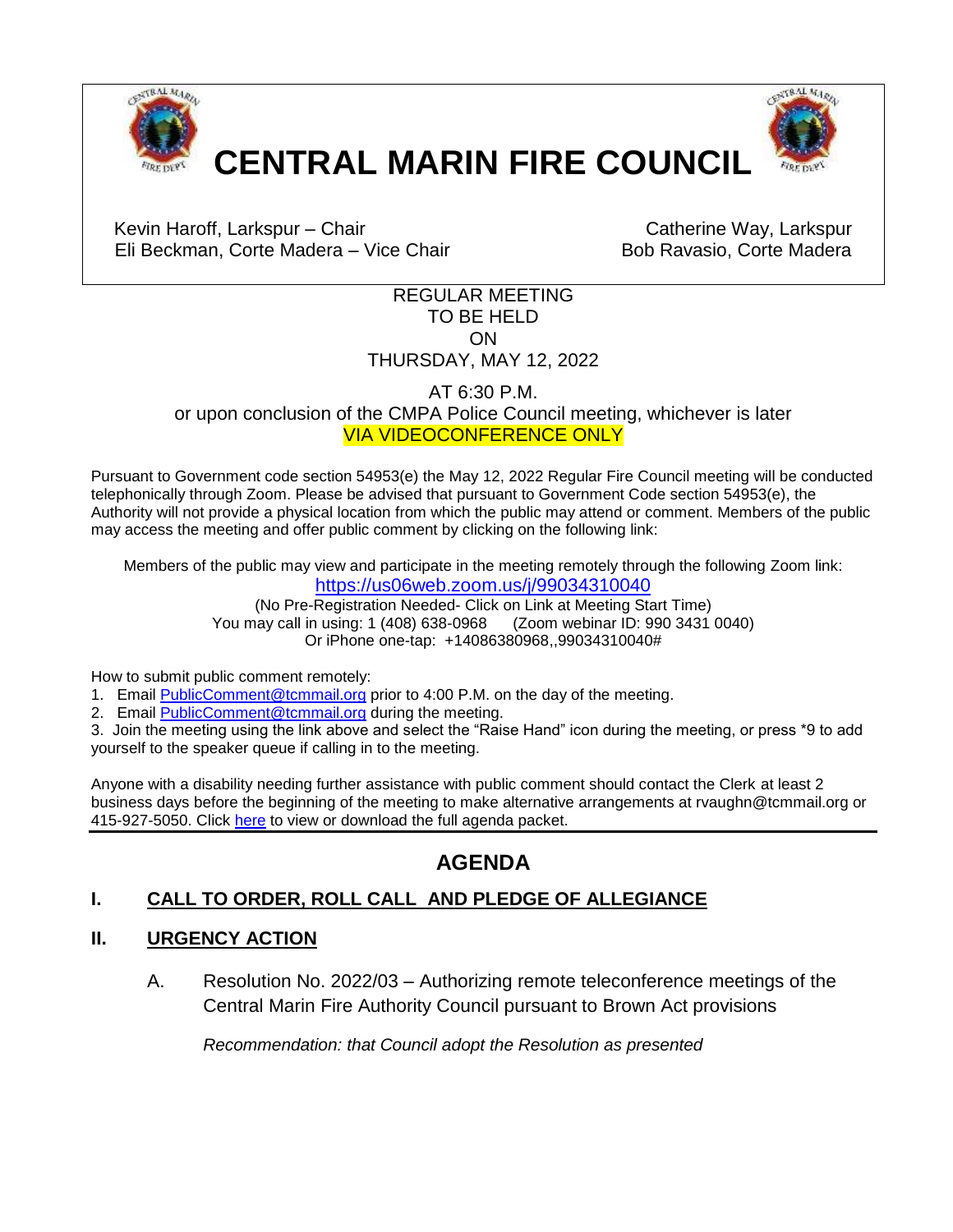



Kevin Haroff, Larkspur – Chair Chair Catherine Way, Larkspur Eli Beckman, Corte Madera – Vice Chair **Bob Ravasio, Corte Madera** 

## REGULAR MEETING TO BE HELD ON THURSDAY, MAY 12, 2022

AT 6:30 P.M. or upon conclusion of the CMPA Police Council meeting, whichever is later VIA VIDEOCONFERENCE ONLY

Pursuant to Government code section 54953(e) the May 12, 2022 Regular Fire Council meeting will be conducted telephonically through Zoom. Please be advised that pursuant to Government Code section 54953(e), the Authority will not provide a physical location from which the public may attend or comment. Members of the public may access the meeting and offer public comment by clicking on the following link:

Members of the public may view and participate in the meeting remotely through the following Zoom link: <https://us06web.zoom.us/j/99034310040>

(No Pre-Registration Needed- Click on Link at Meeting Start Time) You may call in using: 1 (408) 638-0968 (Zoom webinar ID: 990 3431 0040) Or iPhone one-tap: +14086380968,,99034310040#

How to submit public comment remotely:

1. Email [PublicComment@tcmmail.org](mailto:PublicComment@tcmmail.org) prior to 4:00 P.M. on the day of the meeting.

2. Email [PublicComment@tcmmail.org](mailto:PublicComment@tcmmail.org) during the meeting.

3. Join the meeting using the link above and select the "Raise Hand" icon during the meeting, or press \*9 to add yourself to the speaker queue if calling in to the meeting.

Anyone with a disability needing further assistance with public comment should contact the Clerk at least 2 business days before the beginning of the meeting to make alternative arrangements at rvaughn@tcmmail.org or 415-927-5050. Click [here](https://www.townofcortemadera.org/AgendaCenter/Fire-Council-Central-Marin-Fire-Authorit-11) to view or download the full agenda packet.

# **AGENDA**

# **I. CALL TO ORDER, ROLL CALL AND PLEDGE OF ALLEGIANCE**

## **II. URGENCY ACTION**

A. Resolution No. 2022/03 – Authorizing remote teleconference meetings of the Central Marin Fire [Authority Council pursuant to Brown Act provisions](#page-3-0) 

*Recommendation: that Council adopt the Resolution as presented*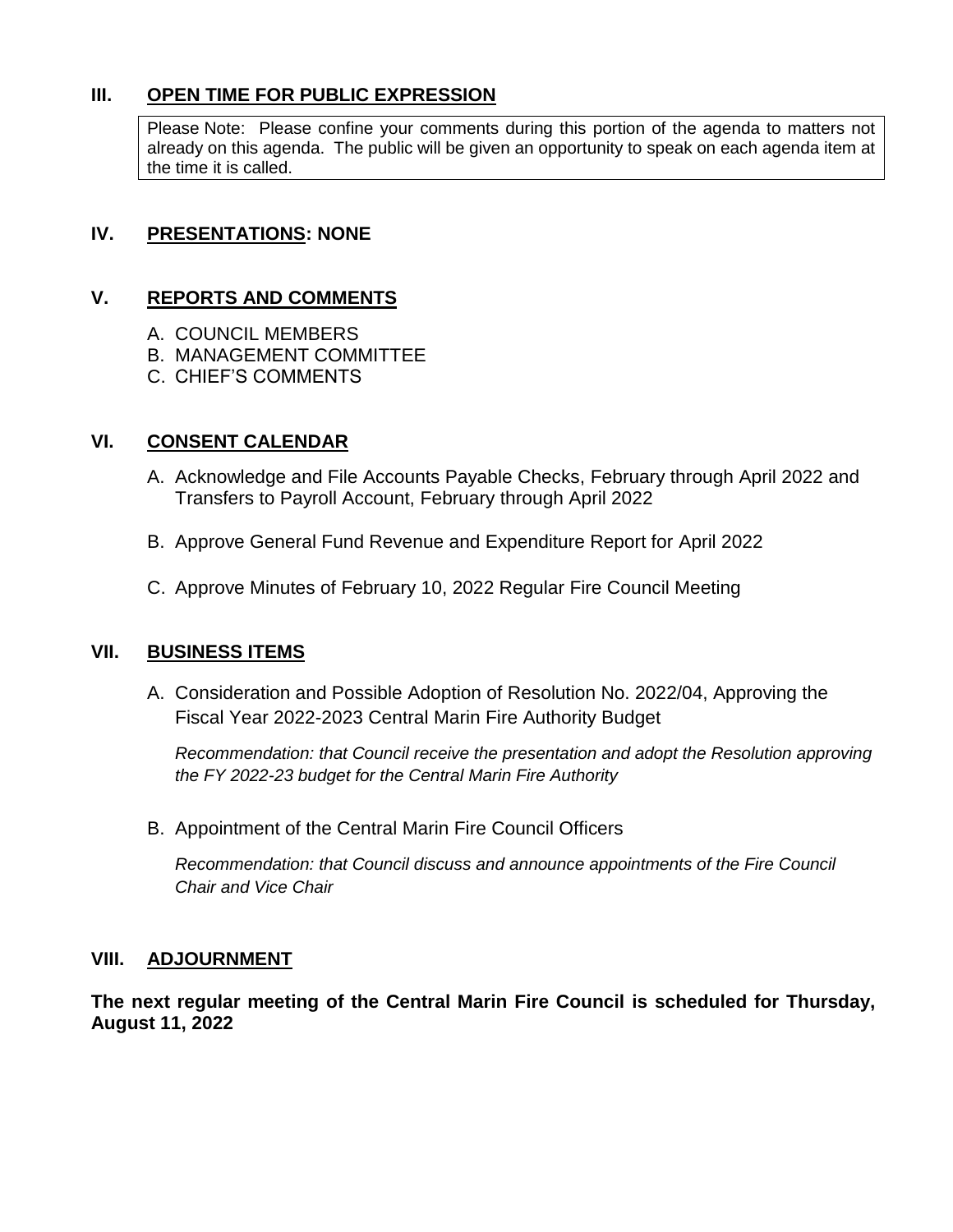## **III. OPEN TIME FOR PUBLIC EXPRESSION**

Please Note: Please confine your comments during this portion of the agenda to matters not already on this agenda. The public will be given an opportunity to speak on each agenda item at the time it is called.

## **IV. PRESENTATIONS: NONE**

## **V. REPORTS AND COMMENTS**

- A. COUNCIL MEMBERS
- B. MANAGEMENT COMMITTEE
- C. CHIEF'S COMMENTS

## **VI. CONSENT CALENDAR**

- A. Acknowledge and File Accounts Payable Checks, February through April 2022 and [Transfers to Payroll Account, February through April](#page-6-0) 2022
- B. [Approve General Fund Revenue and Expenditure Report for April 2022](#page-20-0)
- C. [Approve Minutes of February 10, 2022](#page-25-0) Regular Fire Council Meeting

## **VII. BUSINESS ITEMS**

A. [Consideration and Possible Adoption of Resolution No. 2022/04,](#page-34-0) Approving the Fiscal Year 2022-2023 Central Marin Fire Authority Budget

*Recommendation: that Council receive the presentation and adopt the Resolution approving the FY 2022-23 budget for the Central Marin Fire Authority*

B. Appointment of the Central Marin Fire Council Officers

*Recommendation: that Council discuss and announce appointments of the Fire Council Chair and Vice Chair*

## **VIII. ADJOURNMENT**

**The next regular meeting of the Central Marin Fire Council is scheduled for Thursday, August 11, 2022**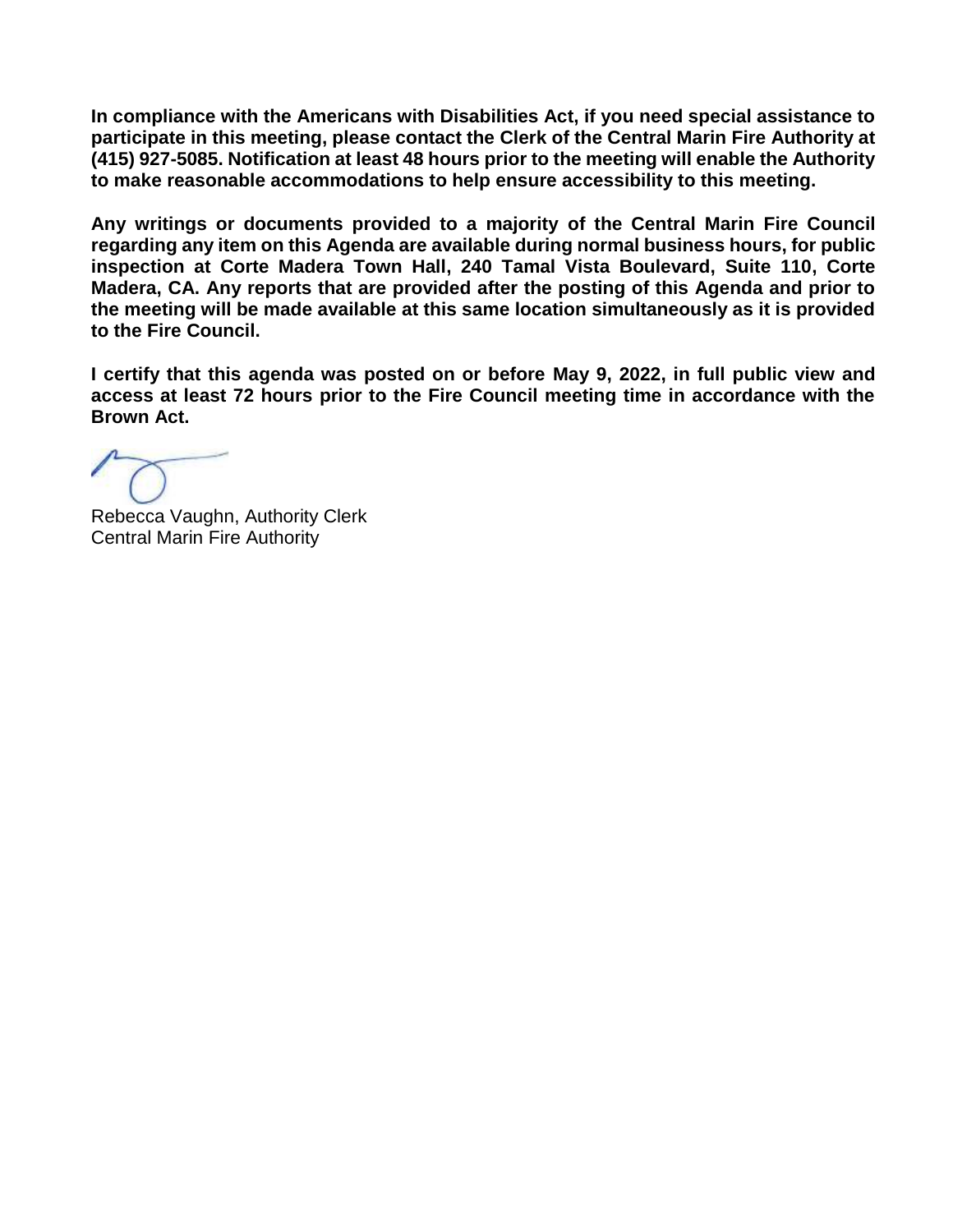**In compliance with the Americans with Disabilities Act, if you need special assistance to participate in this meeting, please contact the Clerk of the Central Marin Fire Authority at (415) 927-5085. Notification at least 48 hours prior to the meeting will enable the Authority to make reasonable accommodations to help ensure accessibility to this meeting.**

**Any writings or documents provided to a majority of the Central Marin Fire Council regarding any item on this Agenda are available during normal business hours, for public inspection at Corte Madera Town Hall, 240 Tamal Vista Boulevard, Suite 110, Corte Madera, CA. Any reports that are provided after the posting of this Agenda and prior to the meeting will be made available at this same location simultaneously as it is provided to the Fire Council.** 

**I certify that this agenda was posted on or before May 9, 2022, in full public view and access at least 72 hours prior to the Fire Council meeting time in accordance with the Brown Act.**

Rebecca Vaughn, Authority Clerk Central Marin Fire Authority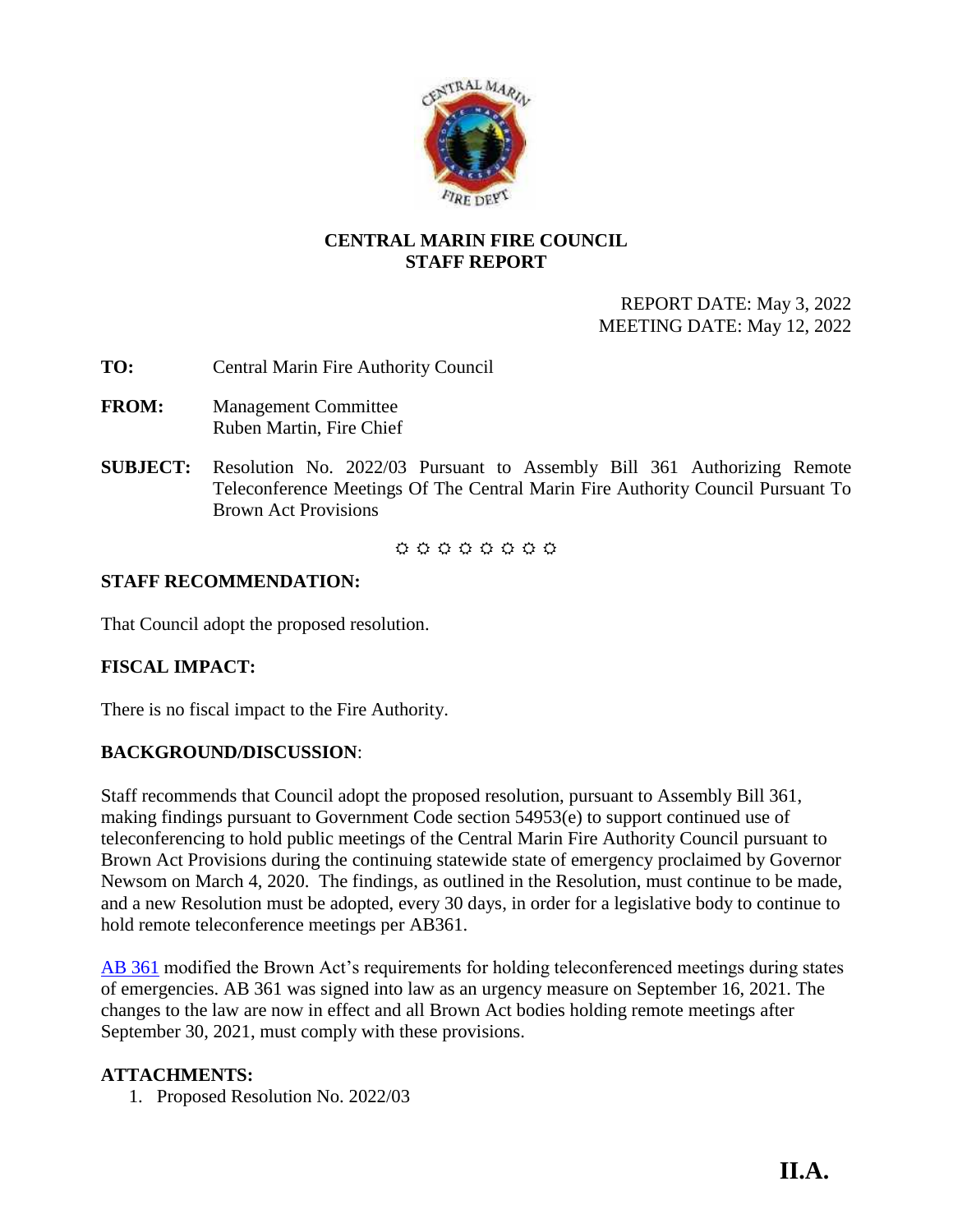

## **CENTRAL MARIN FIRE COUNCIL STAFF REPORT**

## REPORT DATE: May 3, 2022 MEETING DATE: May 12, 2022

- <span id="page-3-0"></span>**TO:** Central Marin Fire Authority Council
- **FROM:** Management Committee Ruben Martin, Fire Chief
- **SUBJECT:** Resolution No. 2022/03 Pursuant to Assembly Bill 361 Authorizing Remote Teleconference Meetings Of The Central Marin Fire Authority Council Pursuant To Brown Act Provisions

00000000

## **STAFF RECOMMENDATION:**

That Council adopt the proposed resolution.

## **FISCAL IMPACT:**

There is no fiscal impact to the Fire Authority.

## **BACKGROUND/DISCUSSION**:

Staff recommends that Council adopt the proposed resolution, pursuant to Assembly Bill 361, making findings pursuant to Government Code section 54953(e) to support continued use of teleconferencing to hold public meetings of the Central Marin Fire Authority Council pursuant to Brown Act Provisions during the continuing statewide state of emergency proclaimed by Governor Newsom on March 4, 2020. The findings, as outlined in the Resolution, must continue to be made, and a new Resolution must be adopted, every 30 days, in order for a legislative body to continue to hold remote teleconference meetings per AB361.

[AB 361](https://leginfo.legislature.ca.gov/faces/billTextClient.xhtml?bill_id=202120220AB361) modified the Brown Act's requirements for holding teleconferenced meetings during states of emergencies. AB 361 was signed into law as an urgency measure on September 16, 2021. The changes to the law are now in effect and all Brown Act bodies holding remote meetings after September 30, 2021, must comply with these provisions.

## **ATTACHMENTS:**

1. Proposed Resolution No. 2022/03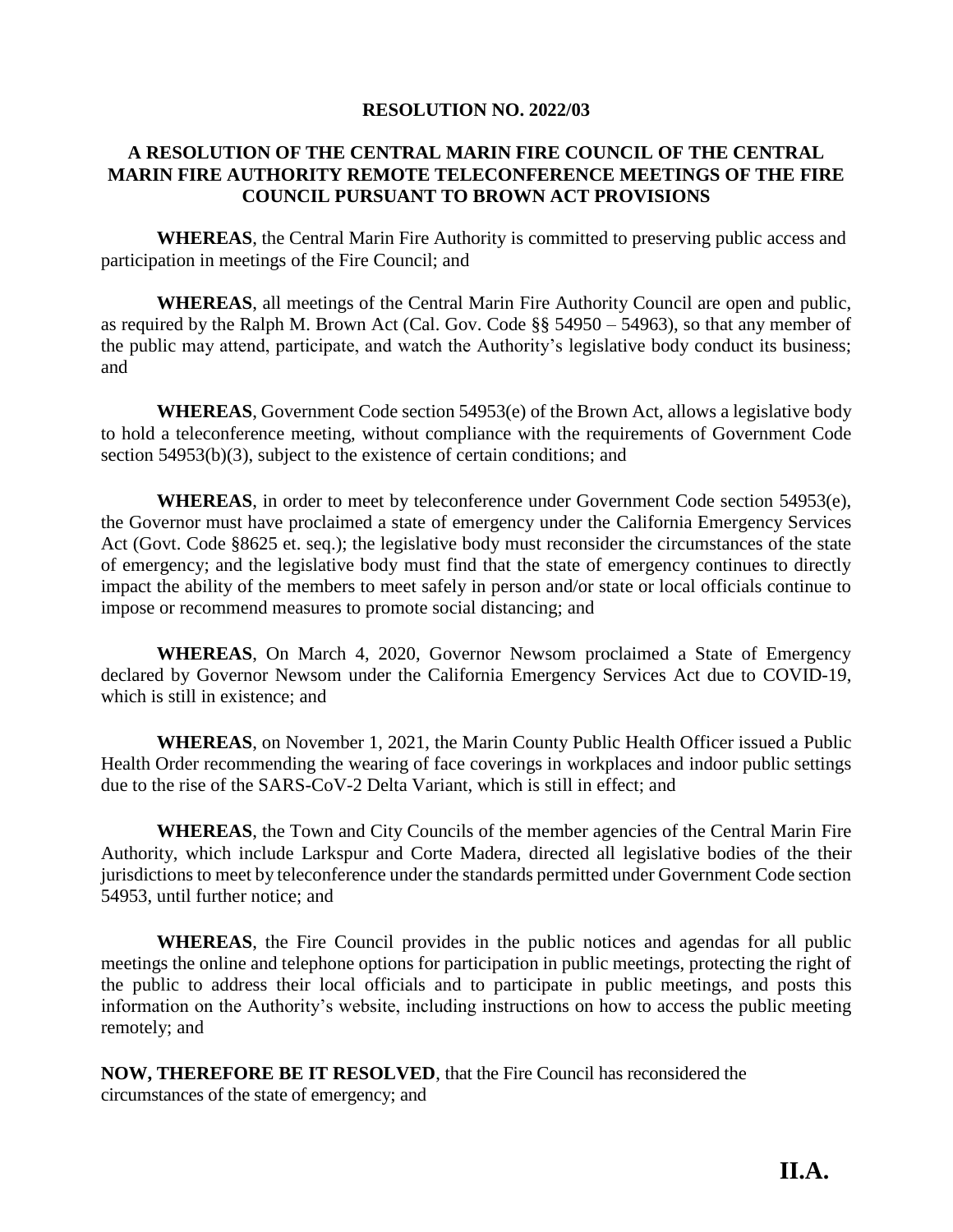### **RESOLUTION NO. 2022/03**

## **A RESOLUTION OF THE CENTRAL MARIN FIRE COUNCIL OF THE CENTRAL MARIN FIRE AUTHORITY REMOTE TELECONFERENCE MEETINGS OF THE FIRE COUNCIL PURSUANT TO BROWN ACT PROVISIONS**

**WHEREAS**, the Central Marin Fire Authority is committed to preserving public access and participation in meetings of the Fire Council; and

**WHEREAS**, all meetings of the Central Marin Fire Authority Council are open and public, as required by the Ralph M. Brown Act (Cal. Gov. Code §§ 54950 – 54963), so that any member of the public may attend, participate, and watch the Authority's legislative body conduct its business; and

**WHEREAS**, Government Code section 54953(e) of the Brown Act, allows a legislative body to hold a teleconference meeting, without compliance with the requirements of Government Code section 54953(b)(3), subject to the existence of certain conditions; and

**WHEREAS**, in order to meet by teleconference under Government Code section 54953(e), the Governor must have proclaimed a state of emergency under the California Emergency Services Act (Govt. Code §8625 et. seq.); the legislative body must reconsider the circumstances of the state of emergency; and the legislative body must find that the state of emergency continues to directly impact the ability of the members to meet safely in person and/or state or local officials continue to impose or recommend measures to promote social distancing; and

**WHEREAS**, On March 4, 2020, Governor Newsom proclaimed a State of Emergency declared by Governor Newsom under the California Emergency Services Act due to COVID-19, which is still in existence; and

**WHEREAS**, on November 1, 2021, the Marin County Public Health Officer issued a Public Health Order recommending the wearing of face coverings in workplaces and indoor public settings due to the rise of the SARS-CoV-2 Delta Variant, which is still in effect; and

**WHEREAS**, the Town and City Councils of the member agencies of the Central Marin Fire Authority, which include Larkspur and Corte Madera, directed all legislative bodies of the their jurisdictions to meet by teleconference under the standards permitted under Government Code section 54953, until further notice; and

**WHEREAS**, the Fire Council provides in the public notices and agendas for all public meetings the online and telephone options for participation in public meetings, protecting the right of the public to address their local officials and to participate in public meetings, and posts this information on the Authority's website, including instructions on how to access the public meeting remotely; and

**NOW, THEREFORE BE IT RESOLVED**, that the Fire Council has reconsidered the circumstances of the state of emergency; and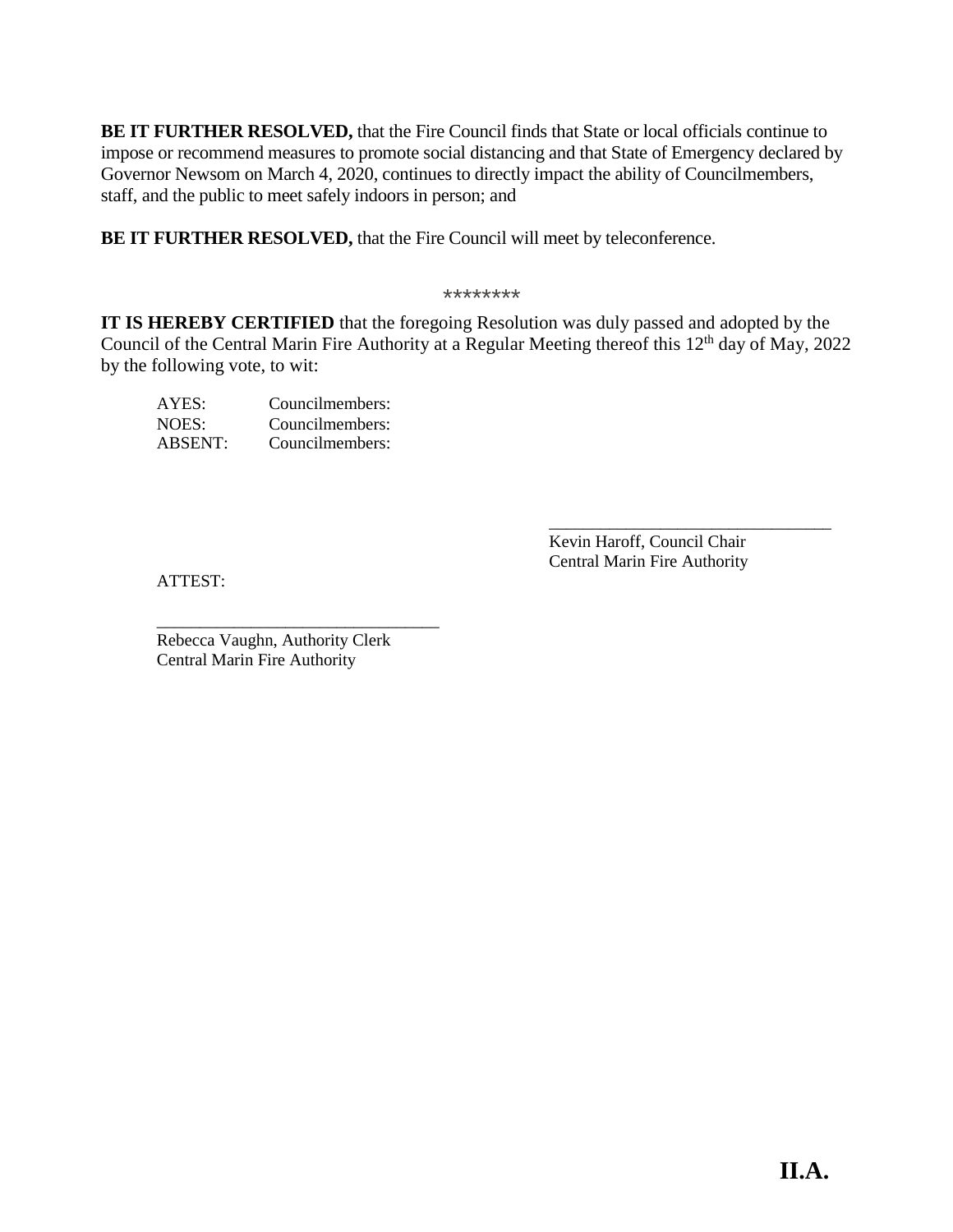**BE IT FURTHER RESOLVED,** that the Fire Council finds that State or local officials continue to impose or recommend measures to promote social distancing and that State of Emergency declared by Governor Newsom on March 4, 2020, continues to directly impact the ability of Councilmembers, staff, and the public to meet safely indoors in person; and

**BE IT FURTHER RESOLVED,** that the Fire Council will meet by teleconference.

\*\*\*\*\*\*\*\*

**IT IS HEREBY CERTIFIED** that the foregoing Resolution was duly passed and adopted by the Council of the Central Marin Fire Authority at a Regular Meeting thereof this 12<sup>th</sup> day of May, 2022 by the following vote, to wit:

| AYES:          | Councilmembers: |
|----------------|-----------------|
| NOES:          | Councilmembers: |
| <b>ABSENT:</b> | Councilmembers: |

 $\overline{\phantom{a}}$  ,  $\overline{\phantom{a}}$  ,  $\overline{\phantom{a}}$  ,  $\overline{\phantom{a}}$  ,  $\overline{\phantom{a}}$  ,  $\overline{\phantom{a}}$  ,  $\overline{\phantom{a}}$  ,  $\overline{\phantom{a}}$  ,  $\overline{\phantom{a}}$  ,  $\overline{\phantom{a}}$  ,  $\overline{\phantom{a}}$  ,  $\overline{\phantom{a}}$  ,  $\overline{\phantom{a}}$  ,  $\overline{\phantom{a}}$  ,  $\overline{\phantom{a}}$  ,  $\overline{\phantom{a}}$ Kevin Haroff, Council Chair Central Marin Fire Authority

ATTEST:

Rebecca Vaughn, Authority Clerk Central Marin Fire Authority

\_\_\_\_\_\_\_\_\_\_\_\_\_\_\_\_\_\_\_\_\_\_\_\_\_\_\_\_\_\_\_\_\_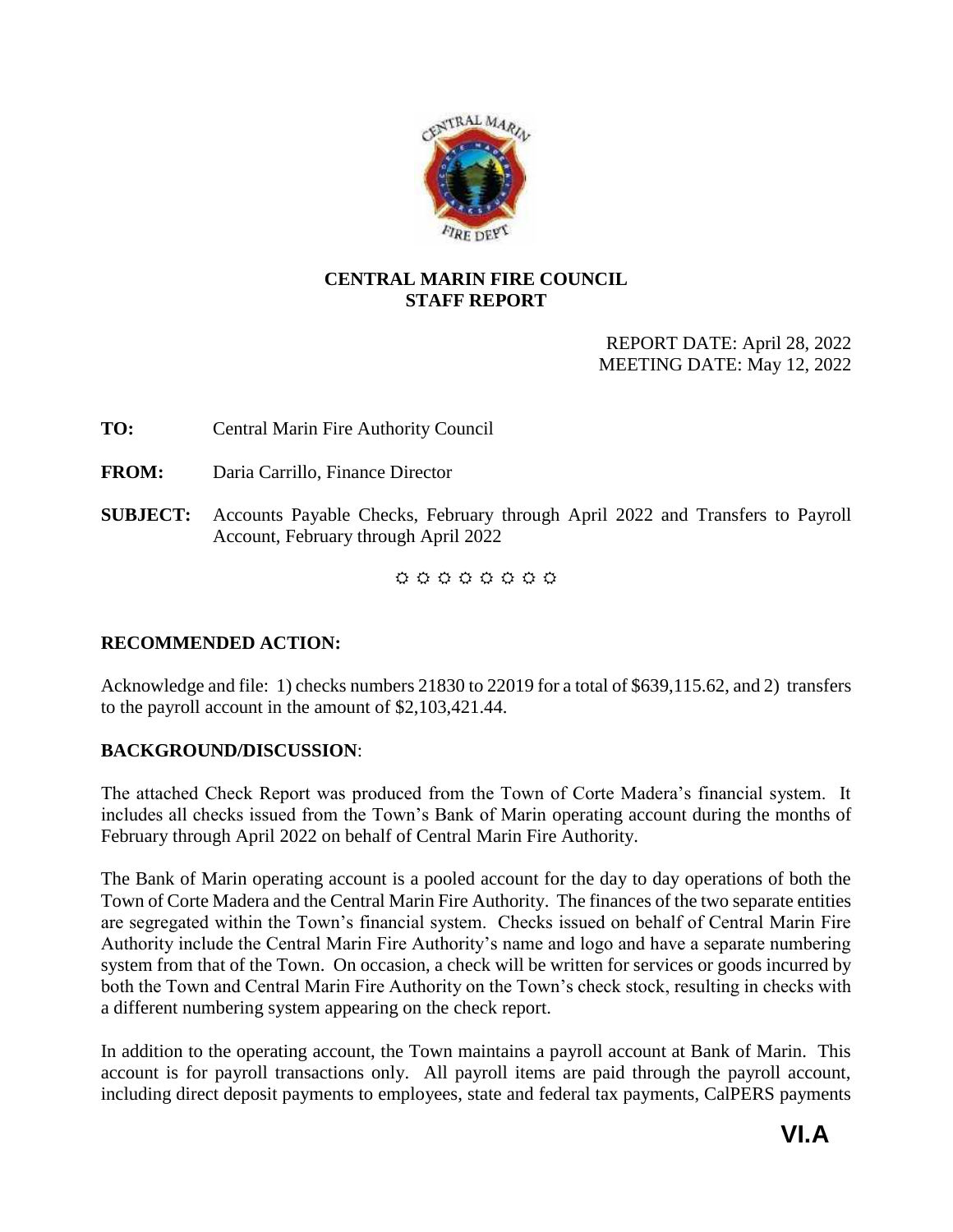

## <span id="page-6-0"></span>**CENTRAL MARIN FIRE COUNCIL STAFF REPORT**

## REPORT DATE: April 28, 2022 MEETING DATE: May 12, 2022

**TO:** Central Marin Fire Authority Council

**FROM:** Daria Carrillo, Finance Director

**SUBJECT:** Accounts Payable Checks, February through April 2022 and Transfers to Payroll Account, February through April 2022

 $0 0 0 0 0 0 0 0 0$ 

## **RECOMMENDED ACTION:**

Acknowledge and file: 1) checks numbers 21830 to 22019 for a total of \$639,115.62, and 2) transfers to the payroll account in the amount of \$2,103,421.44.

## **BACKGROUND/DISCUSSION**:

The attached Check Report was produced from the Town of Corte Madera's financial system. It includes all checks issued from the Town's Bank of Marin operating account during the months of February through April 2022 on behalf of Central Marin Fire Authority.

The Bank of Marin operating account is a pooled account for the day to day operations of both the Town of Corte Madera and the Central Marin Fire Authority. The finances of the two separate entities are segregated within the Town's financial system. Checks issued on behalf of Central Marin Fire Authority include the Central Marin Fire Authority's name and logo and have a separate numbering system from that of the Town. On occasion, a check will be written for services or goods incurred by both the Town and Central Marin Fire Authority on the Town's check stock, resulting in checks with a different numbering system appearing on the check report.

In addition to the operating account, the Town maintains a payroll account at Bank of Marin. This account is for payroll transactions only. All payroll items are paid through the payroll account, including direct deposit payments to employees, state and federal tax payments, CalPERS payments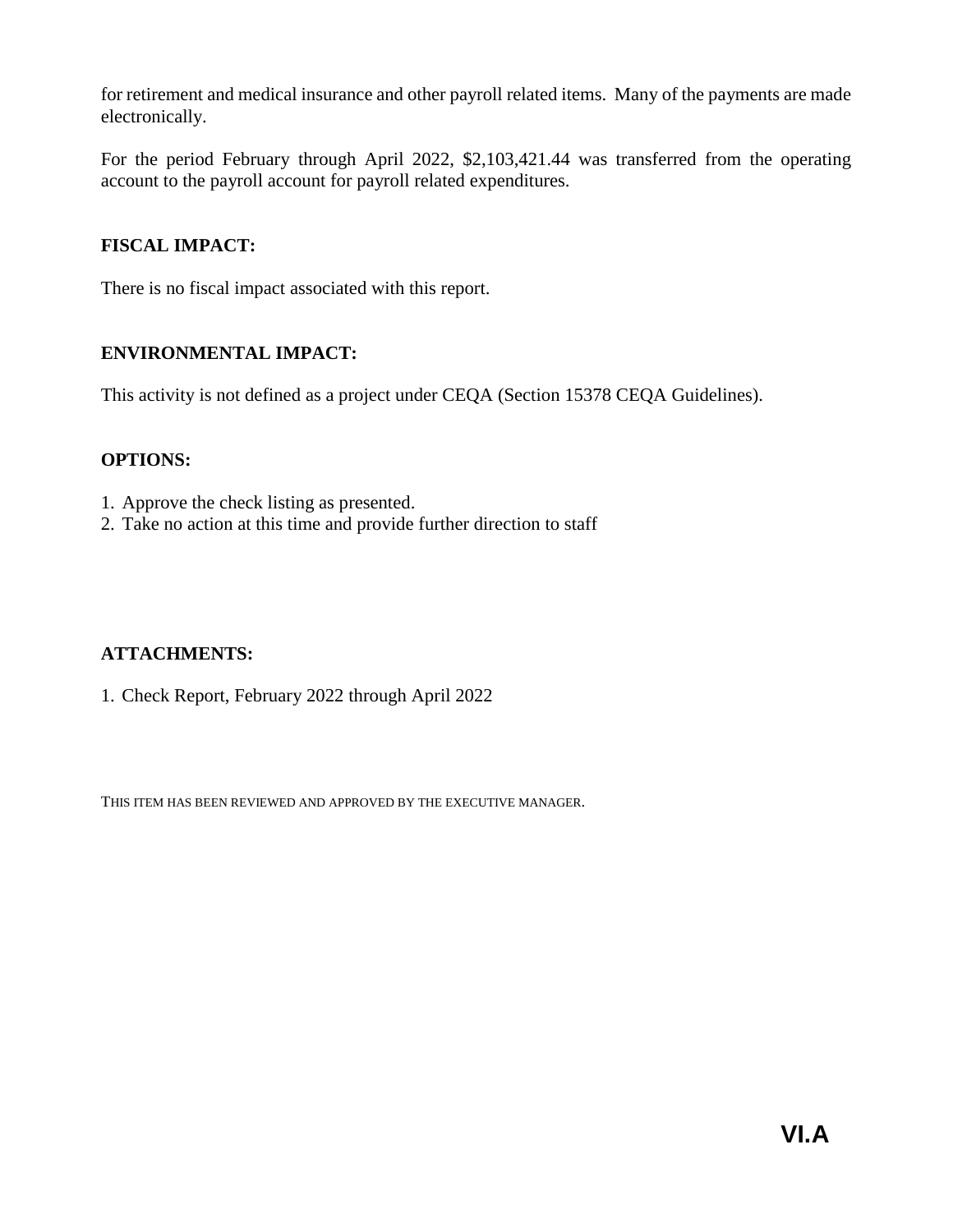for retirement and medical insurance and other payroll related items. Many of the payments are made electronically.

For the period February through April 2022, \$2,103,421.44 was transferred from the operating account to the payroll account for payroll related expenditures.

## **FISCAL IMPACT:**

There is no fiscal impact associated with this report.

## **ENVIRONMENTAL IMPACT:**

This activity is not defined as a project under CEQA (Section 15378 CEQA Guidelines).

## **OPTIONS:**

- 1. Approve the check listing as presented.
- 2. Take no action at this time and provide further direction to staff

## **ATTACHMENTS:**

1. Check Report, February 2022 through April 2022

THIS ITEM HAS BEEN REVIEWED AND APPROVED BY THE EXECUTIVE MANAGER.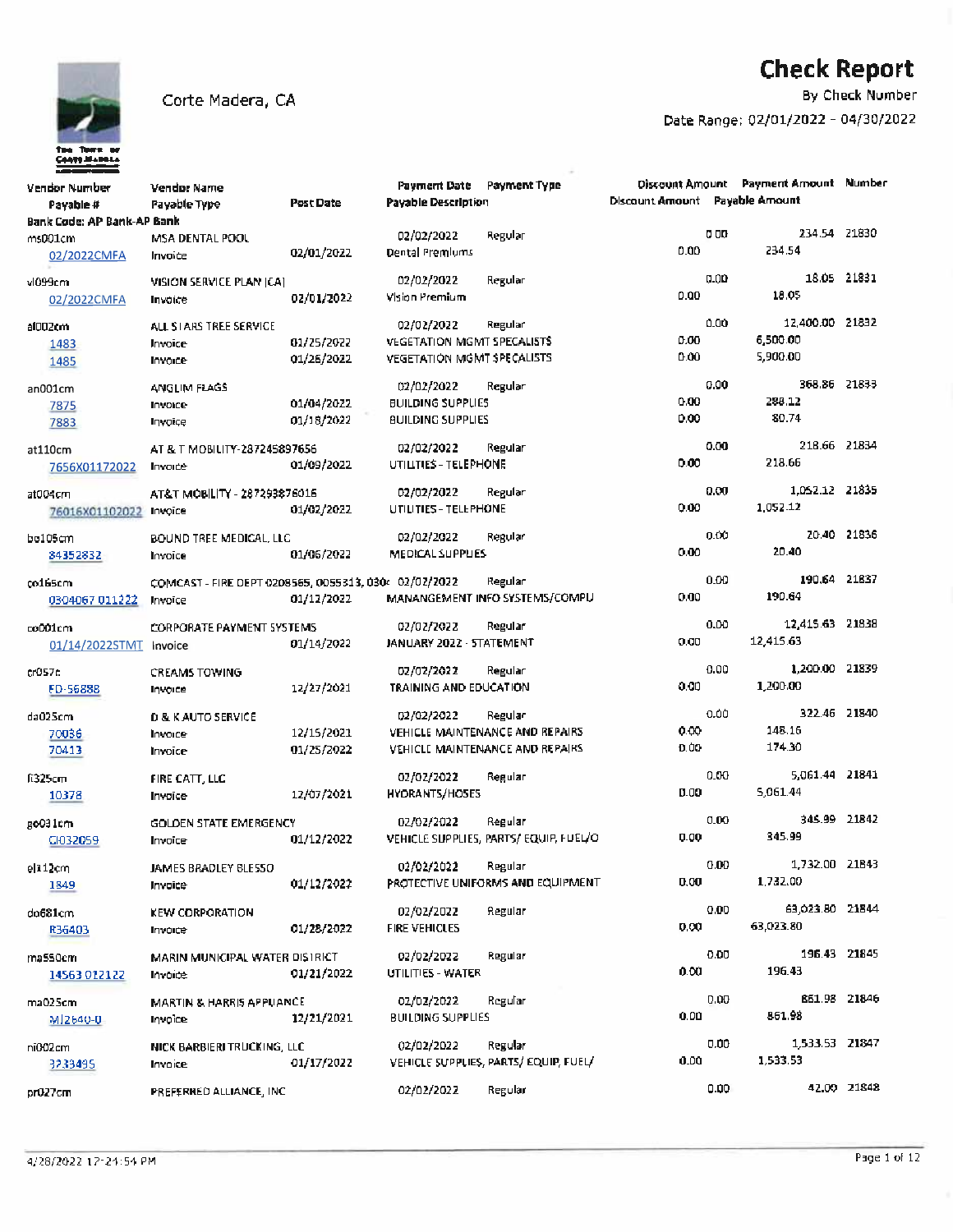

By Check Number

| Vendor Number<br>Payable # | Vendor Name<br><b>Payable Type</b>                    | Post Date  | Payment Date Payment Type<br><b>Payable Description</b> |                                       | <b>Discount Amount</b> Payable Amount |             | <b>Discount Amount</b> Payment Amount Number |              |
|----------------------------|-------------------------------------------------------|------------|---------------------------------------------------------|---------------------------------------|---------------------------------------|-------------|----------------------------------------------|--------------|
| Bank Code: AP Bank-AP Bank |                                                       |            |                                                         |                                       |                                       |             |                                              |              |
| ms001cm                    | MSA DENTAL POOL                                       |            | 02/02/2022                                              | Regular                               |                                       | <b>0 OD</b> | 234.54 21830                                 |              |
| 02/2022CMFA                | Invoice                                               | 02/01/2022 | Dental Premiums                                         |                                       | 0.00                                  |             | 234.54                                       |              |
| vl099cm                    | VISION SERVICE PLAN (CA)                              |            | 02/02/2022                                              | Regular                               |                                       | 0.00        |                                              | 18.05 21831  |
| 02/2022CMFA                | Invoice                                               | 02/01/2022 | Vision Premium                                          |                                       | 0.00                                  |             | 18.05                                        |              |
|                            |                                                       |            |                                                         |                                       |                                       |             |                                              |              |
| al002cm                    | ALL STARS TREE SERVICE                                |            | 02/02/2022                                              | Regular                               |                                       | 0.00        | 12,400.00 21832                              |              |
| 1483                       | Invoice                                               | 01/25/2022 | <b>VEGETATION MGMT SPECALISTS</b>                       |                                       | 0.00                                  |             | 6,500.00                                     |              |
| 1485                       | Invoice                                               | 01/26/2022 | VEGETATION MGMT SPECALISTS                              |                                       | 0.00                                  |             | 5,900.00                                     |              |
| an001cm                    | <b>ANGLIM FLAGS</b>                                   |            | 02/02/2022                                              | Regular                               |                                       | 0.00        | 368.86 21833                                 |              |
| 7875                       | Invoice                                               | 01/04/2022 | <b>BUILDING SUPPLIES</b>                                |                                       | 0.00                                  |             | 288.12                                       |              |
| 7883                       | Invoice                                               | 01/18/2022 | <b>BUILDING SUPPLIES</b>                                |                                       | 0.00                                  |             | 80.74                                        |              |
|                            |                                                       |            |                                                         |                                       |                                       |             |                                              |              |
| at110cm                    | AT & T MOBILITY-287245897656                          |            | 02/02/2022                                              | Regular                               |                                       | 0.00        | 218.66 21834                                 |              |
| 7656X01172022              | Invoice                                               | 01/09/2022 | UTILITIES - TELEPHONE                                   |                                       | 0.00                                  |             | 218.66                                       |              |
|                            |                                                       |            | 02/02/2022                                              | Regular                               |                                       | 0.00        | 1,052.12 21835                               |              |
| at004cm                    | AT&T MOBILITY - 287293876016                          | 01/02/2022 | UTILITIES - TELEPHONE                                   |                                       | 0.00                                  |             | 1.052.12                                     |              |
| 76016X01102022             | Invoice                                               |            |                                                         |                                       |                                       |             |                                              |              |
| bo105cm                    | BOUND TREE MEDICAL, LLC                               |            | 02/02/2022                                              | Regular                               |                                       | 0.00        |                                              | 20.40 21836  |
| 84352832                   | Invoice                                               | 01/06/2022 | MEDICAL SUPPLIES                                        |                                       | 0.00                                  |             | 20.40                                        |              |
|                            |                                                       |            |                                                         |                                       |                                       | 0.00        | 190.64 21837                                 |              |
| 00165cm                    | COMCAST - FIRE DEPT 0208565, 0055313, 030< 02/02/2022 |            |                                                         | Regular                               | 0.00                                  |             | 190.64                                       |              |
| 0304067 011222             | Invoice                                               | 01/12/2022 |                                                         | MANANGEMENT INFO SYSTEMS/COMPU        |                                       |             |                                              |              |
| co001cm                    | <b>CORPORATE PAYMENT SYSTEMS</b>                      |            | 02/02/2022                                              | Regular                               |                                       | 0.00        | 12,415.63 21838                              |              |
| 01/14/2022STMT Invoice     |                                                       | 01/14/2022 | JANUARY 2022 - STATEMENT                                |                                       | 0.00                                  |             | 12,415.63                                    |              |
|                            |                                                       |            |                                                         |                                       |                                       |             |                                              |              |
| cr057c                     | <b>CREAMS TOWING</b>                                  |            | 02/02/2022                                              | Regular                               |                                       | 0.00        | 1,200.00 21839                               |              |
| FD-56888                   | Invoice                                               | 12/27/2021 | TRAINING AND EDUCATION                                  |                                       | 0.00                                  |             | 1,200.00                                     |              |
| da025cm                    | <b>D &amp; K AUTO SERVICE</b>                         |            | 02/02/2022                                              | Regular                               |                                       | 0.00        | 322.46 21840                                 |              |
| 70036                      | Invoice                                               | 12/15/2021 |                                                         | VEHICLE MAINTENANCE AND REPAIRS       | 0.00                                  |             | 148.16                                       |              |
| 70413                      | Invoice                                               | 01/25/2022 |                                                         | VEHICLE MAINTENANCE AND REPAIRS       | 0.00                                  |             | 174.30                                       |              |
|                            |                                                       |            |                                                         |                                       |                                       |             |                                              |              |
| ft325cm                    | FIRE CATT, LLC                                        |            | 02/02/2022                                              | Regular                               |                                       | 0.00        | 5,061.44 21841                               |              |
| 10378                      | Invoice                                               | 12/07/2021 | HYDRANTS/HOSES                                          |                                       | 0.00                                  |             | 5,061.44                                     |              |
|                            | GOLDEN STATE EMERGENCY                                |            | 02/02/2022                                              | Regular                               |                                       | 0.00        |                                              | 345.99 21842 |
| go031cm                    |                                                       | 01/12/2022 |                                                         | VEHICLE SUPPLIES, PARTS/EQUIP, FUEL/O | 0.00                                  |             | 345.99                                       |              |
| CI032059                   | Invoice                                               |            |                                                         |                                       |                                       |             |                                              |              |
| el112cm                    | JAMES BRADLEY BLE550                                  |            | 02/02/2022                                              | Regular                               |                                       | 0.00        | 1.732.00 21843                               |              |
| 1849                       | Invoice                                               | 01/12/2022 |                                                         | PROTECTIVE UNIFORMS AND EQUIPMENT     | 0.00                                  |             | 1,732.00                                     |              |
|                            |                                                       |            |                                                         |                                       |                                       | 0.00        | 63,023.80 21844                              |              |
| do681cm                    | <b>KEW CORPORATION</b>                                |            | 02/02/2022                                              | Regular                               | 0.00                                  |             | 63,023.80                                    |              |
| R36403                     | Invoice                                               | 01/28/2022 | FIRE VEHICLES                                           |                                       |                                       |             |                                              |              |
| ma550cm                    | MARIN MUNICIPAL WATER DISTRICT                        |            | 02/02/2022                                              | Regular                               |                                       | 0.00        |                                              | 196.43 21845 |
| 14563 012122               | Invoice                                               | 01/21/2022 | UTILITIES - WATER                                       |                                       | 0.00.                                 |             | 196.43                                       |              |
|                            |                                                       |            |                                                         |                                       |                                       |             |                                              |              |
| ma025cm                    | <b>MARTIN &amp; HARRIS APPLIANCE</b>                  |            | 02/02/2022                                              | Regular                               |                                       | 0.00        |                                              | 851.98 21846 |
| MI2640-0                   | Invoice                                               | 12/21/2021 | BUILDING SUPPLIES                                       |                                       | 0.00                                  |             | 861.98                                       |              |
| ni002cm                    | NICK BARBIERI TRUCKING, LLC                           |            | 02/02/2022                                              | Regular                               |                                       | 0.00        | 1,533.53 21847                               |              |
| 3233495                    | Invoice                                               | 01/17/2022 |                                                         | VEHICLE SUPPLIES, PARTS/ EQUIP, FUEL/ | 0.00                                  |             | 1,533.53                                     |              |
|                            |                                                       |            |                                                         |                                       |                                       |             |                                              |              |
| pr027cm                    | PREFERRED ALLIANCE, INC.                              |            | 02/02/2022                                              | Regulari                              |                                       | 0.00        |                                              | 42.00 21848  |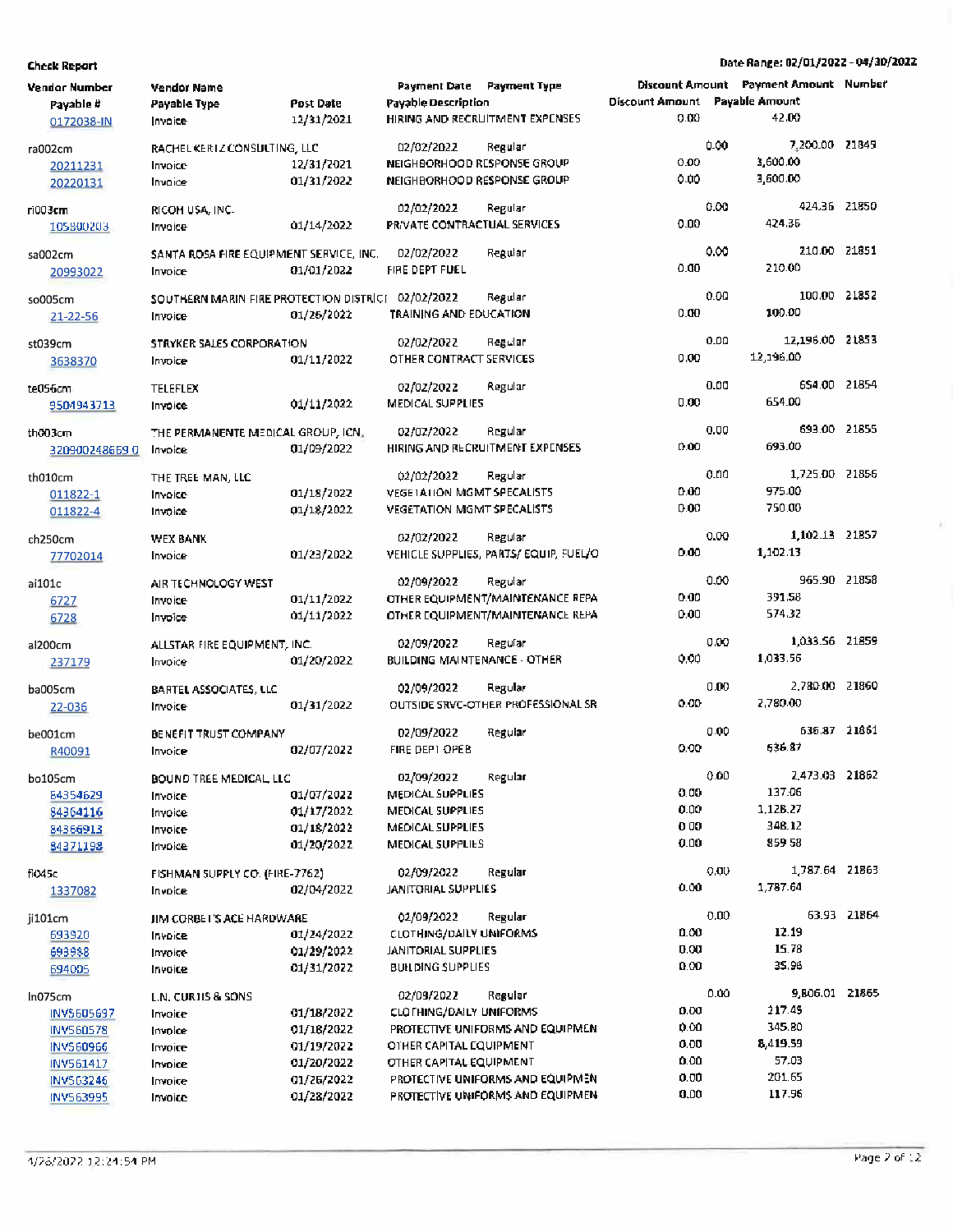Date Range: 02/01/2022 - 04/30/2022

| Vendor Number<br>Payable #<br>0172038-IN                                                             | <b>Vendor Name</b><br>Payable Type<br>Invoice                                        | <b>Post Date</b><br>12/31/2021                                                   | Payment Date Payment Type<br>Payable Description                                                   | HIRING AND RECRLITMENT EXPENSES.                                                                                    | Discount Amount Payable Amount<br>0.00       |      | Discount Amount Payment Amount Number<br>42.00                              |             |
|------------------------------------------------------------------------------------------------------|--------------------------------------------------------------------------------------|----------------------------------------------------------------------------------|----------------------------------------------------------------------------------------------------|---------------------------------------------------------------------------------------------------------------------|----------------------------------------------|------|-----------------------------------------------------------------------------|-------------|
| ra002cm<br>20211231<br>20220131                                                                      | RACHEL KERTZ CONSULTING, LLC<br>Invoice<br>Invoice                                   | 12/31/2021<br>01/31/2022                                                         | 02/02/2022<br>NEIGHBORHOOD RESPONSE GROUP<br>NEIGHBORHOOD RESPONSE GROUP                           | Regular                                                                                                             | 0.00<br>0.00                                 | 0.00 | 7,200.00 21849<br>3,600.00<br>3,600.00                                      |             |
| ri003cm<br>105800203                                                                                 | RICOH USA, INC.<br>Invoice                                                           | 01/14/2022                                                                       | 02/02/2022<br>PRIVATE CONTRACTUAL SERVICES                                                         | Regular                                                                                                             | 0.00                                         | 0.00 | 424.36 21850<br>424.35                                                      |             |
| sa002cm<br>20993022                                                                                  | SANTA ROSA FIRE EQUIPMENT SERVICE, INC.<br>Invoice                                   | 01/01/2022                                                                       | 02/02/2022<br>FIRE DEPT FUEL                                                                       | Regular                                                                                                             | 0.00                                         | 0.00 | 210.00 21851<br>210.00                                                      |             |
| so005cm<br>$21 - 22 - 56$                                                                            | SOUTHERN MARIN FIRE PROTECTION DISTRICT 02/02/2022<br>Invoice                        | 01/26/2022                                                                       | TRAINING AND EDUCATION                                                                             | Regular                                                                                                             | 0.00                                         | 0.00 | 100.00 21852<br>100.00                                                      |             |
| st039cm<br>3638370                                                                                   | STRYKER SALES CORPORATION<br>Invoice                                                 | 01/11/2022                                                                       | 02/02/2022<br>OTHER CONTRACT SERVICES                                                              | Regular                                                                                                             | 0.00                                         | 0.00 | 12,196.00 21853<br>12,196.00                                                |             |
| te056cm<br>9504943713                                                                                | <b>TELEFLEX</b><br>Invoice                                                           | 01/11/2022                                                                       | 02/02/2022<br>MEDICAL SUPPLIES                                                                     | Regular                                                                                                             | 0.00                                         | 0.00 | 654.00 21854<br>654.00                                                      |             |
| th003cm<br>3209002486590                                                                             | THE PERMANENTE MEDICAL GROUP, ICN.<br>Invoice                                        | 01/09/2022                                                                       | 02/02/2022                                                                                         | Regular<br>HIRING AND RECRUITMENT EXPENSES                                                                          | 0.00                                         | 0.00 | 693.00 21855<br>693.00                                                      |             |
| th010cm<br>011822-1<br>011822-4                                                                      | THE TREE MAN, LLC<br>Invoice<br>Invoice                                              | 01/18/2022<br>01/18/2022                                                         | 02/02/2022<br>VEGETATION MGMT SPECALISTS<br><b>VEGETATION MGMT SPECALISTS</b>                      | Regular                                                                                                             | 0.00<br>0.00                                 | o.no | 1,725.00 21856<br>975.00<br>750.00                                          |             |
| ch250cm<br>77702014                                                                                  | WEX BANK<br>Invoice                                                                  | 01/23/2022                                                                       | 02/02/2022                                                                                         | Regular<br>VEHICLE SUPPLIES, PARTS/ EQUIP, FUEL/O                                                                   | 0.00                                         | 0.00 | 1,102.13 21857<br>1,102.13                                                  |             |
| ai101c<br>6727<br>6728                                                                               | AIR TECHNOLOGY WEST<br>Invoice<br>Invoice                                            | 01/11/2022<br>01/11/2022                                                         | 02/09/2022                                                                                         | Regular<br>OTHER EQUIPMENT/MAINTENANCE REPA<br>OTHER EQUIPMENT/MAINTENANCE REPA                                     | 0.00<br>0.00                                 | 0.00 | 965.90 21858<br>391.58<br>574.32                                            |             |
| al200cm<br>237179                                                                                    | ALLSTAR FIRE EQUIPMENT, INC.<br>Invoice                                              | 01/20/2022                                                                       | 02/09/2022<br><b>BUILDING MAINTENANCE - OTHER</b>                                                  | Regular                                                                                                             | 0.00                                         | 0.00 | 1,033.56 21859<br>1,033.56                                                  |             |
| ba005cm<br>22-036                                                                                    | BARTEL ASSOCIATES, LLC<br>Invoice                                                    | 01/31/2022                                                                       | 02/09/2022                                                                                         | Regular<br>OUTSIDE SRVC-OTHER PROFESSIONAL SR                                                                       | 0.00                                         | 0.00 | 2.780.00 21860<br>2,780.00                                                  |             |
| be001cm<br>R40091                                                                                    | BENEFIT TRUST COMPANY<br>Invoice                                                     | 02/07/2022                                                                       | 02/09/2022<br>FIRE DEPT OPEB                                                                       | Regular                                                                                                             | 0.00                                         | 0.00 | 636.87 21861<br>636.87                                                      |             |
| bo105cm<br>84354629<br>84364116<br>84366913<br>84371198                                              | BOUND TREE MEDICAL, LLC<br>Invoice<br>Invoice<br>Invoice<br>Invoice                  | 01/07/2022<br>01/17/2022<br>01/18/2022<br>01/20/2022                             | 02/09/2022<br>MEDICAL SUPPLIES<br>MEDICAL SUPPLIES<br>MEDICAL SUPPLIES<br>MEDICAL SUPPLIES         | Regular                                                                                                             | 0.00<br>0.00<br>0 00<br>0.00                 | 0.00 | 2,473.03 21862<br>137.06<br>1,128.27<br>348.12<br>85958                     |             |
| fio45c<br>1337082                                                                                    | FISHMAN SUPPLY CO. (FIRE-7762)<br>Invoice                                            | 02/04/2022                                                                       | 02/09/2022<br>JANITORIAL SUPPLIES                                                                  | Regular                                                                                                             | 0.00                                         | 0.00 | 1,787.64 21863<br>1,787.64                                                  |             |
| ji101cm<br>693920<br>693988<br>694005                                                                | JIM CORBET'S ACE HARDWARE<br>Invoice<br>Invoice<br>Invoice                           | 01/24/2022<br>01/29/2022<br>01/31/2022                                           | 02/09/2022<br>CLOTHING/DAILY UNIFORMS<br><b>JANITORIAL SUPPLIES</b><br><b>BUILDING SUPPLIES</b>    | Regular                                                                                                             | 0.00<br>0.00<br>0.00                         | 0.00 | 12.19<br>15.78<br>35.96                                                     | 63.93 21864 |
| ln075cm<br>INV5605697<br><b>INV560578</b><br><b>INVS60966</b><br>INV561417<br>INV563246<br>INV563995 | L.N. CURTIS & SONS<br>Invoice<br>Invoice<br>Invoice<br>Invoice<br>Invoice<br>Invoice | 01/18/2022<br>01/18/2022<br>01/19/2022<br>01/20/2022<br>01/26/2022<br>01/28/2022 | 02/09/2022<br><b>CLOTHING/DAILY UNIFORMS</b><br>OTHER CAPITAL EQUIPMENT<br>OTHER CAPITAL EQUIPMENT | Regular<br>PROTECTIVE UNIFORMS AND EQUIPMEN<br>PROTECTIVE UNIFORMS AND EQUIPMEN<br>PROTECTIVE UNIFORMS AND EQUIPMEN | 0.00<br>0.00<br>0.00<br>0.00<br>0.00<br>0.00 | 0.00 | 9,806.01 21865<br>217.45<br>345.80<br>8,419.59<br>57.03<br>201.65<br>117.96 |             |

 $\hat{A}$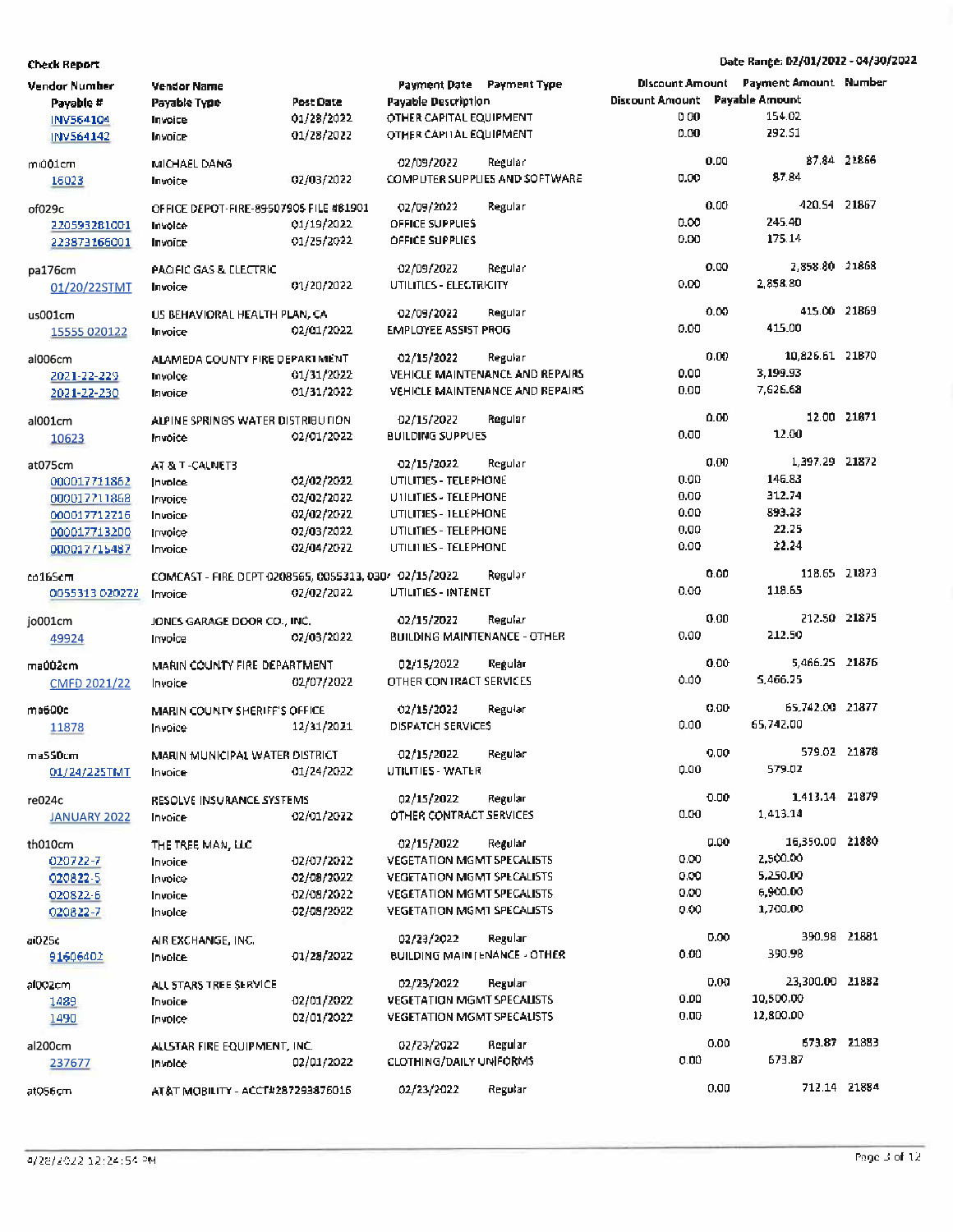| Vendor Number<br>Payable # | <b>Vendor Name</b><br>Payable Type                    | Post Date                | Payment Date Payment Type<br><b>Payable Description</b> |                                 | Discount Amount Payable Amount<br>000 |      | <b>Discount Amount</b> Payment Amount Number<br>154.02 |              |
|----------------------------|-------------------------------------------------------|--------------------------|---------------------------------------------------------|---------------------------------|---------------------------------------|------|--------------------------------------------------------|--------------|
| INV564104<br>INV564142     | Invoice<br>Invoice                                    | 01/28/2022<br>01/28/2022 | OTHER CAPITAL EQUIPMENT<br>OTHER CAPITAL EQUIPMENT      |                                 | 0.00                                  |      | 292.51                                                 |              |
| mı001cm                    | MICHAEL DANG                                          |                          | 02/09/2022                                              | Regular                         |                                       | 0.00 |                                                        | 87.84 21866  |
| 16023                      | Invoice                                               | 02/03/2022               |                                                         | COMPUTER SUPPLIES AND SOFTWARE  | 0.00                                  |      | 87.84                                                  |              |
| of029c                     | OFFICE DEPOT-FIRE-89507905 FILE #81901                |                          | 02/09/2022                                              | Regular                         |                                       | 0.00 | 420.54 21867                                           |              |
| 220593281001               | Invoice                                               | 01/19/2022               | <b>OFFICE SUPPLIES</b>                                  |                                 | 0.00                                  |      | 245.40                                                 |              |
| 223873166001               | Invoice                                               | 01/25/2022               | <b>OFFICE SUPPLIES</b>                                  |                                 | 0.00                                  |      | 175.14                                                 |              |
| pa176cm                    | PACIFIC GAS & ELECTRIC                                |                          | 02/09/2022                                              | Regular                         |                                       | 0.00 | 2,858.80 21868                                         |              |
| 01/20/22STMT               | Invoice                                               | 01/20/2022               | UTILITIES - ELECTRICITY                                 |                                 | 0.00                                  |      | 2,858.80                                               |              |
| us001cm                    | US BEHAVIORAL HEALTH PLAN, CA                         |                          | 02/09/2022                                              | Regular                         |                                       | 0.00 | 415.00 21869                                           |              |
| 15555 020122               | Invoice                                               | 02/01/2022               | <b>EMPLOYEE ASSIST PROG</b>                             |                                 | 0.00                                  |      | 415.00                                                 |              |
| al006cm                    | ALAMEDA COUNTY FIRE DEPARTMENT                        |                          | 02/15/2022                                              | Regular                         |                                       | 0.00 | 10,826.61 21870                                        |              |
| 2021-22-229                | Invoice                                               | 01/31/2022               |                                                         | VEHICLE MAINTENANCE AND REPAIRS | 0.00                                  |      | 3,199.93                                               |              |
| 2021-22-230                | Invoice                                               | 01/31/2022               |                                                         | VEHICLE MAINTENANCE AND REPAIRS | 0.00                                  |      | 7,626.68                                               |              |
| al001cm                    | ALPINE SPRINGS WATER DISTRIBUTION                     |                          | 02/15/2022                                              | Regular                         |                                       | 0.00 |                                                        | 12.00 21871  |
| 10623                      | Invoice                                               | 02/01/2022               | <b>BUILDING SUPPLIES</b>                                |                                 | 0.00                                  |      | 12.00                                                  |              |
| at075cm                    | AT & T-CALNET3                                        |                          | 02/15/2022                                              | Regular                         |                                       | 0.00 | 1,397.29 21872                                         |              |
| 000017711862               | Invoice                                               | 02/02/2022               | UTILITIES - TELEPHONE                                   |                                 | 0.00                                  |      | 146.83                                                 |              |
| 000017711868               | Invoice                                               | 02/02/2022               | UTILITIES - TELEPHONE                                   |                                 | 0.00                                  |      | 312.74                                                 |              |
| 000017712216               | Invoice                                               | 02/02/2022               | UTILITIES - I ELEPHONE                                  |                                 | 0.00                                  |      | 893.23                                                 |              |
| 000017713200               | Invoice                                               | 02/03/2022               | UTILITIES - TELEPHONE                                   |                                 | 0,00                                  |      | 22.25                                                  |              |
| 000017715487               | Invoice                                               | 02/04/2022               | UTILITIES - TELEPHONE                                   |                                 | 0.00                                  |      | 22.24                                                  |              |
| co165cm                    | COMCAST - FIRE DEPT 0208565, 0055313, 030/ 02/15/2022 |                          |                                                         | Regular                         |                                       | 0.00 | 118.65 21873                                           |              |
| 0055313 020222             | Invoice                                               | 02/02/2022               | <b>UTILITIES - INTENET</b>                              |                                 | 0.00                                  |      | 118.65                                                 |              |
| jo001cm                    | JONES GARAGE DOOR CO., INC.                           |                          | 02/15/2022                                              | Regular                         |                                       | 0.00 | 212.50 21875                                           |              |
| 49924                      | Invoice                                               | 02/03/2022               | <b>BUILDING MAINTENANCE - OTHER</b>                     |                                 | 0.00                                  |      | 212.50                                                 |              |
| ma002cm                    | MARIN COUNTY FIRE DEPARTMENT                          |                          | 02/15/2022                                              | Regular                         |                                       | 0.00 | 5,466.25 21876                                         |              |
| CMFD 2021/22               | Invoice                                               | 02/07/2022               | OTHER CONTRACT SERVICES                                 |                                 | 0.00                                  |      | 5,466.25                                               |              |
| ma600c                     | MARIN COUNTY SHERIFF'S OFFICE                         |                          | 02/15/2022                                              | Regular                         |                                       | 0.00 | 65,742.00 21877                                        |              |
| 11878                      | Invoice                                               | 12/31/2021               | DISPATCH SERVICES                                       |                                 | 0.00                                  |      | 65,742.00                                              |              |
| ma550cm                    | MARIN MUNICIPAL WATER DISTRICT                        |                          | 02/15/2022                                              | Regular                         |                                       | 0.00 | 579.02 21878                                           |              |
| 01/24/225TMT               | Invoice                                               | 01/24/2022               | UTILITIES - WATER                                       |                                 | 0.00                                  |      | 579.02                                                 |              |
| re024c                     | RESOLVE INSURANCE SYSTEMS                             |                          | 02/15/2022                                              | Regular                         |                                       | 0.00 | 1.413.14 21879                                         |              |
| <b>JANUARY 2022</b>        | Invoice                                               | 02/01/2022               | OTHER CONTRACT SERVICES                                 |                                 | 0.00                                  |      | 1,413.14                                               |              |
| th010cm                    | THE TREE MAN, LLC                                     |                          | 02/15/2022                                              | Regular                         |                                       | 0.00 | 16,350.00 21880                                        |              |
| 020722-7                   | Invoice                                               | 02/07/2022               | <b>VEGETATION MGMT SPECALISTS</b>                       |                                 | 0.00                                  |      | 2,500.00                                               |              |
| 020822-5                   | Invoice                                               | 02/08/2022               | <b>VEGETATION MGMT SPECALISTS</b>                       |                                 | 0.00                                  |      | 5,250.00                                               |              |
| 020822-6                   | Invoice                                               | 02/08/2022               | <b>VEGETATION MGMT SPECALISTS</b>                       |                                 | 0.00                                  |      | 6,900.00                                               |              |
| 020822-7                   | Invoice                                               | 02/08/2022               | <b>VEGETATION MGM1 SPECALISTS</b>                       |                                 | 0.00                                  |      | 1,700.00                                               |              |
| ai025c                     | AIR EXCHANGE, INC.                                    |                          | 02/23/2022                                              | Regular                         |                                       | 0.00 | 390.98 21881                                           |              |
| 91606402                   | Invoice                                               | 01/28/2022               | BUILDING MAINTENANCE - OTHER                            |                                 | 0.00                                  |      | 390.98                                                 |              |
| alDOZcm                    | ALL STARS TREE SERVICE                                |                          | 02/23/2022                                              | Regular                         |                                       | 0.00 | 23,300.00 21882                                        |              |
| 1489                       | Invoice                                               | 02/01/2022               | VEGETATION MGMT SPECALISTS                              |                                 | 0.00                                  |      | 10,500.00                                              |              |
| 1490                       | Invoice                                               | 02/01/2022               | VEGETATION MGMT SPECALISTS                              |                                 | 0.00                                  |      | 12,800.00                                              |              |
| al200cm                    | ALLSTAR FIRE EQUIPMENT, INC.                          |                          | 02/23/2022                                              | Regular                         |                                       | 0.00 |                                                        | 673.87 21883 |
| 237677                     | <b>Invoice</b>                                        | 02/01/2022               | CLOTHING/DAILY UNIFORMS                                 |                                 | 0.00                                  |      | 673.87                                                 |              |
| at056cm                    | AT&T MOBILITY - ACCT#287293876016                     |                          | 02/23/2022                                              | Regular                         |                                       | 0.00 |                                                        | 712.14 21884 |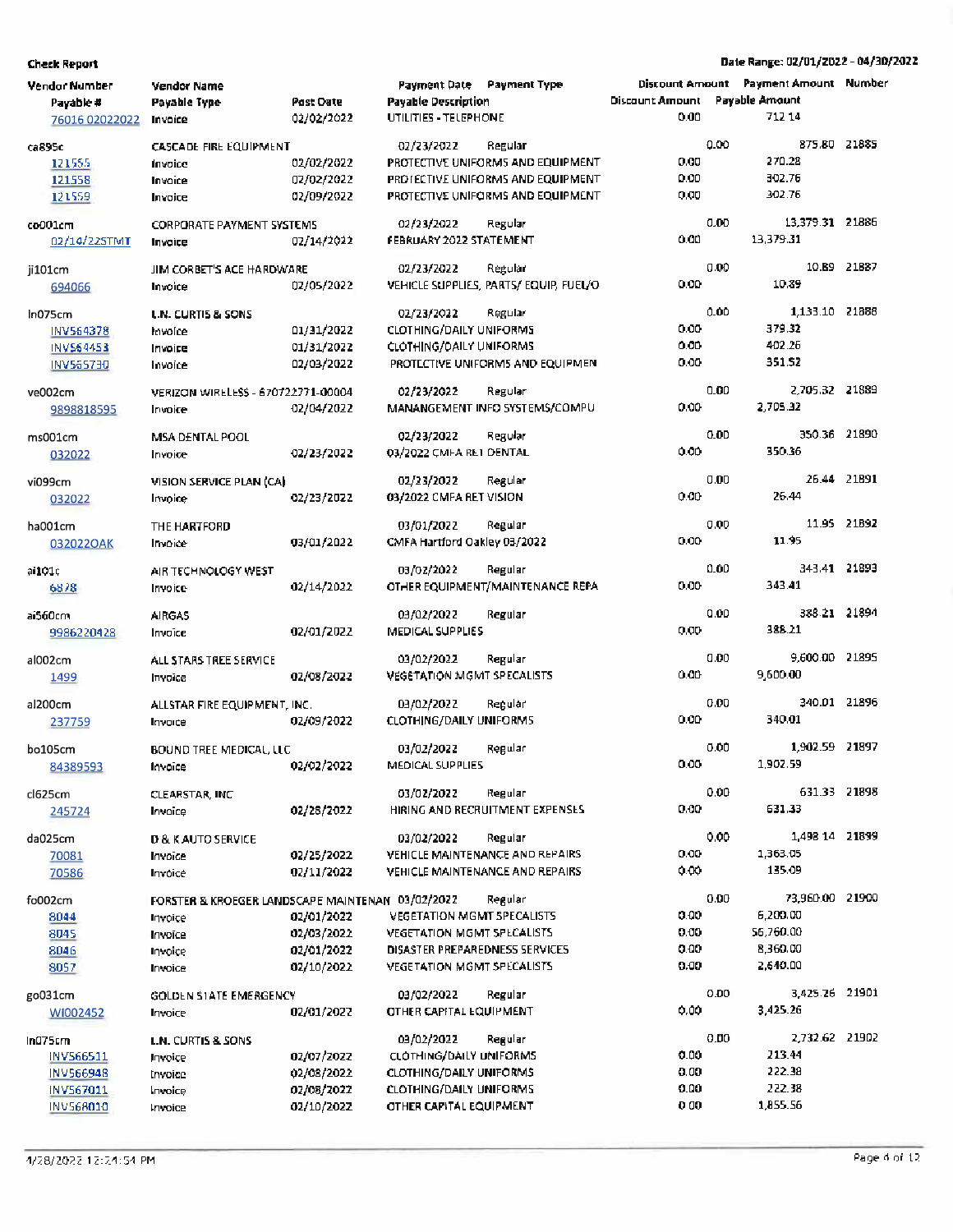| Vendor Number  | Vendor Name                                      |                  | Payment Date Payment Type         |                                       |                        |      | Discount Amount Payment Amount Number |             |
|----------------|--------------------------------------------------|------------------|-----------------------------------|---------------------------------------|------------------------|------|---------------------------------------|-------------|
| Payable #      | Payable Type                                     | <b>Past Date</b> | <b>Payable Description</b>        |                                       | <b>Discount Amount</b> |      | Payable Amount                        |             |
| 76016 02022022 | Invoice                                          | 02/02/2022       | UTILITIES - TELEPHONE             |                                       | 0.00                   |      | 71214                                 |             |
|                |                                                  |                  |                                   |                                       |                        |      |                                       |             |
| ca895c         | CASCADE FIRE EQUIPMENT                           |                  | 02/23/2022                        | Regular                               |                        | 0.00 | 875.80 21885                          |             |
| 121555         | Invoice                                          | 02/02/2022       |                                   | PROTECTIVE UNIFORMS AND EQUIPMENT     | 0.00                   |      | 270.28                                |             |
| 121558         | Invoice                                          | 02/02/2022       |                                   | PROTECTIVE UNIFORMS AND EQUIPMENT     | 0.00                   |      | 302.76                                |             |
| 121559         | Invoice                                          | 02/09/2022       |                                   | PROTECTIVE UNIFORMS AND EQUIPMENT     | 0,00                   |      | 302.76                                |             |
|                |                                                  |                  |                                   |                                       |                        |      |                                       |             |
| co001cm        | <b>CORPORATE PAYMENT SYSTEMS</b>                 |                  | 02/23/2022                        | Regular                               |                        | 0.00 | 13,379.31 21886                       |             |
| 02/14/22STMT   | Invoice                                          | 02/14/2022       | FEBRUARY 2022 STATEMENT           |                                       | 0.00                   |      | 13.379.31                             |             |
|                |                                                  |                  | 02/23/2022                        | Regular                               |                        | 0.00 |                                       | 10.89 21887 |
| ji101cm        | JIM CORBET'S ACE HARDWARE                        |                  |                                   |                                       | 0.00                   |      | 10.89                                 |             |
| 694066         | Invoice                                          | 02/05/2022       |                                   | VEHICLE SUPPLIES, PARTS/EQUIP, FUEL/O |                        |      |                                       |             |
| In075cm        | <b>L.N. CURTIS &amp; SONS</b>                    |                  | 02/23/2022                        | Regular                               |                        | 0.00 | 1,133.10 21888                        |             |
| INV564378      | Invoice                                          | 01/31/2022       | <b>CLOTHING/DAILY UNIFORMS</b>    |                                       | 0.00                   |      | 379.32                                |             |
| INV564453      | Invoice                                          | 01/31/2022       | <b>CLOTHING/DAILY UNIFORMS</b>    |                                       | 0.00                   |      | 402.26                                |             |
| INV565730      | Invoice                                          | 02/03/2022       |                                   | PROTECTIVE UNIFORMS AND EQUIPMEN      | 0.00                   |      | 351.52                                |             |
|                |                                                  |                  |                                   |                                       |                        |      |                                       |             |
| ve002cm        | VERIZON WIRELESS - 670722771-00004               |                  | 02/23/2022                        | Regular                               |                        | 0.00 | 2,705.32 21889                        |             |
| 9898818595     | Invoice                                          | 02/04/2022       |                                   | MANANGEMENT INFO SYSTEMS/COMPU        | 0.00                   |      | 2.705.32                              |             |
|                |                                                  |                  |                                   |                                       |                        |      |                                       |             |
| ms001cm        | MSA DENTAL POOL                                  |                  | 02/23/2022                        | Regular                               |                        | 0.00 | 350.36 21890                          |             |
| 032022         | Invoice                                          | 02/23/2022       | 03/2022 CMFA RET DENTAL           |                                       | 0.00                   |      | 350.36                                |             |
|                |                                                  |                  |                                   |                                       |                        |      |                                       | 26.44 21891 |
| vi099cm        | VISION SERVICE PLAN (CA)                         |                  | 02/23/2022                        | Regular                               |                        | 0.00 |                                       |             |
| 032022         | Invoice                                          | 02/23/2022       | 03/2022 CMFA RET VISION           |                                       | 0.00                   |      | 26.44                                 |             |
| ha001cm        | THE HARTFORD                                     |                  | 03/01/2022                        | Regular                               |                        | 0.00 |                                       | 11.95 21892 |
| 0320220AK      | Invoice                                          | 03/01/2022       | CMFA Hartford Oakley 03/2022      |                                       | 0.00                   |      | 11.95                                 |             |
|                |                                                  |                  |                                   |                                       |                        |      |                                       |             |
| ai101c         | AIR TECHNOLOGY WEST                              |                  | 03/02/2022                        | Regular                               |                        | 0.00 | 343.41 21893                          |             |
| 6878           | Invoice                                          | 02/14/2022       |                                   | OTHER EQUIPMENT/MAINTENANCE REPA      | 0.00                   |      | 343.41                                |             |
|                |                                                  |                  |                                   |                                       |                        |      |                                       |             |
| ai560cm        | <b>AIRGAS</b>                                    |                  | 03/02/2022                        | Regular                               |                        | 0.00 | 388.21 21894                          |             |
| 9986220428     | Invoice                                          | 02/01/2022       | MEDICAL SUPPLIES                  |                                       | 0,00                   |      | 388.21                                |             |
|                |                                                  |                  |                                   |                                       |                        | 0.00 | 9,600.00 21895                        |             |
| al002cm        | ALL STARS TREE SERVICE                           |                  | 03/02/2022                        | Regular                               | 0.00                   |      | 9,600.00                              |             |
| 1499           | Invoice                                          | 02/08/2022       | <b>VEGETATION MGMT SPECALISTS</b> |                                       |                        |      |                                       |             |
| al200cm        | ALLSTAR FIRE EQUIPMENT, INC.                     |                  | 03/02/2022                        | Regular                               |                        | 0.00 | 340.01 21896                          |             |
| 237759         | Invoice                                          | 02/09/2022       | <b>CLOTHING/DAILY UNIFORMS</b>    |                                       | 0.00                   |      | 340.01                                |             |
|                |                                                  |                  |                                   |                                       |                        |      |                                       |             |
| bo105cm        | <b>BOUND TREE MEDICAL, LLC</b>                   |                  | 03/02/2022                        | Regular                               |                        | 0.00 | 1,902.59                              | 21897       |
| 84389593       | Invoice                                          | 02/02/2022       | MEDICAL SUPPLIES                  |                                       | 0.00                   |      | 1,902.59                              |             |
|                |                                                  |                  |                                   |                                       |                        |      |                                       |             |
| cl625cm        | CLEARSTAR, INC                                   |                  | 03/02/2022                        | Regular                               |                        | 0.00 | 631.33 21898                          |             |
| 245724         | Invoice                                          | 02/28/2022       |                                   | HIRING AND RECRUITMENT EXPENSES       | 0.00                   |      | 631.33                                |             |
|                |                                                  |                  |                                   | Regular                               |                        | 0.00 | 1,498 14 21899                        |             |
| da025cm        | <b>D &amp; K AUTO SERVICE</b>                    |                  | 03/02/2022                        |                                       | 0.00                   |      | 1,363.05                              |             |
| 70081          | Invoice                                          | 02/25/2022       |                                   | VEHICLE MAINTENANCE AND REPAIRS       |                        |      | 135.09                                |             |
| 70586          | Invoice                                          | 02/11/2022       |                                   | VEHICLE MAINTENANCE AND REPAIRS       | 0.00                   |      |                                       |             |
| fo002cm        | FORSTER & KROEGER LANDSCAPE MAINTENAN 03/02/2022 |                  |                                   | Regular                               |                        | 0.00 | 73,960.00 21900                       |             |
| 8044           | Invoice                                          | 02/01/2022       | <b>VEGETATION MGMT SPECALISTS</b> |                                       | 0.00                   |      | 6,200.00                              |             |
| 8045           | Invoice                                          | 02/03/2022       | <b>VEGETATION MGMT SPECALISTS</b> |                                       | 0.00                   |      | 56,760.00                             |             |
| 8046           | Invoice                                          | 02/01/2022       | DISASTER PREPAREDNESS SERVICES    |                                       | 0.00                   |      | 8,360.00                              |             |
|                |                                                  | 02/10/2022       | <b>VEGETATION MGMT SPECALISTS</b> |                                       | 0.00                   |      | 2,640.00                              |             |
| 8057           | Invoice                                          |                  |                                   |                                       |                        |      |                                       |             |
| go031cm        | GOLDEN STATE EMERGENCY                           |                  | 03/02/2022                        | Regular                               |                        | 0.00 | 3,425.26 21901                        |             |
| WI002452       | Invoice                                          | 02/01/2022       | OTHER CAPITAL EQUIPMENT           |                                       | 0.00                   |      | 3,425.26                              |             |
|                |                                                  |                  |                                   |                                       |                        |      |                                       |             |
| In075cm        | L.N. CURTIS & SONS                               |                  | 03/02/2022                        | Regular                               |                        | 0.00 | 2,732.62 21902                        |             |
| INV566511      | Invoice                                          | 02/07/2022       | CLOTHING/DAILY UNIFORMS           |                                       | 0.00                   |      | 213.44                                |             |
| INV566948      | Invoice                                          | 02/08/2022       | <b>CLOTHING/DAILY UNIFORMS</b>    |                                       | 0.00                   |      | 222.38                                |             |
| INV567011      | Invoice                                          | 02/08/2022       | <b>CLOTHING/DAILY UNIFORMS</b>    |                                       | 0.00                   |      | 222.38                                |             |
| INV568010      | Invoice                                          | 02/10/2022       | OTHER CAPITAL EQUIPMENT           |                                       | 000                    |      | 1,855.56                              |             |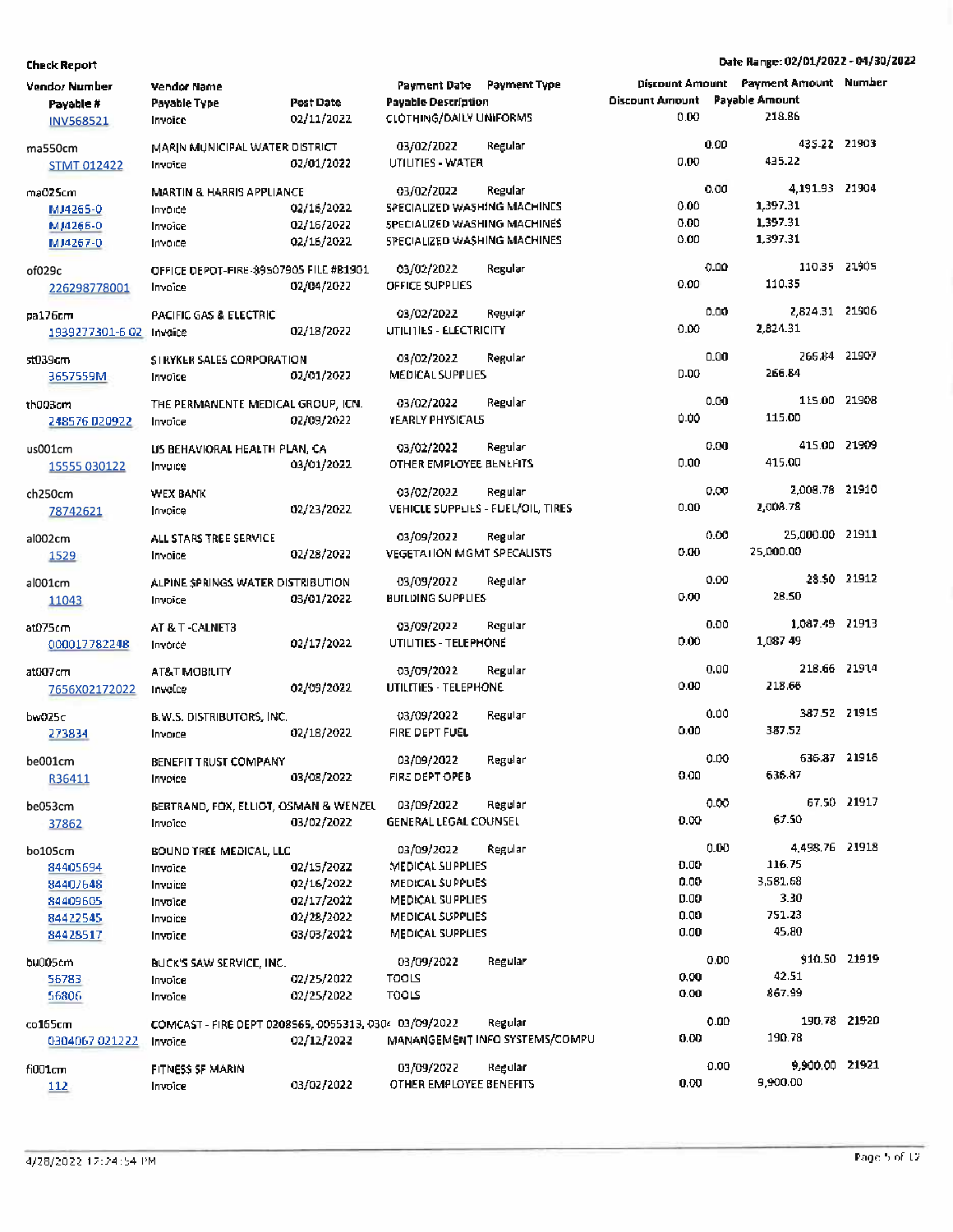| <b>Vendor Number</b><br>Payable #<br><b>INV568521</b>               | Vendor Name<br>Payable Type<br>Invoice                                                | Post Date<br>02/11/2022                                            | Payment Date Payment Type<br><b>Payable Description</b><br><b>CLOTHING/DAILY UNIFORMS</b>                             |                                           | <b>Discount Amount</b><br>0.00       |      | Discount Amount Payment Amount Number<br>Payable Amount<br>218.86 |             |
|---------------------------------------------------------------------|---------------------------------------------------------------------------------------|--------------------------------------------------------------------|-----------------------------------------------------------------------------------------------------------------------|-------------------------------------------|--------------------------------------|------|-------------------------------------------------------------------|-------------|
| ma550cm<br><b>STMT 012422</b>                                       | MARIN MUNICIPAL WATER DISTRICT<br>Invoice                                             | 02/01/2022                                                         | 03/02/2022<br>UTILITIES - WATER                                                                                       | Regular                                   | 0.00                                 | 0.00 | 435.22 21903<br>435.22                                            |             |
| ma025cm<br>MJ4265-0<br>MJ4266-0<br>MJ4267-0                         | <b>MARTIN &amp; HARRIS APPLIANCE</b><br>Invoice<br>Invoice<br>Invoice                 | 02/16/2022<br>02/16/2022<br>02/16/2022                             | 03/02/2022<br>SPECIALIZED WASHING MACHINES<br>SPECIALIZED WASHING MACHINES<br>SPECIALIZED WASHING MACHINES            | Regular                                   | 0.00<br>0.00<br>0.00                 | 0.00 | 4.191.93 21904<br>1,397.31<br>1,397.31<br>1,397.31                |             |
| of029c<br>226298778001                                              | OFFICE DEPOT-FIRE-89507905 FILE #B1901<br>Invoice                                     | 02/04/2022                                                         | 03/02/2022<br>OFFICE SUPPLIES                                                                                         | Regular                                   | 0.00                                 | 0.00 | 110.35 21905<br>110,35                                            |             |
| pa176cm<br>1939277301-6-02 Invoice                                  | PACIFIC GAS & ELECTRIC                                                                | 02/18/2022                                                         | 03/02/2022<br>UTILITIES - ELECTRICITY                                                                                 | Regular                                   | 0.00                                 | 0.00 | 2,824.31 21906<br>2,824.31                                        |             |
| st039cm<br>3657559M                                                 | SIRYKER SALES CORPORATION<br>Invoice                                                  | 02/01/2022                                                         | 03/02/2022<br>MEDICAL SUPPLIES                                                                                        | Regular                                   | <b>D-DO</b>                          | 0.00 | 266.84 21907<br>266.84                                            |             |
| th003cm<br>248576 020922                                            | THE PERMANENTE MEDICAL GROUP, ICN.<br>Invoice                                         | 02/09/2022                                                         | 03/02/2022<br>YEARLY PHYSICALS                                                                                        | Regular                                   | 0.00                                 | 0.00 | 115.00 21908<br>115.00                                            |             |
| us001cm<br>15555 030122                                             | US BEHAVIORAL HEALTH PLAN, CA<br>Invoice                                              | 03/01/2022                                                         | 03/02/2022<br>OTHER EMPLOYEE BENEFITS                                                                                 | Regular                                   | 0.00                                 | 0.00 | 415.00 21909<br>415.00                                            |             |
| ch250cm<br>78742621                                                 | <b>WEX BANK</b><br>Invoice                                                            | 02/23/2022                                                         | 03/02/2022<br>VEHICLE SUPPLIES - FUEL/OIL, TIRES                                                                      | Regular                                   | 0.00                                 | 0.00 | 2,008.78 21910<br>2,008.78                                        |             |
| al002cm<br>1529                                                     | ALL STARS TREE SERVICE<br>Invoice                                                     | 02/28/2022                                                         | 03/09/2022<br><b>VEGETATION MGMT SPECALISTS</b>                                                                       | Regular                                   | 0.00                                 | 0.00 | 25,000.00 21911<br>25,000.00                                      |             |
| al001cm<br>11043                                                    | ALPINE SPRINGS WATER DISTRIBUTION<br>Invoice                                          | 03/01/2022                                                         | 03/09/2022<br><b>BUILDING SUPPLIES</b>                                                                                | Regular                                   | 0.00                                 | 0.00 | 28.50                                                             | 28.50 21912 |
| at075cm<br>000017782248                                             | AT & T - CALNET3<br>Invorce                                                           | 02/17/2022                                                         | 03/09/2022<br>UTILITIES - TELEPHONE                                                                                   | Regular                                   | 0.00                                 | 0.00 | 1,087.49 21913<br>1,087 49                                        |             |
| at007cm<br>7656X02172022                                            | AT&T MOBILITY<br>Invoice                                                              | 02/09/2022                                                         | 03/09/2022<br>UTILITIES - TELEPHONE                                                                                   | Regular                                   | 0.00                                 | 0.00 | 218.66 21914<br>218.66                                            |             |
| bw025c<br>273834                                                    | B.W.S. DISTRIBUTORS, INC.<br>Invoice                                                  | 02/18/2022                                                         | 03/09/2022<br>FIRE DEPT FUEL                                                                                          | Regular                                   | 0.00                                 | 0.00 | 387.52 21915<br>387.52                                            |             |
| be001cm<br>R36411                                                   | BENEFIT TRUST COMPANY<br>Invoice                                                      | 03/08/2022                                                         | 03/09/2022<br>FIRE DEPT OPEB                                                                                          | Regular                                   | 0.00                                 | 0.00 | 636.87 21916<br>636.87                                            |             |
| be053cm<br>37862                                                    | BERTRAND, FOX, ELLIOT, OSMAN & WENZEL<br>Invoice                                      | 03/02/2022                                                         | 03/09/2022<br>GENERAL LEGAL COUNSEL                                                                                   | Regular                                   | 0.00                                 | 0.00 | 67.50                                                             | 67.50 21917 |
| bo105cm<br>84405694<br>84407648<br>84409605<br>84422545<br>84428517 | <b>BOUND TREE MEDICAL, LLC</b><br>Invoice<br>Invoice<br>Invoice<br>Invoice<br>Invoice | 02/15/2022<br>02/16/2022<br>02/17/2022<br>02/28/2022<br>03/03/2022 | 03/09/2022<br>MEDICAL SUPPLIES<br>MEDICAL SUPPLIES<br>MEDICAL SUPPLIES<br>MEDICAL SUPPLIES<br><b>MEDICAL SUPPLIES</b> | Regular                                   | 0.00<br>0.00<br>0.00<br>0.00<br>0.00 | 0.00 | 4.498.76 21918<br>116.75<br>3,581.68<br>3.30<br>751.23<br>45.80   |             |
| bu005cm<br>56783<br>56806                                           | BUCK'S SAW SERVICE, INC.<br>Invoice<br>Invoice                                        | 02/25/2022<br>02/25/2022                                           | 03/09/2022<br><b>TOOLS</b><br>تا00                                                                                    | Regular                                   | 0.00<br>0.00                         | 0.00 | 910.50 21919<br>42.51<br>867.99                                   |             |
| co165cm<br>0304067 021222                                           | COMCAST - FIRE DEPT 0208565, 0055313, 0304 03/09/2022<br>Invoice                      | 02/12/2022                                                         |                                                                                                                       | Regular<br>MANANGEMENT INFO SYSTEMS/COMPU | 0.00                                 | 0.00 | 190.78 21920<br>190.78                                            |             |
| fi001cm<br>112                                                      | FITNESS SF MARIN<br>Invoice                                                           | 03/02/2022                                                         | 03/09/2022<br>OTHER EMPLOYEE BENEFITS                                                                                 | Regular                                   | 0.00                                 | 0.00 | 9,900.00 21921<br>9,900.00                                        |             |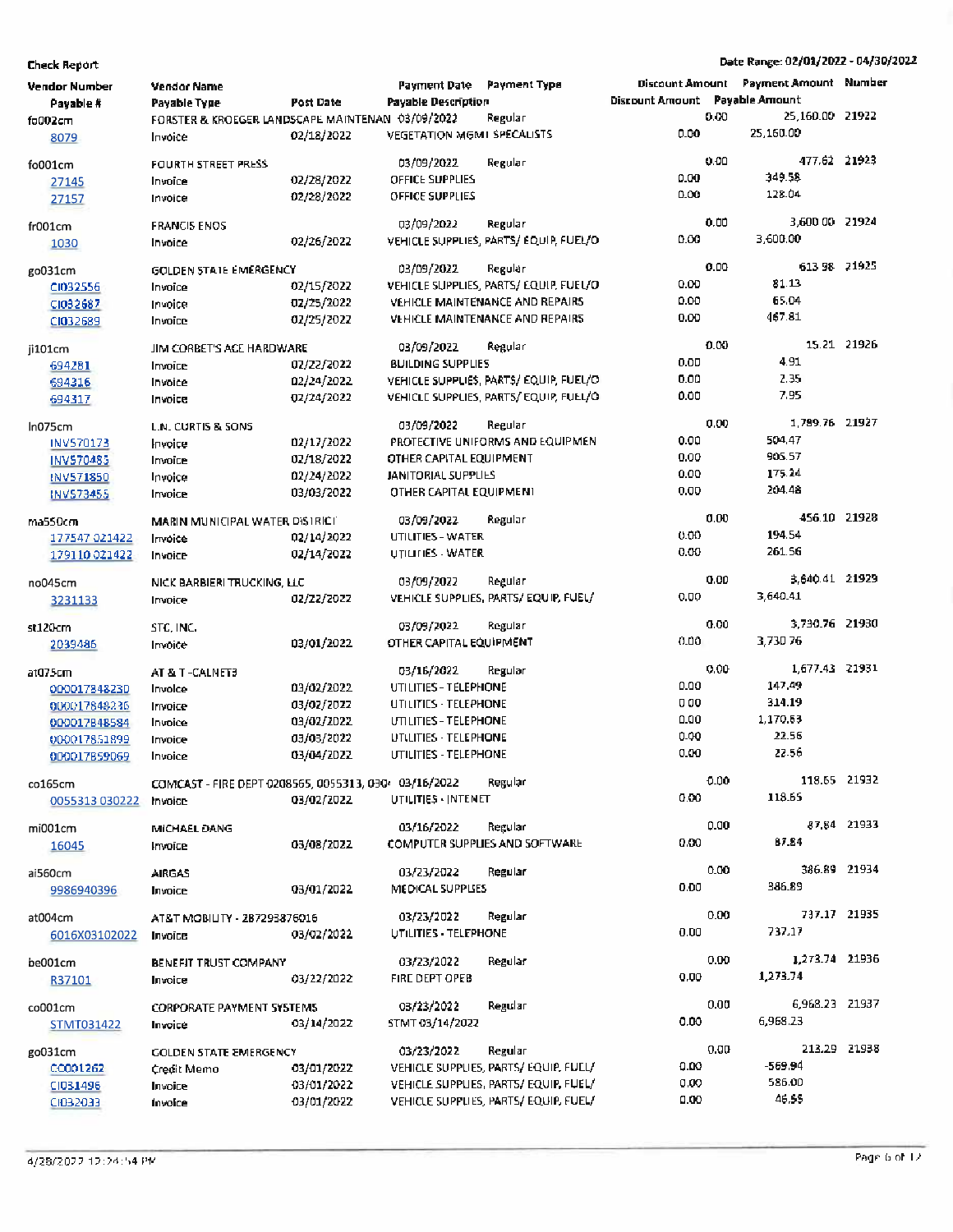| Vendor Number             | <b>Vendor Name</b>                                   |            | Payment Date Payment Type                      |                                        |                                |      | <b>Discount Amount Payment Amount Number</b> |              |
|---------------------------|------------------------------------------------------|------------|------------------------------------------------|----------------------------------------|--------------------------------|------|----------------------------------------------|--------------|
| Payable #                 | Payable Type                                         | Post Date  | <b>Payable Description</b>                     |                                        | Discount Amount Payable Amount |      |                                              |              |
| fo002cm                   | FORSTER & KROEGER LANDSCAPE MAINTENAN 03/09/2022     |            |                                                | Regular                                |                                | 0.00 | 25.160.00 21922                              |              |
| 8079                      | Invoice                                              | 02/18/2022 | <b>VEGETATION MGM1 SPECALISTS</b>              |                                        | 0.00                           |      | 25,160.00                                    |              |
| fo001cm                   | FOURTH STREET PRESS                                  |            | 03/09/2022                                     | Regular                                |                                | 0.00 | 477.62 21923                                 |              |
| 27145                     | Invoice                                              | 02/28/2022 | OFFICE SUPPLIES                                |                                        | 0.00                           |      | 349.58                                       |              |
| 27157                     | Invoice                                              | 02/28/2022 | OFFICE SUPPLIES                                |                                        | 0.00                           |      | 128.04                                       |              |
| fr001cm                   | <b>FRANCIS ENOS</b>                                  |            | 03/09/2022                                     | Regular                                |                                | 0.00 | 3,600 00 21924                               |              |
| 1030                      | Invoice                                              | 02/26/2022 |                                                | VEHICLE SUPPLIES, PARTS/ EQUIP, FUEL/O | 0.00                           |      | 3,600.00                                     |              |
|                           |                                                      |            |                                                |                                        |                                |      |                                              |              |
| go031cm                   | GOLDEN STATE EMERGENCY                               |            | 03/09/2022                                     | Regular                                |                                | 0.00 | 613 98 21925                                 |              |
| CI032556                  | Invoice                                              | 02/15/2022 |                                                | VEHICLE SUPPLIES, PARTS/ EQUIP, FUEL/O | 0.00                           |      | 81.13                                        |              |
| CI032687                  | Invoice                                              | 02/25/2022 |                                                | VEHICLE MAINTENANCE AND REPAIRS        | 0.00                           |      | 65.04                                        |              |
| CI032689                  | Invoice                                              | 02/25/2022 |                                                | <b>VEHICLE MAINTENANCE AND REPAIRS</b> | 0.00                           |      | 467.81                                       |              |
| ji101cm                   | JIM CORBET'S ACE HARDWARE                            |            | 03/09/2022                                     | Regular                                |                                | 0.00 |                                              | 15.21 21926  |
| 694281                    | Invoice                                              | 02/22/2022 | <b>BUILDING SUPPLIES</b>                       |                                        | 0.00                           |      | 4.91                                         |              |
| 694316                    | Invoice                                              | 02/24/2022 |                                                | VEHICLE SUPPLIES, PARTS/EQUIP, FUEL/O  | 0.00                           |      | 2.35                                         |              |
| 694317                    | Invoice                                              | 02/24/2022 |                                                | VEHICLE SUPPLIES, PARTS/EQUIP, FUEL/O  | 0.00                           |      | 7.95                                         |              |
|                           |                                                      |            | 03/09/2022                                     | Regular                                |                                | 0.00 | 1.789.76 21927                               |              |
| In075cm                   | L.N. CURTIS & SONS                                   |            |                                                | PROTECTIVE UNIFORMS AND EQUIPMEN       | 0.00                           |      | 504.47                                       |              |
| INV570173                 | Invoice                                              | 02/17/2022 | OTHER CAPITAL EQUIPMENT                        |                                        | 0.00                           |      | 905.57                                       |              |
| INV570485                 | Invoice                                              | 02/18/2022 |                                                |                                        | 0.00                           |      | 175.24                                       |              |
| INV571850                 | Invoice                                              | 02/24/2022 | JANITORIAL SUPPLIES<br>OTHER CAPITAL EQUIPMENT |                                        | 0.00                           |      | 204.48                                       |              |
| INV573455                 | Invoice                                              | 03/03/2022 |                                                |                                        |                                |      |                                              |              |
| ma550cm                   | MARIN MUNICIPAL WATER DISTRICT                       |            | 03/09/2022                                     | Regular                                |                                | 0.00 | 456.10 21928                                 |              |
| 177547 021422             | Invoice                                              | 02/14/2022 | <b>UTILITIES - WATER</b>                       |                                        | 0.00                           |      | 194.54                                       |              |
| 179110021422              | Invoice                                              | 02/14/2022 | UTILITIES - WATER                              |                                        | 0.00                           |      | 261.56                                       |              |
| no045cm                   | NICK BARBIERI TRUCKING, LLC                          |            | 03/09/2022                                     | Regular                                |                                | 0.00 | 3.640.41 21929                               |              |
| 3231133                   | Invoice                                              | 02/22/2022 |                                                | VEHICLE SUPPLIES, PARTS/EQUIP, FUEL/   | 0.00                           |      | 3,640.41                                     |              |
|                           |                                                      |            |                                                |                                        |                                |      |                                              |              |
| st120cm                   | STC, INC.                                            |            | 03/09/2022                                     | Regular                                |                                | 0.00 | 3,730.76 21930                               |              |
| 2039486                   | Invoice                                              | 03/01/2022 | OTHER CAPITAL EQUIPMENT                        |                                        | 0.00                           |      | 3,73076                                      |              |
| at075cm                   | AT & T-CALNET3                                       |            | 03/16/2022                                     | Regular                                |                                | 0.00 | 1,677.43 21931                               |              |
| 000017848230              | Invoice                                              | 03/02/2022 | UTILITIES - TELEPHONE                          |                                        | 0.00                           |      | 147.49                                       |              |
| 000017848236              | Invoice                                              | 03/02/2022 | UTILITIES - TELEPHONE                          |                                        | 000                            |      | 314.19                                       |              |
| 000017848584              | Invoice                                              | 03/02/2022 | UTILITIES - TELEPHONE                          |                                        | 0.00                           |      | 1,170.53                                     |              |
| 000017851899              | Invoice                                              | 03/03/2022 | UT(LITIES - TELEPHONE                          |                                        | 0.00                           |      | 22.56                                        |              |
| 000017859069              | Invoice                                              | 03/04/2022 | UTILITIES - TELEPHONE                          |                                        | 0.00                           |      | 22.56                                        |              |
|                           | COMCAST - FIRE DEPT 0208565, 0055313, 030 03/16/2022 |            |                                                | Regular                                |                                | 0.00 | 118.55 21932                                 |              |
| co165cm<br>0055313 030222 | mvoice                                               | 03/02/2022 | UTILITIES - INTENET                            |                                        | 0.00                           |      | 118.65                                       |              |
|                           |                                                      |            |                                                |                                        |                                |      |                                              |              |
| mi001cm                   | MICHAEL DANG                                         |            | 03/16/2022                                     | Regular                                |                                | 0.00 |                                              | 87.84 21933  |
| 16045                     | Invoice                                              | 03/08/2022 |                                                | COMPUTER SUPPLIES AND SOFTWARE         | 0.00                           |      | 87.84                                        |              |
| ai560cm                   | <b>AIRGAS</b>                                        |            | 03/23/2022                                     | Regular                                |                                | 0.00 | 386.89 21934                                 |              |
| 9986940396                | Invoice                                              | 03/01/2022 | MEDICAL SUPPLIES                               |                                        | 0.00                           |      | 386.89                                       |              |
|                           |                                                      |            |                                                |                                        |                                |      |                                              |              |
| at004cm                   | AT&T MOBILITY - 2B7293876016                         |            | 03/23/2022                                     | Regular                                |                                | 0.00 | 737.17 21935                                 |              |
| 6016X03102022             | Invoice                                              | 03/02/2022 | UTILITIES - TELEPHONE                          |                                        | 0.00                           |      | 737.17                                       |              |
|                           |                                                      |            |                                                |                                        |                                | 0.00 | 1,273.74 21936                               |              |
| be001cm                   | BENEFIT TRUST COMPANY                                |            | 03/23/2022                                     | Regular                                | 0.00                           |      | 1,273.74                                     |              |
| R37101                    | Invoice                                              | 03/22/2022 | FIRE DEPT OPEB                                 |                                        |                                |      |                                              |              |
| co001cm                   | <b>CORPORATE PAYMENT SYSTEMS</b>                     |            | 03/23/2022                                     | Regular                                |                                | 0.00 | 6,968.23 21937                               |              |
| STMT031422                | Invoice                                              | 03/14/2022 | STMT 03/14/2022                                |                                        | 0.00                           |      | 6,968.23                                     |              |
| go031cm                   | GOLDEN STATE EMERGENCY                               |            | 03/23/2022                                     | Regular                                |                                | 0.00 |                                              | 213.29 21938 |
| 00001262                  | Credit Memo                                          | 03/01/2022 |                                                | VEHICLE SUPPLIES, PARTS/EQUIP, FUEL/   | 0.00                           |      | -569.94                                      |              |
| CI031496                  | Invoice                                              | 03/01/2022 |                                                | VEHICLE SUPPLIES, PARTS/EQUIP, FUEL/   | 0.00                           |      | 586.00                                       |              |
| CI032033                  | Invoice                                              | 03/01/2022 |                                                | VEHICLE SUPPLIES, PARTS/EQUIP, FUEL/   | 0.00                           |      | 46.55                                        |              |
|                           |                                                      |            |                                                |                                        |                                |      |                                              |              |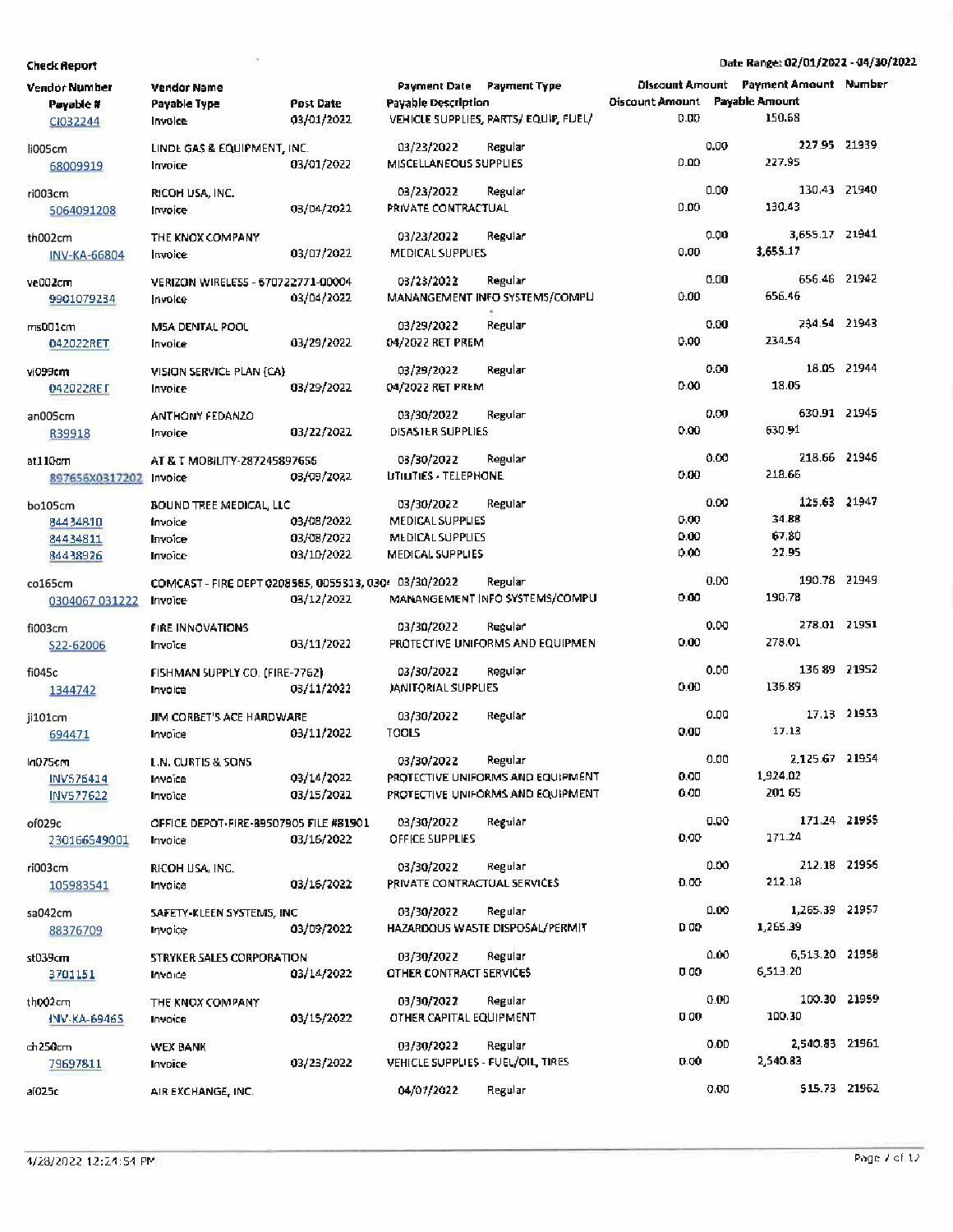| Vendor Number<br>Payable #<br>CI032244          | <b>Vendor Name</b><br>Payable Type<br>Invoice                    | Post Date<br>03/01/2022                | Payment Date Payment Type<br><b>Payable Description</b>                | VEHICLE SUPPLIES, PARTS/EQUIP, FUEL/                                              | <b>Oiscount Amount Payable Amount</b><br>0.00 |      | <b>Discount Amount Payment Amount Number</b><br>150.68 |             |
|-------------------------------------------------|------------------------------------------------------------------|----------------------------------------|------------------------------------------------------------------------|-----------------------------------------------------------------------------------|-----------------------------------------------|------|--------------------------------------------------------|-------------|
| li005cm<br>68009919                             | LINDE GAS & EQUIPMENT, INC.<br>Invoice                           | 03/01/2022                             | 03/23/2022<br>MISCELLANEOUS SUPPLIES                                   | Regular                                                                           | 0.00                                          | 0.00 | 227.95 21939<br>227.95                                 |             |
| ri003cm<br>5064091208                           | RICOH USA, INC.<br>Invoice                                       | 03/04/2022                             | 03/23/2022<br>PRIVATE CONTRACTUAL                                      | Regular                                                                           | 0.00                                          | 0.00 | 130.43 21940<br>130.43                                 |             |
| th002cm<br><b>INV-KA-66804</b>                  | THE KNOX COMPANY<br>Invoice                                      | 03/07/2022                             | 03/23/2022<br>MEDICAL SUPPLIES                                         | Regular                                                                           | 0.00                                          | 0.00 | 3,655.17 21941<br>3,655.17                             |             |
| ve002cm<br>9901079234                           | VERIZON WIRELESS - 670722771-00004<br>Invoice                    | 03/04/2022                             | 03/23/2022                                                             | Regular<br>MANANGEMENT INFO SYSTEMS/COMPU                                         | 0.00                                          | 0.00 | 656.46 21942<br>656.46                                 |             |
| ms001cm<br>042022RET                            | MSA DENTAL POOL<br>Invoice                                       | 03/29/2022                             | 03/29/2022<br>04/2022 RET PREM                                         | Regular                                                                           | 0.00                                          | 0.00 | 234.54 21943<br>234.54                                 |             |
| vi099cm<br>042022RET                            | VISION SERVICE PLAN {CA}<br>Invoice                              | 03/29/2022                             | 03/29/2022<br>04/2022 RET PREM                                         | Regular                                                                           | 0.00                                          | 0.00 | 18.05 21944<br>18.05                                   |             |
| an005cm<br>R39918                               | ANTHONY FEDANZO<br>Invoice                                       | 03/22/2022                             | 03/30/2022<br>DISASTER SUPPLIES                                        | Regular                                                                           | 0.00                                          | 0.00 | 630.91 21945<br>630.91                                 |             |
| at110cm<br>897656X0317202 Invoice               | AT & T MOBILITY-287245897656                                     | 03/09/2022                             | 03/30/2022<br><b>UTILITIES - TELEPHONE</b>                             | Regular                                                                           | 0.00                                          | 0.00 | 218.66 21946<br>218.66                                 |             |
| bo105cm<br>84434810<br>84434811<br>84438926     | <b>BOUND TREE MEDICAL, LLC</b><br>Invoice<br>Invoice<br>Invoice  | 03/08/2022<br>03/08/2022<br>03/10/2022 | 03/30/2022<br>MEDICAL SUPPLIES<br>MEDICAL SUPPLIES<br>MEDICAL SUPPLIES | Regular                                                                           | 0.00.<br>0.00<br>0.00                         | 0.00 | 125.63 21947<br>34.88<br>67.80<br>22.95                |             |
| co165cm<br>0304067 031222                       | COMCAST - FIRE DEPT 0208565, 0055313, 030/ 03/30/2022<br>Invoice | 03/12/2022                             |                                                                        | Regular<br>MANANGEMENT INFO SYSTEMS/COMPU                                         | 0.00                                          | 0.00 | 190.78 21949<br>190.78                                 |             |
| fi003cm<br>S22-62006                            | <b>FIRE INNOVATIONS</b><br>Invoice                               | 03/11/2022                             | 03/30/2022                                                             | Regular<br>PROTECTIVE UNIFORMS AND EQUIPMEN                                       | 0.00                                          | 0.00 | 278.01 21951<br>278.01                                 |             |
| fi045c<br>1344742                               | FISHMAN SUPPLY CO. (FIRE-7762)<br>Invoice                        | 03/11/2022                             | 03/30/2022<br>JANITORIAL SUPPLIES                                      | Regular                                                                           | 0.00                                          | 0.00 | 136 89 21952<br>135.89                                 |             |
| ji101cm<br>694471                               | JIM CORBET'S ACE HARDWARE<br>Invoice                             | 03/11/2022                             | 03/30/2022<br><b>TOOLS</b>                                             | Regular                                                                           | 0.00                                          | 0.00 | 17.13                                                  | 17.13 21953 |
| In075cm<br><b>INV576414</b><br><b>INV577622</b> | L.N. CURTIS & SONS<br>Invoice<br>Invoice                         | 03/14/2022<br>03/15/2022               | 03/30/2022                                                             | Regular<br>PROTECTIVE UNIFORMS AND EQUIPMENT<br>PROTECTIVE UNIFORMS AND EQUIPMENT | 0.00<br>0.00                                  | 0.00 | 2,125.67 21954<br>1,924.02<br>201 65                   |             |
| of029c<br>230166549001                          | OFFICE DEPOT-FIRE-89507905 FILE #81901<br>Invoice                | 03/16/2022                             | 03/30/2022<br>OFFICE SUPPLIES                                          | Regular                                                                           | 0.00                                          | 0.00 | 171.24 21955<br>171.24                                 |             |
| ri003cm<br>105983541                            | RICOH USA, INC.<br>Invoice                                       | 03/16/2022                             | 03/30/2022<br>PRIVATE CONTRACTUAL SERVICES                             | Regular                                                                           | 0.00                                          | 0.00 | 212.18 21956<br>212.18                                 |             |
| sa042cm<br>88376709                             | SAFETY-KLEEN SYSTEMS, INC<br>Invoice                             | 03/09/2022                             | 03/30/2022                                                             | Regular<br>HAZARDOUS WASTE DISPOSAL/PERMIT                                        | D OO                                          | 0.00 | 1,265.39 21957<br>1,265.39                             |             |
| st039cm<br>3701151                              | STRYKER SALES CORPORATION<br>Invoice                             | 03/14/2022                             | 03/30/2022<br><b>OTHER CONTRACT SERVICES</b>                           | Regular                                                                           | 0 00                                          | 0.00 | 6,513.20 21958<br>6,513.20                             |             |
| th002cm<br>INV-KA-69465                         | THE KNOX COMPANY<br>Invoice                                      | 03/15/2022                             | 03/30/2022<br>OTHER CAPITAL EQUIPMENT                                  | Regular                                                                           | 000                                           | 0.00 | 100.30 21959<br>100.30                                 |             |
| ch250cm<br>79697811                             | WEX BANK<br>Invoice                                              | 03/23/2022                             | 03/30/2022<br>VEHICLE SUPPLIES - FUEL/OIL, TIRES                       | Regular                                                                           | 0.00                                          | 0.00 | 2,540.83 21961<br>2,540.83                             |             |
| al025c                                          | AIR EXCHANGE, INC.                                               |                                        | 04/07/2022                                                             | Regular                                                                           |                                               | 0.00 | \$15.73 21962                                          |             |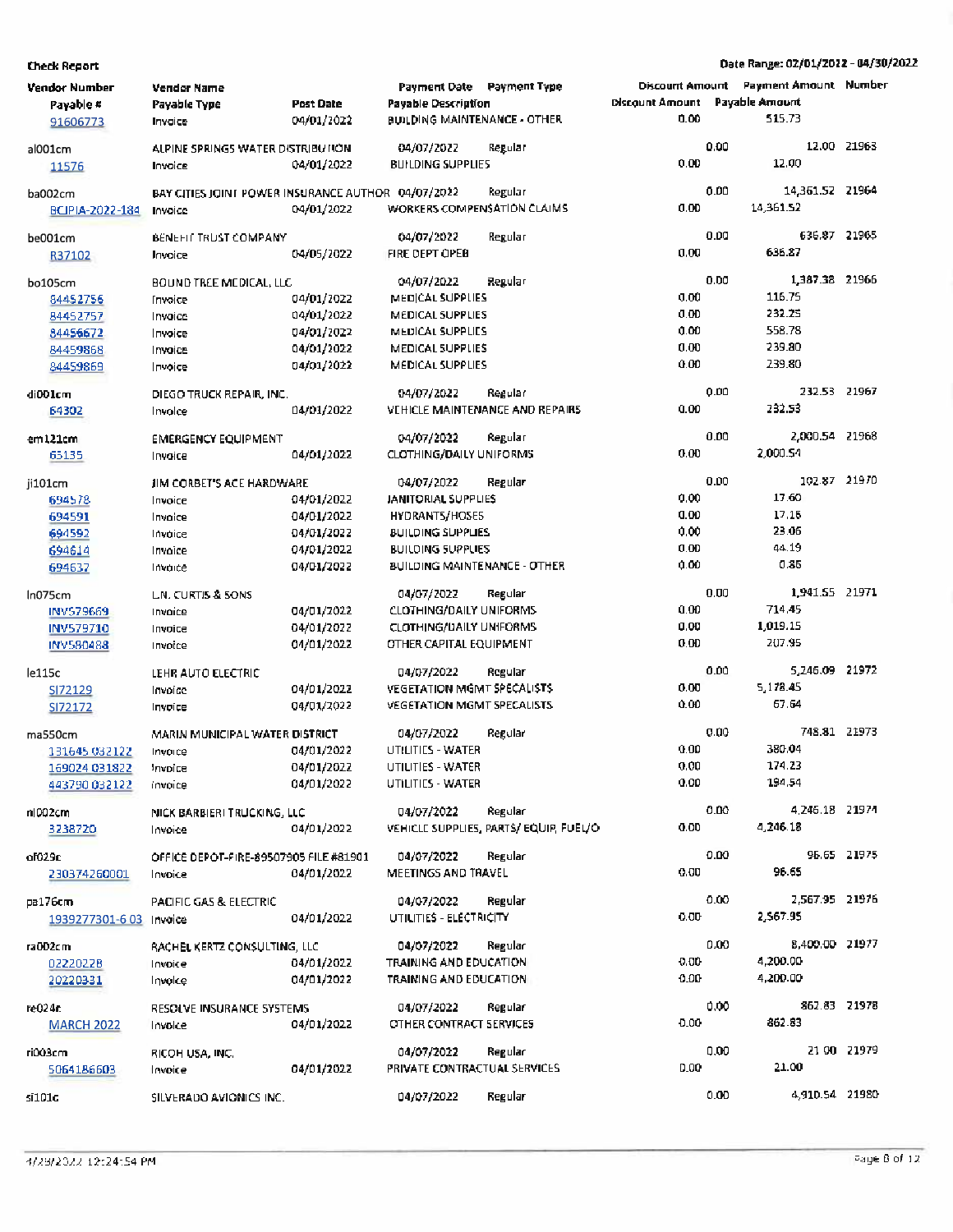| <b>Vendor Number</b><br>Payable #<br>91606773 | <b>Vendor Name</b><br>Payable Type<br>Invoice                 | <b>Post Date</b><br>04/01/2022         | Payment Date Payment Type<br><b>Payable Description</b><br><b>BUILDING MAINTENANCE - OTHER</b> |                                                  | <b>Discount Amount</b><br>Discount Amount<br>0.00 | <b>Payment Amount</b> Number<br><b>Payable Amount</b><br>515.73 |             |
|-----------------------------------------------|---------------------------------------------------------------|----------------------------------------|------------------------------------------------------------------------------------------------|--------------------------------------------------|---------------------------------------------------|-----------------------------------------------------------------|-------------|
| al001cm<br>11576                              | ALPINE SPRINGS WATER DISTRIBUTION<br>Invoice                  | 04/01/2022                             | 04/07/2022<br><b>BUILDING SUPPLIES</b>                                                         | Regular                                          | 0.00<br>0.00                                      | 12.00                                                           | 12.00 21963 |
| ba002cm<br>BCIPIA-2022-184                    | BAY CITIES JOINT POWER INSURANCE AUTHOR 04/07/2022<br>Invoice | 04/01/2022                             | WORKERS COMPENSATION CLAIMS                                                                    | Regular                                          | 0.00<br>0.00                                      | 14,361.52 21964<br>14,361.52                                    |             |
| be001cm<br>R37102                             | <b>BENEFIT TRUST COMPANY</b><br>Invoice                       | 04/05/2022                             | 04/07/2022<br>FIRE DEPT OPEB                                                                   | Regular                                          | 0.00<br>0.00                                      | 636.87 21965<br>636.87                                          |             |
| bo105cm<br>84452756                           | BOUND TREE MEDICAL, LLC<br>Invoice                            | 04/01/2022                             | 04/07/2022<br>MEDICAL SUPPLIES                                                                 | Regular                                          | 0.00<br>0.00                                      | 1,387.38 21966<br>116.75<br>232.25                              |             |
| 84452757<br>84456672<br>84459868              | Invoice<br>Invoice<br>Invoice                                 | 04/01/2022<br>04/01/2022<br>04/01/2022 | MEDICAL SUPPLIES<br>MEDICAL SUPPLIES<br>MEDICAL SUPPLIES                                       |                                                  | 0.00<br>0.00<br>0.00                              | 558.78<br>239.80                                                |             |
| 84459869<br>di001cm                           | Invoice<br>DIEGO TRUCK REPAIR, INC.                           | 04/01/2022                             | <b>MEDICAL SUPPLIES</b><br>04/07/2022                                                          | Regular                                          | 0.00<br>0.00                                      | 239.80<br>232.53 21967                                          |             |
| 64302<br>em121cm                              | Invoice<br><b>EMERGENCY EQUIPMENT</b>                         | 04/01/2022                             | 04/07/2022                                                                                     | VEHICLE MAINTENANCE AND REPAIRS<br>Regular       | 0.00<br>0.00                                      | 232.53<br>2,000.54 21968                                        |             |
| 65135<br>ji101cm                              | Invoice<br>JIM CORBET'S ACE HARDWARE                          | 04/01/2022                             | <b>CLOTHING/DAILY UNIFORMS</b><br>04/07/2022                                                   | Regular                                          | 0.00<br>0.00                                      | 2,000.54<br>102.87 21970                                        |             |
| 694578<br>694591<br>694592                    | Invoice<br>Invoice<br>Invoice                                 | 04/01/2022<br>04/01/2022<br>04/01/2022 | <b>JANITORIAL SUPPLIES</b><br>HYDRANTS/HOSES<br><b>BUILDING SUPPLIES</b>                       |                                                  | 0.00<br>0.00<br>0.00                              | 17.60<br>17.15<br>23.06                                         |             |
| 694614<br>694637                              | Invoice<br>Invoice                                            | 04/01/2022<br>04/01/2022               | <b>BUILDING SUPPLIES</b><br><b>BUILDING MAINTENANCE - OTHER</b>                                |                                                  | 0.00<br>0.00                                      | 44.19<br>0.85                                                   |             |
| ln075cm<br>INV579669                          | LN. CURTIS & SONS<br>Invoice                                  | 04/01/2022                             | 04/07/2022<br><b>CLOTHING/DAILY UNIFORMS</b>                                                   | Regular                                          | 0.00<br>0.00                                      | 1,941.55 21971<br>714.45                                        |             |
| INV579710<br>INV580488                        | Invoice<br>Invoice                                            | 04/01/2022<br>04/01/2022               | <b>CLOTHING/DAILY UNIFORMS</b><br>OTHER CAPITAL EQUIPMENT                                      |                                                  | 0.00<br>0.00                                      | 1,019.15<br>207.95                                              |             |
| le115c<br>SI72129<br>SI72172                  | LEHR AUTO ELECTRIC<br>Invoice<br>Invoice                      | 04/01/2022<br>04/01/2022               | 04/07/2022<br><b>VEGETATION MGMT SPECALISTS</b><br><b>VEGETATION MGMT SPECALISTS</b>           | Regular                                          | 0.00<br>0.00<br>0.00                              | 5,246.09 21972<br>5,178.45<br>67.64                             |             |
| ma550cm<br>131645 032122                      | MARIN MUNICIPAL WATER DISTRICT<br>Invoice                     | 04/01/2022                             | 04/07/2022<br>UTILITIES - WATER                                                                | Regular                                          | 0.00<br>0.00<br>0.00                              | 748.81 21973<br>380.04<br>174.23                                |             |
| 169024 031822<br>443790 032122                | Invoice<br>invoice                                            | 04/01/2022<br>04/01/2022               | UTILITIES - WATER<br>UTILITIES - WATER                                                         |                                                  | 0.00<br>0.00                                      | 194.54<br>4,246.18 21974                                        |             |
| n1002cm<br>3238720                            | NICK BARBIERI TRUCKING, LLC<br>Invoice                        | 04/01/2022                             | 04/07/2022                                                                                     | Regular<br>VEHICLE SUPPLIES, PARTS/EQUIP, FUEL/O | 0.00<br>0.00                                      | 4,246.18                                                        | 95.65 21975 |
| of029c<br>230374260001                        | OFFICE DEPOT-FIRE-89507905 FILE #81901<br>Invoice             | 04/01/2022                             | 04/07/2022<br>MEETINGS AND TRAVEL                                                              | Regular                                          | 0.00<br>0.00                                      | 96.65<br>2,567.95 21976                                         |             |
| pa176cm<br>1939277301-6 03 Invoice            | PACIFIC GAS & ELECTRIC                                        | 04/01/2022                             | 04/07/2022<br>UTILITIES - ELECTRICITY                                                          | Regular                                          | 0.00                                              | 2,567.95                                                        |             |
| ra002cm<br>02220228<br>20220331               | RACHEL KERTZ CONSULTING, LLC<br>Invoice<br>Invoice            | 04/01/2022<br>04/01/2022               | 04/07/2022<br>TRAINING AND EDUCATION<br>TRAINING AND EDUCATION                                 | Regular                                          | 0.00<br>0.00<br>0.00                              | 8,400.00 21977<br>4,200.00<br>4,200.00                          |             |
| re024r.<br><b>MARCH 2022</b>                  | RESOLVE INSURANCE SYSTEMS<br>Invoice                          | 04/01/2022                             | 04/07/2022<br>OTHER CONTRACT SERVICES                                                          | Regular                                          | <b>D.OO</b>                                       | 0.00<br>862.83 21978<br>862.83                                  |             |
| ri003cm<br>5064186603                         | RICOH USA, INC.<br>Invoice                                    | 04/01/2022                             | 04/07/2022<br>PRIVATE CONTRACTUAL SERVICES                                                     | Regular                                          | D.00                                              | 0.00<br>21.00                                                   | 21 00 21979 |
| si101c                                        | SILVERADO AVIONICS INC.                                       |                                        | 04/07/2022                                                                                     | Regular                                          |                                                   | 4,910.54 21980<br>0.00                                          |             |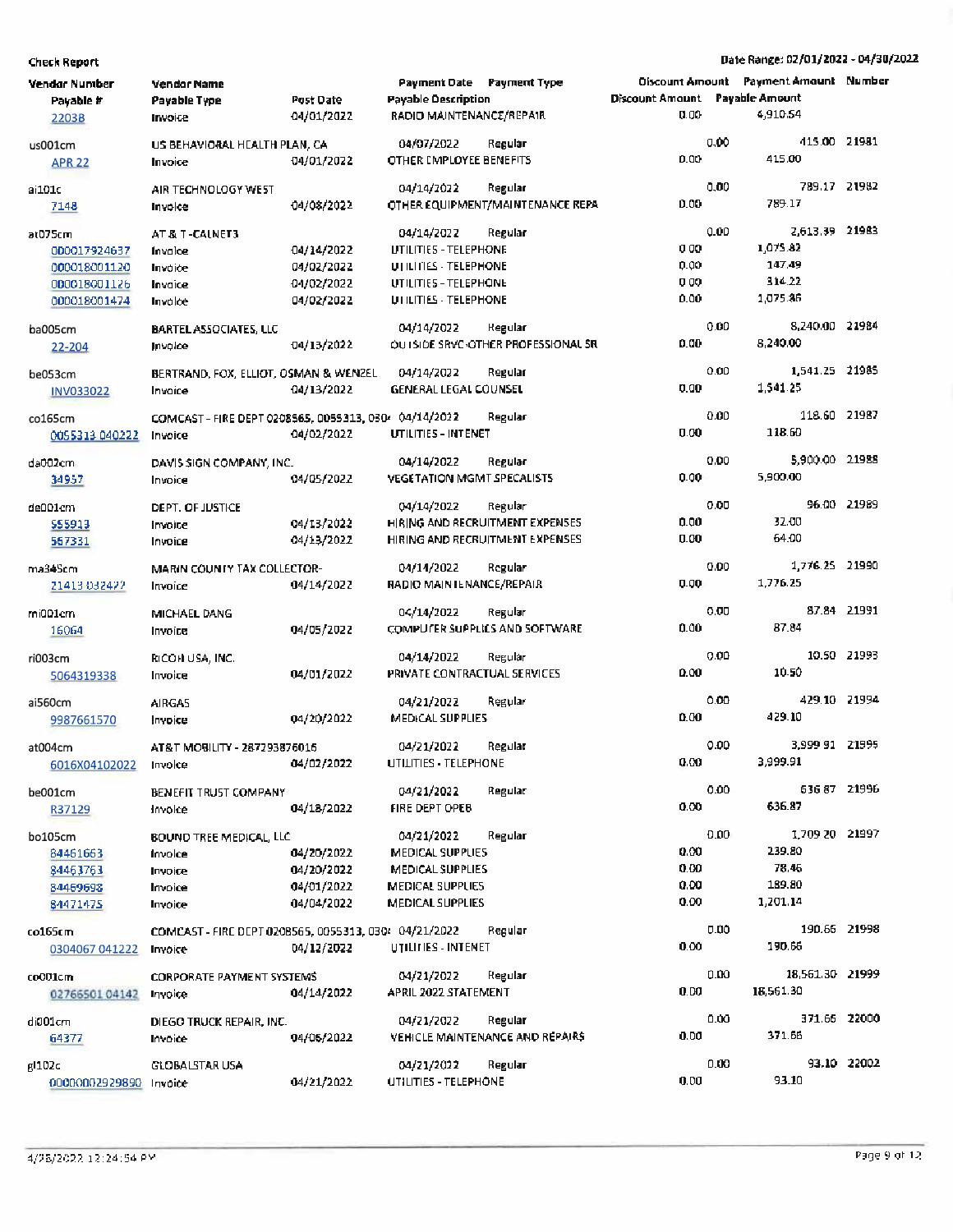| Vendar Number<br>Payable #<br>2203B | <b>Vendor Name</b><br>Payable Type<br>Invoice         | Post Date<br>04/01/2022 | <b>Payable Description</b><br>RADIO MAINTENANCE/REPAIR | Payment Date Payment Type           | <b>Discount Amount Payable Amount</b><br>0.00 |      | <b>Oiscount Amount</b> Payment Amount Number<br>4.910.54 |             |
|-------------------------------------|-------------------------------------------------------|-------------------------|--------------------------------------------------------|-------------------------------------|-----------------------------------------------|------|----------------------------------------------------------|-------------|
| us001cm                             | US BEHAVIORAL HEALTH PLAN, CA                         |                         | 04/07/2022                                             | Regular                             |                                               | 0,00 | 415.00 21981                                             |             |
| <b>APR 22</b>                       | Invoice                                               | 04/01/2022              | OTHER EMPLOYEE BENEFITS                                |                                     | 0.00                                          |      | 415.00                                                   |             |
| ai101c                              | AIR TECHNOLOGY WEST                                   |                         | 04/14/2022                                             | Regular                             |                                               | 0,00 | 789.17 21982                                             |             |
| 7148                                | Invoice                                               | 04/08/2022              |                                                        | OTHER EQUIPMENT/MAINTENANCE REPA    | 0.00                                          |      | 789.17                                                   |             |
| at075cm                             | AT & T-CALNET3                                        |                         | 04/14/2022                                             | Regular                             |                                               | 0.00 | 2,613.39 21983                                           |             |
| 000017924637                        | Invalce                                               | 04/14/2022              | UTILITIES - TELEPHONE                                  |                                     | 000                                           |      | 1,075.82                                                 |             |
| 000018001120                        | Invoice                                               | 04/02/2022              | UTILITIES - TELEPHONE                                  |                                     | 0.00                                          |      | 147,49                                                   |             |
| 000018001126                        | Invaice                                               | 04/02/2022              | UTILITIES - TELEPHONE                                  |                                     | 000                                           |      | 314.22                                                   |             |
| 000018001474                        | Invoice                                               | 04/02/2022              | UTILITIES - TELEPHONE                                  |                                     | 0.00                                          |      | 1,075.86                                                 |             |
| ba005cm                             | <b>BARTEL ASSOCIATES, LLC</b>                         |                         | 04/14/2022                                             | Regular                             |                                               | 0.00 | 8,240.00 21984                                           |             |
| 22-204                              | Invoice                                               | 04/13/2022              |                                                        | OU ISIDE SRVC-OTHER PROFESSIONAL SR | 0.00                                          |      | 8,240.00                                                 |             |
| be053cm                             | BERTRAND, FOX, ELLIOT, OSMAN & WENZEL                 |                         | 04/14/2022                                             | Regular                             |                                               | 0.00 | 1,541.25 21985                                           |             |
| <b>INV033022</b>                    | Invoice                                               | 04/13/2022              | <b>GENERAL LEGAL COUNSEL</b>                           |                                     | 0.00                                          |      | 1,541.25                                                 |             |
| co165cm                             | COMCAST - FIRE DEPT 0208565, 0055313, 0304 04/14/2022 |                         |                                                        | Regular                             |                                               | 0.00 | 118.60 21987                                             |             |
| 0055313 040222                      | Invoice                                               | 04/02/2022              | UTILITIES - INTENET                                    |                                     | 0.00                                          |      | 118.60                                                   |             |
|                                     |                                                       |                         |                                                        |                                     |                                               |      |                                                          |             |
| da002cm.                            | DAVIS SIGN COMPANY, INC.                              |                         | 04/14/2022                                             | Regular                             | 0.00                                          | 0.00 | 5,900.00 21988<br>5,900.00                               |             |
| 34957                               | Invoice                                               | 04/05/2022              | <b>VEGETATION MGMT SPECALISTS</b>                      |                                     |                                               |      |                                                          |             |
| de001cm                             | DEPT. OF JUSTICE                                      |                         | 04/14/2022                                             | Regular                             |                                               | 0.00 |                                                          | 96.00 21989 |
| \$\$\$913                           | Invoice                                               | 04/13/2022              |                                                        | HIRING AND RECRUITMENT EXPENSES     | 0.00                                          |      | 32.00                                                    |             |
| 567331                              | Invoice                                               | 04/13/2022              |                                                        | HIRING AND RECRUITMENT EXPENSES     | 0.00                                          |      | 64.00                                                    |             |
| ma34Scm                             | MARIN COUNTY TAX COLLECTOR-                           |                         | 04/14/2022                                             | Regular                             |                                               | 0.00 | 1,776.25 21990                                           |             |
| 21413 032422                        | Invoice                                               | 04/14/2022              | RADIO MAINTENANCE/REPAIR                               |                                     | 0.00                                          |      | 1,776.25                                                 |             |
| mi001cm                             | MICHAEL DANG                                          |                         | 04/14/2022                                             | Regular                             |                                               | 0.00 |                                                          | 87.84 21991 |
| 16064                               | Invoice                                               | 04/05/2022              |                                                        | COMPUTER SUPPLIES AND SOFTWARE      | 0.00                                          |      | 87.84                                                    |             |
|                                     |                                                       |                         |                                                        |                                     |                                               |      |                                                          |             |
| ri003cm                             | RICOH USA, INC.                                       |                         | 04/14/2022                                             | Regular                             | 0.00                                          | 0.00 | 10.50                                                    | 10.50 21993 |
| 5064319338                          | Invoice                                               | 04/01/2022              | PRIVATE CONTRACTUAL SERVICES                           |                                     |                                               |      |                                                          |             |
| ai560cm                             | AIRGA5                                                |                         | 04/21/2022                                             | Regular                             |                                               | 0.00 | 429.10 21994                                             |             |
| 9987661570                          | Invoice                                               | 04/20/2022              | <b>MEDICAL SUPPLIES</b>                                |                                     | 0.00                                          |      | 429.10                                                   |             |
| at004cm                             | AT&T MOBILITY - 287293876016                          |                         | 04/21/2022                                             | Regular                             |                                               | 0.00 | 3,999 91 21995                                           |             |
| 6016X04102022                       | Invoice                                               | 04/02/2022              | UTILITIES - TELEPHONE                                  |                                     | 0.00                                          |      | 3,999.91                                                 |             |
| be001cm                             | BENEFIT TRUST COMPANY                                 |                         | 04/21/2022                                             | Regular                             |                                               | 0.00 | 63687 21996                                              |             |
| R37129                              | Invoice                                               | 04/18/2022              | <b>FIRE DEPT OPEB</b>                                  |                                     | 0.00                                          |      | 636.87                                                   |             |
|                                     |                                                       |                         |                                                        | Regulari                            |                                               | 0.00 | 1,709 20 21997                                           |             |
| bo105cm                             | BOUND TREE MEDICAL, LLC                               | 04/20/2022              | 04/21/2022<br><b>MEDICAL SUPPLIES</b>                  |                                     | 0.00                                          |      | 239.80                                                   |             |
| 84461663<br>84463763                | Invoice                                               | 04/20/2022              | <b>MEDICAL SUPPLIES</b>                                |                                     | 0.00                                          |      | 78.46                                                    |             |
| 84469698                            | Invoice                                               | 04/01/2022              | <b>MEDICAL SUPPLIES</b>                                |                                     | 0.00                                          |      | 189.80                                                   |             |
| 84471475                            | Invoice<br>Invoice                                    | 04/04/2022              | <b>MEDICAL SUPPLIES</b>                                |                                     | 0.00                                          |      | 1,201.14                                                 |             |
|                                     |                                                       |                         |                                                        |                                     |                                               |      |                                                          |             |
| co165cm                             | COMCAST - FIRE DEPT 0208565, 0055313, 0304 04/21/2022 |                         |                                                        | Regular                             |                                               | 0.00 | 190.66 21998                                             |             |
| 0304067 041222                      | Invoice                                               | 04/12/2022              | UTILITIES - INTENET                                    |                                     | 0.00                                          |      | 190.66                                                   |             |
| co001cm                             | <b>CORPORATE PAYMENT SYSTEMS</b>                      |                         | 04/21/2022                                             | Regulari                            |                                               | 0.00 | 18,561.30 21999                                          |             |
| 0276650104142                       | Invoice                                               | 04/14/2022              | APRIL 2022 STATEMENT                                   |                                     | 0.00                                          |      | 18,561.30                                                |             |
| di001cm                             | DIEGO TRUCK REPAIR, INC.                              |                         | 04/21/2022                                             | Regular                             |                                               | 0.00 | 371.66 22000                                             |             |
| 64377                               | Invoice                                               | 04/06/2022              |                                                        | VEHICLE MAINTENANCE AND REPAIRS     | 0.00                                          |      | 371.66                                                   |             |
|                                     |                                                       |                         | 04/21/2022                                             |                                     |                                               | 0.00 |                                                          | 93.10 22002 |
| gl 102c<br>00000002929890 Invoice   | GLOBALSTAR USA                                        | 04/21/2022              | UTILITIES - TELEPHONE                                  | Regular                             | 0.00                                          |      | 93.10                                                    |             |
|                                     |                                                       |                         |                                                        |                                     |                                               |      |                                                          |             |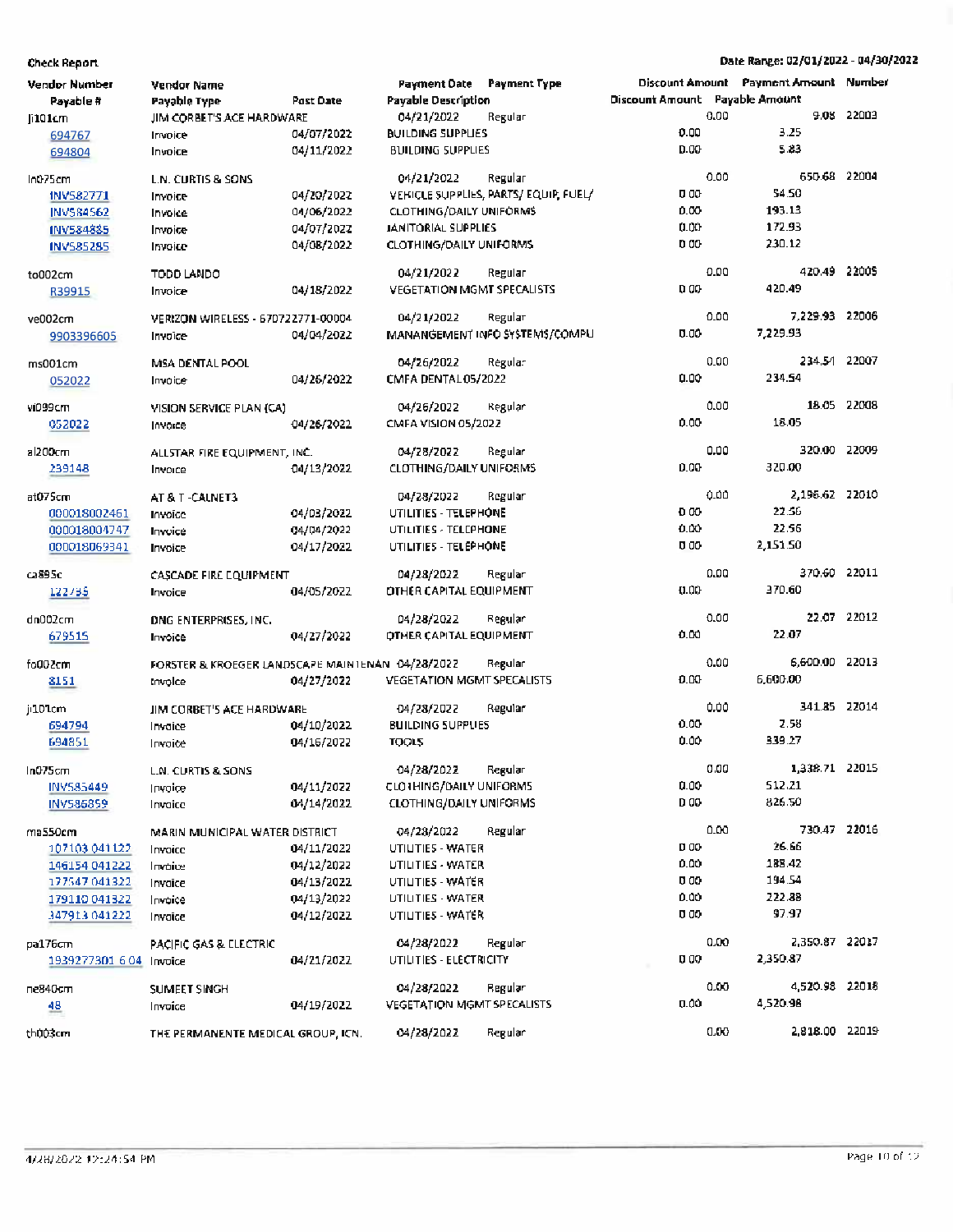| Vendor Number           | Vendor Name                                      |                  | Payment Date Payment Type         |                                      |                                |      | Discount Amount Payment Amount Number |             |
|-------------------------|--------------------------------------------------|------------------|-----------------------------------|--------------------------------------|--------------------------------|------|---------------------------------------|-------------|
| Payable #               | Payable Type                                     | <b>Past Date</b> | <b>Payable Description</b>        |                                      | Discount Amount Payable Amount |      |                                       |             |
| [i101cm]                | JIM CORBET'S ACE HARDWARE                        |                  | 04/21/2022                        | Regular                              |                                | 0.00 |                                       | 9.08 22003  |
| 694767                  | Invoice                                          | 04/07/2022       | <b>BUILDING SUPPLIES</b>          |                                      | 0.00                           |      | 3.25                                  |             |
| 694804                  | Invoice                                          | 04/11/2022       | <b>BUILDING SUPPLIES</b>          |                                      | <b>D.00</b>                    |      | 5.83                                  |             |
| In075cm                 | L.N. CURTIS & SONS                               |                  | 04/21/2022                        | Regular                              |                                | 0.00 | 650.68 22004                          |             |
| INV582771               | Invoice                                          | 04/20/2022       |                                   | VEHICLE SUPPLIES, PARTS/EQUIP, FUEL/ | 000                            |      | 54.50                                 |             |
| <b>INV584562</b>        | Invoice                                          | 04/06/2022       | <b>CLOTHING/DAILY UNIFORMS</b>    |                                      | 0.00                           |      | 193.13                                |             |
| INV584885               | Invoice                                          | 04/07/2022       | <b>JANITORIAL SUPPLIES</b>        |                                      | 0.00                           |      | 172.93                                |             |
| <b>INVSB5285</b>        | Invoice                                          | 04/08/2022       | <b>CLOTHING/DAILY UNIFORMS</b>    |                                      | 000                            |      | 230.12                                |             |
| to002cm                 | TODD LANDO                                       |                  | 04/21/2022                        | Regular                              |                                | 0.00 | 420.49 22005                          |             |
| R39915                  | Invoice                                          | 04/18/2022       | <b>VEGETATION MGMT SPECALISTS</b> |                                      | 0.00                           |      | 420.49                                |             |
| ve002cm                 | VERIZON WIRELESS - 670722771-00004               |                  | 04/21/2022                        | Regular                              |                                | 0.00 | 7,229.93 22006                        |             |
| 9903396605              | Invoice                                          | 04/04/2022       |                                   | MANANGEMENT INFO SYSTEMS/COMPU       | 0.00                           |      | 7,229.93                              |             |
|                         | MSA DENTAL POOL                                  |                  | 04/26/2022                        | Regular                              |                                | 0.00 | 234.54 22007                          |             |
| ms001cm                 |                                                  | 04/26/2022       | CMFA DENTAL 05/2022               |                                      | 0.00                           |      | 234.54                                |             |
| 052022                  | Invoice                                          |                  |                                   |                                      |                                |      |                                       |             |
| vi099cm                 | VISION SERVICE PLAN (CA)                         |                  | 04/26/2022                        | Regular                              |                                | 0.00 |                                       | 18.05 22008 |
| 052022                  | Invoice                                          | 04/26/2022       | CMFA VISION 05/2022               |                                      | 0.00                           |      | 18.05                                 |             |
| al200cm                 | ALLSTAR FIRE EQUIPMENT, INC.                     |                  | 04/28/2022                        | Regular                              |                                | 0.00 | 320.00 22009                          |             |
| 239148                  | Invoice                                          | 04/13/2022       | <b>CLOTHING/DAILY UNIFORMS</b>    |                                      | 0.00                           |      | 320.00                                |             |
|                         |                                                  |                  |                                   |                                      |                                |      |                                       |             |
| at075cm                 | AT & T -CALNET3                                  |                  | 04/28/2022                        | Regular                              |                                | 0.00 | 2,196.62 22010                        |             |
| 000018002461            | Invoice                                          | 04/03/2022       | UTILITIES - TELEPHONE             |                                      | 0.00                           |      | 22.56                                 |             |
| 000018004747            | Invoice                                          | 04/04/2022       | UTILITIES - TELEPHONE             |                                      | 0.00                           |      | 22.56                                 |             |
| 000018069341            | Invoice                                          | 04/17/2022       | UTILITIES - TELEPHONE             |                                      | 000                            |      | 2,151.50                              |             |
| ca895c                  | CASCADE FIRE EQUIPMENT                           |                  | 04/28/2022                        | Regular                              |                                | 0.00 | 370.60 22011                          |             |
| 122735                  | Invoice                                          | 04/05/2022       | <b>DTHER CAPITAL EQUIPMENT</b>    |                                      | 0.00                           |      | 370.60                                |             |
| dn002cm                 | <b>DNG ENTERPRISES, INC.</b>                     |                  | 04/28/2022                        | Regular                              |                                | 0.00 |                                       | 22.07 22012 |
| 679515                  | Invoice                                          | 04/27/2022       | <b>OTHER CAPITAL EQUIPMENT</b>    |                                      | 0.00                           |      | 22.07                                 |             |
|                         |                                                  |                  |                                   |                                      |                                |      |                                       |             |
| fo002cm                 | FORSTER & KROEGER LANDSCAPE MAINTENAN 04/28/2022 |                  |                                   | Regular                              |                                | 0.00 | 6,600.00 22013                        |             |
| 8151                    | Invoice                                          | 04/27/2022       | <b>VEGETATION MGMT SPECALISTS</b> |                                      | 0.00                           |      | 6,600.00                              |             |
| ji101cm                 | JIM CORBET'S ACE HARDWARE                        |                  | 04/28/2022                        | Regular                              |                                | 0.00 | 341.85 22014                          |             |
| 694794                  | Invalce                                          | 04/10/2022       | <b>BUILDING SUPPLIES</b>          |                                      | 0.00                           |      | 2.58                                  |             |
| 694851                  | Irvoice                                          | 04/16/2022       | TOOLS                             |                                      | 0.00                           |      | 339.27                                |             |
| In075cm                 | <b>L.N. CURTIS &amp; SONS</b>                    |                  | 04/28/2022                        | Regular                              |                                | 0.00 | 1,338.71 22015                        |             |
| INV585449               | Invoice                                          | 04/11/2022       | <b>CLOTHING/DAILY UNIFORMS</b>    |                                      | 0.00                           |      | 512.21                                |             |
| INV586859               | Invaice                                          | 04/14/2022       | <b>CLOTHING/DAILY UNIFORMS</b>    |                                      | D 00                           |      | 826.50                                |             |
| ma550cm                 | MARIN MUNICIPAL WATER DISTRICT                   |                  | 04/28/2022                        | Regular                              |                                | 0.00 | 730.47 22016                          |             |
| 107103-041122           | Invaice                                          | 04/11/2022       | UTILITIES - WATER                 |                                      | D 00                           |      | 26.66                                 |             |
| 146154 041222           | Invoice                                          | 04/12/2022       | <b>UTILITIES - WATER</b>          |                                      | 0.00                           |      | 188.42                                |             |
| 177547 041322           | Invaice                                          | 04/13/2022       | UTILITIES - WATER                 |                                      | 0.00                           |      | 194.54                                |             |
| 179110 041322           | Invoice                                          | 04/13/2022       | <b>UTILITIES - WATER</b>          |                                      | 0.00                           |      | 222.88                                |             |
| 347913 041222           | Invaice                                          | 04/12/2022       | UTILITIES - WATER                 |                                      | 0.00                           |      | 97.97                                 |             |
| pa176cm                 | <b>PACIFIC GAS &amp; ELECTRIC</b>                |                  | 04/28/2022                        | Regular                              |                                | 0.00 | 2,350.87 22017                        |             |
| 1939277301 6.04 Invoice |                                                  | 04/21/2022       | UTILITIES - ELECTRICITY           |                                      | 0 00                           |      | 2,350.87                              |             |
|                         |                                                  |                  |                                   |                                      |                                |      |                                       |             |
| ne840cm                 | <b>SUMEET SINGH</b>                              |                  | 04/28/2022                        | Regular                              |                                | 0.00 | 4,520.98 22018                        |             |
| 48.                     | Invoice                                          | 04/19/2022       | <b>VEGETATION MGMT SPECALISTS</b> |                                      | 0.00                           |      | 4,520.98                              |             |
| th003cm                 | THE PERMANENTE MEDICAL GROUP, ICN.               |                  | 04/28/2022                        | Regular                              |                                | 0.00 | 2,818.00 22019                        |             |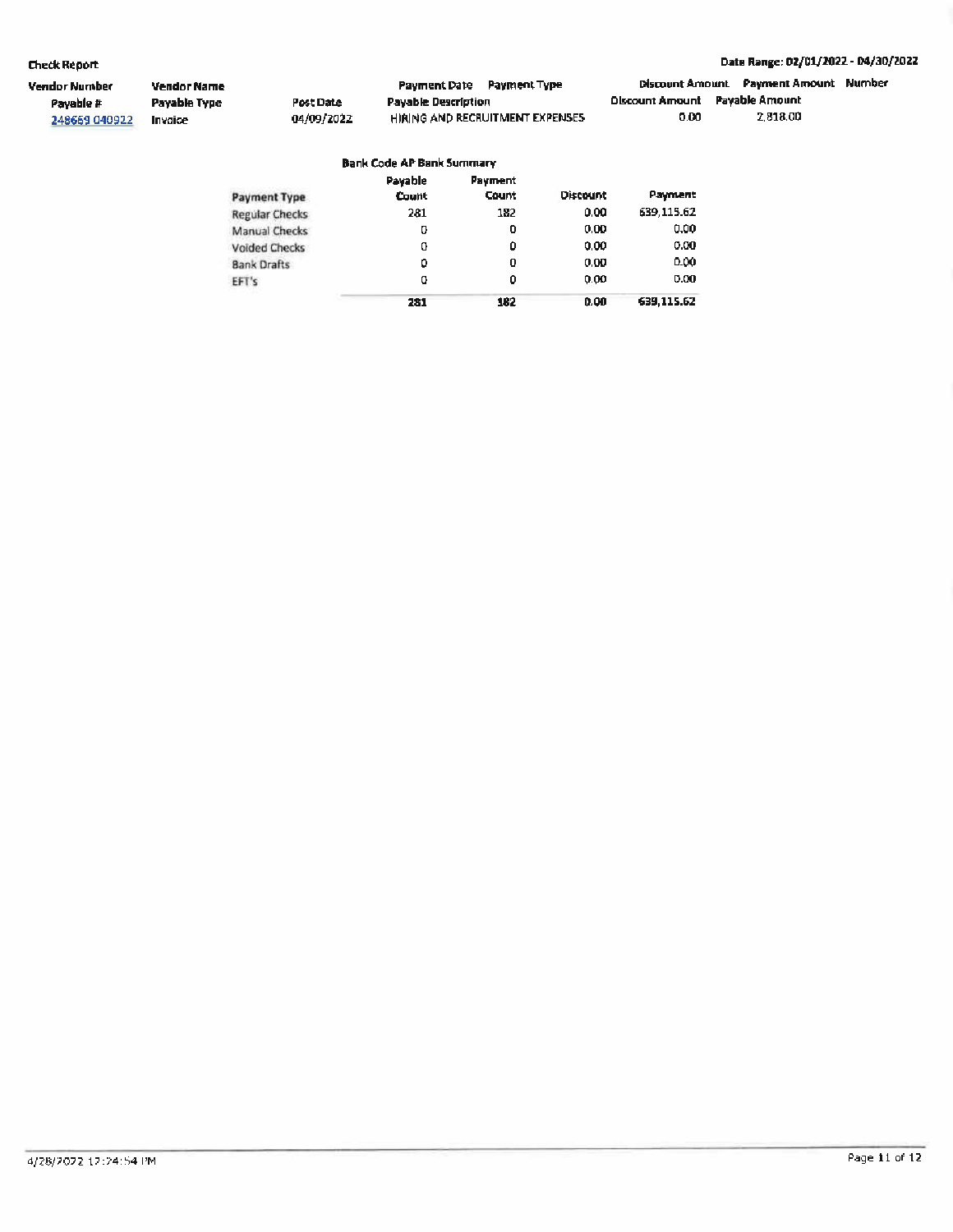#### Date Range: 02/01/2022 - 04/30/2022

| Vendor Number | Vendor Name  |            | <b>Payment Date Payment Type</b> |                                 |                                       | Discount Amount Payment Amount Number |  |
|---------------|--------------|------------|----------------------------------|---------------------------------|---------------------------------------|---------------------------------------|--|
| Payable #     | Payable Type | Post Date  | Payable Description              |                                 | <b>Discount Amount Pavable Amount</b> |                                       |  |
| 248669 040922 | Invaice      | 04/09/2022 |                                  | HIRING AND RECRUITMENT EXPENSES | 0.00                                  | 2.818.00                              |  |

#### **Bank Code AP Bank Summary**

| Payment Type         | Payable<br>Count | Payment<br><b>Count</b> | <b>Discount</b> | Payment    |
|----------------------|------------------|-------------------------|-----------------|------------|
| Regular Checks       | 281              | 182                     | 0.00            | 639,115.62 |
| Manual Checks        | o                | 0                       | 0.00            | 0.00       |
| <b>Voided Checks</b> | o                | Û                       | 0.00            | 0.00       |
| <b>Bank Drafts</b>   | ٥                | 0                       | 0.00            | 0.00       |
| EFT's                | ο                | Û                       | 0.00            | 0.00       |
|                      | 281              | 182                     | 0.00            | 639,115.62 |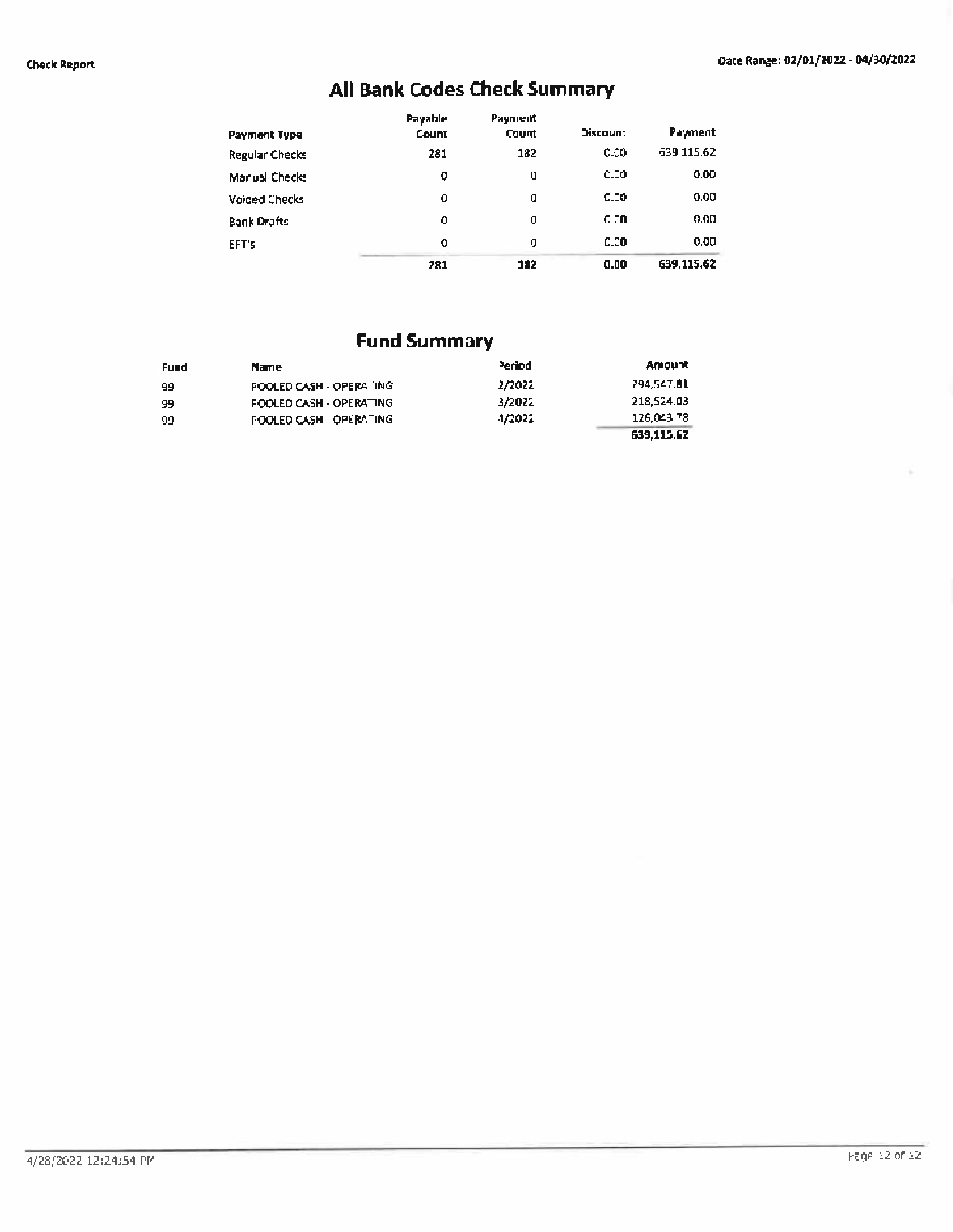# **All Bank Codes Check Summary**

| Payment Type          | Payable<br>Count | Payment<br>Count | <b>Discount</b> | Payment    |
|-----------------------|------------------|------------------|-----------------|------------|
| <b>Regular Checks</b> | 281              | 182              | 0.00            | 639.115.62 |
| Manual Checks         | ٥                | 0                | 0.00            | 0.00       |
| <b>Voided Checks</b>  | 0                | o                | 0.00            | 0.00       |
| <b>Bank Drafts</b>    | о                | o                | 0.00            | 0.00       |
| EFT's                 | o                | $\bf{0}$         | 0.00            | 0.00       |
|                       | 281              | 192              | 0.00            | 639,115.62 |

# **Fund Summary**

| Fund | Name                    | Period | Amount     |
|------|-------------------------|--------|------------|
| -99  | POOLED CASH - OPERATING | 2/2022 | 294,547.81 |
| 99   | POOLED CASH - OPERATING | 3/2022 | 218,524.03 |
| 99   | POOLED CASH - OPERATING | 4/2022 | 126.043.78 |
|      |                         |        | 639.115.62 |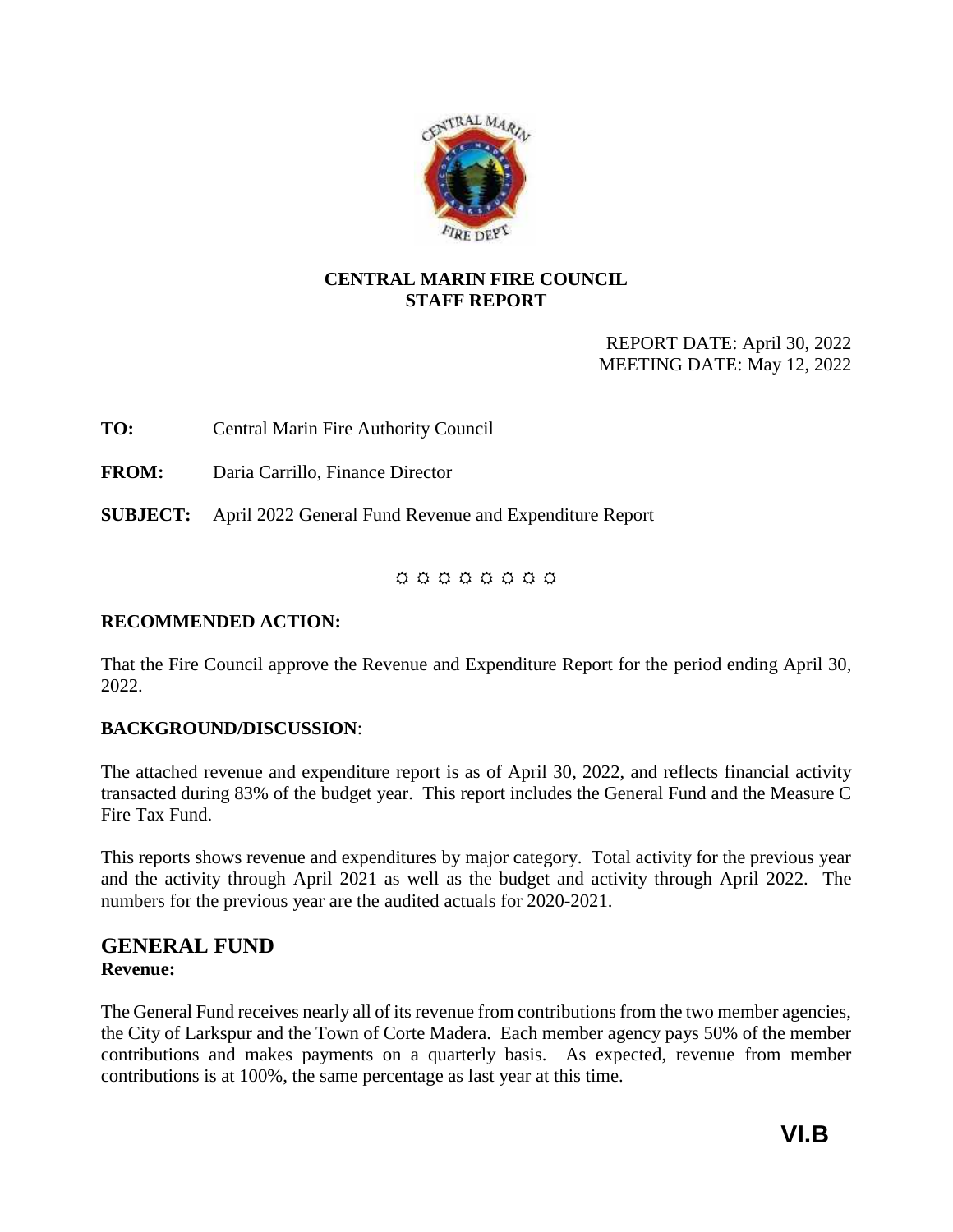

## <span id="page-20-0"></span>**CENTRAL MARIN FIRE COUNCIL STAFF REPORT**

REPORT DATE: April 30, 2022 MEETING DATE: May 12, 2022

**TO:** Central Marin Fire Authority Council

**FROM:** Daria Carrillo, Finance Director

**SUBJECT:** April 2022 General Fund Revenue and Expenditure Report

## $0 0 0 0 0 0 0 0 0$

## **RECOMMENDED ACTION:**

That the Fire Council approve the Revenue and Expenditure Report for the period ending April 30, 2022.

## **BACKGROUND/DISCUSSION**:

The attached revenue and expenditure report is as of April 30, 2022, and reflects financial activity transacted during 83% of the budget year. This report includes the General Fund and the Measure C Fire Tax Fund.

This reports shows revenue and expenditures by major category. Total activity for the previous year and the activity through April 2021 as well as the budget and activity through April 2022. The numbers for the previous year are the audited actuals for 2020-2021.

## **GENERAL FUND Revenue:**

The General Fund receives nearly all of its revenue from contributions from the two member agencies, the City of Larkspur and the Town of Corte Madera. Each member agency pays 50% of the member contributions and makes payments on a quarterly basis. As expected, revenue from member contributions is at 100%, the same percentage as last year at this time.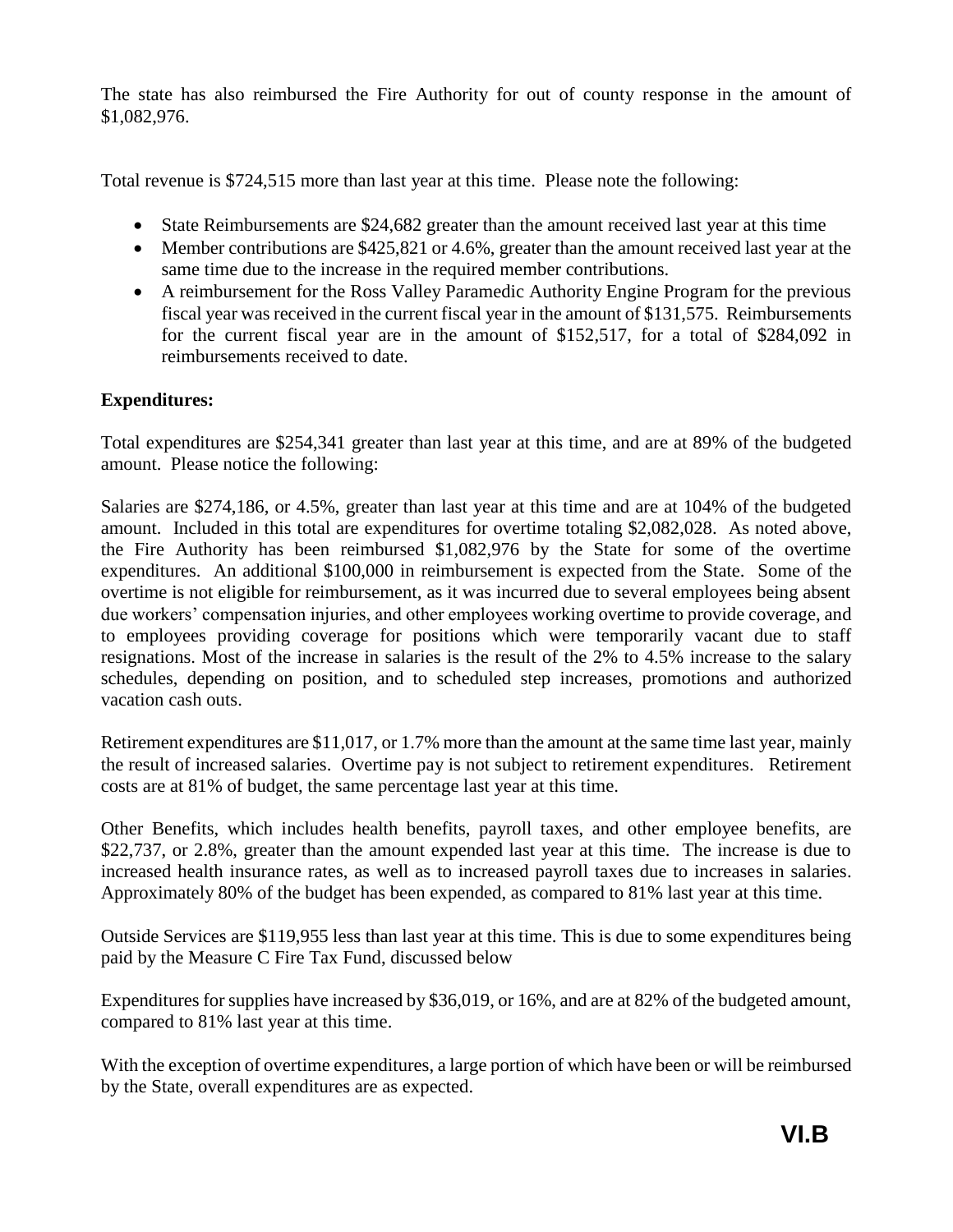The state has also reimbursed the Fire Authority for out of county response in the amount of \$1,082,976.

Total revenue is \$724,515 more than last year at this time. Please note the following:

- State Reimbursements are \$24,682 greater than the amount received last year at this time
- Member contributions are \$425,821 or 4.6%, greater than the amount received last year at the same time due to the increase in the required member contributions.
- A reimbursement for the Ross Valley Paramedic Authority Engine Program for the previous fiscal year was received in the current fiscal year in the amount of \$131,575. Reimbursements for the current fiscal year are in the amount of \$152,517, for a total of \$284,092 in reimbursements received to date.

## **Expenditures:**

Total expenditures are \$254,341 greater than last year at this time, and are at 89% of the budgeted amount. Please notice the following:

Salaries are \$274,186, or 4.5%, greater than last year at this time and are at 104% of the budgeted amount. Included in this total are expenditures for overtime totaling \$2,082,028. As noted above, the Fire Authority has been reimbursed \$1,082,976 by the State for some of the overtime expenditures. An additional \$100,000 in reimbursement is expected from the State. Some of the overtime is not eligible for reimbursement, as it was incurred due to several employees being absent due workers' compensation injuries, and other employees working overtime to provide coverage, and to employees providing coverage for positions which were temporarily vacant due to staff resignations. Most of the increase in salaries is the result of the 2% to 4.5% increase to the salary schedules, depending on position, and to scheduled step increases, promotions and authorized vacation cash outs.

Retirement expenditures are \$11,017, or 1.7% more than the amount at the same time last year, mainly the result of increased salaries. Overtime pay is not subject to retirement expenditures. Retirement costs are at 81% of budget, the same percentage last year at this time.

Other Benefits, which includes health benefits, payroll taxes, and other employee benefits, are \$22,737, or 2.8%, greater than the amount expended last year at this time. The increase is due to increased health insurance rates, as well as to increased payroll taxes due to increases in salaries. Approximately 80% of the budget has been expended, as compared to 81% last year at this time.

Outside Services are \$119,955 less than last year at this time. This is due to some expenditures being paid by the Measure C Fire Tax Fund, discussed below

Expenditures for supplies have increased by \$36,019, or 16%, and are at 82% of the budgeted amount, compared to 81% last year at this time.

With the exception of overtime expenditures, a large portion of which have been or will be reimbursed by the State, overall expenditures are as expected.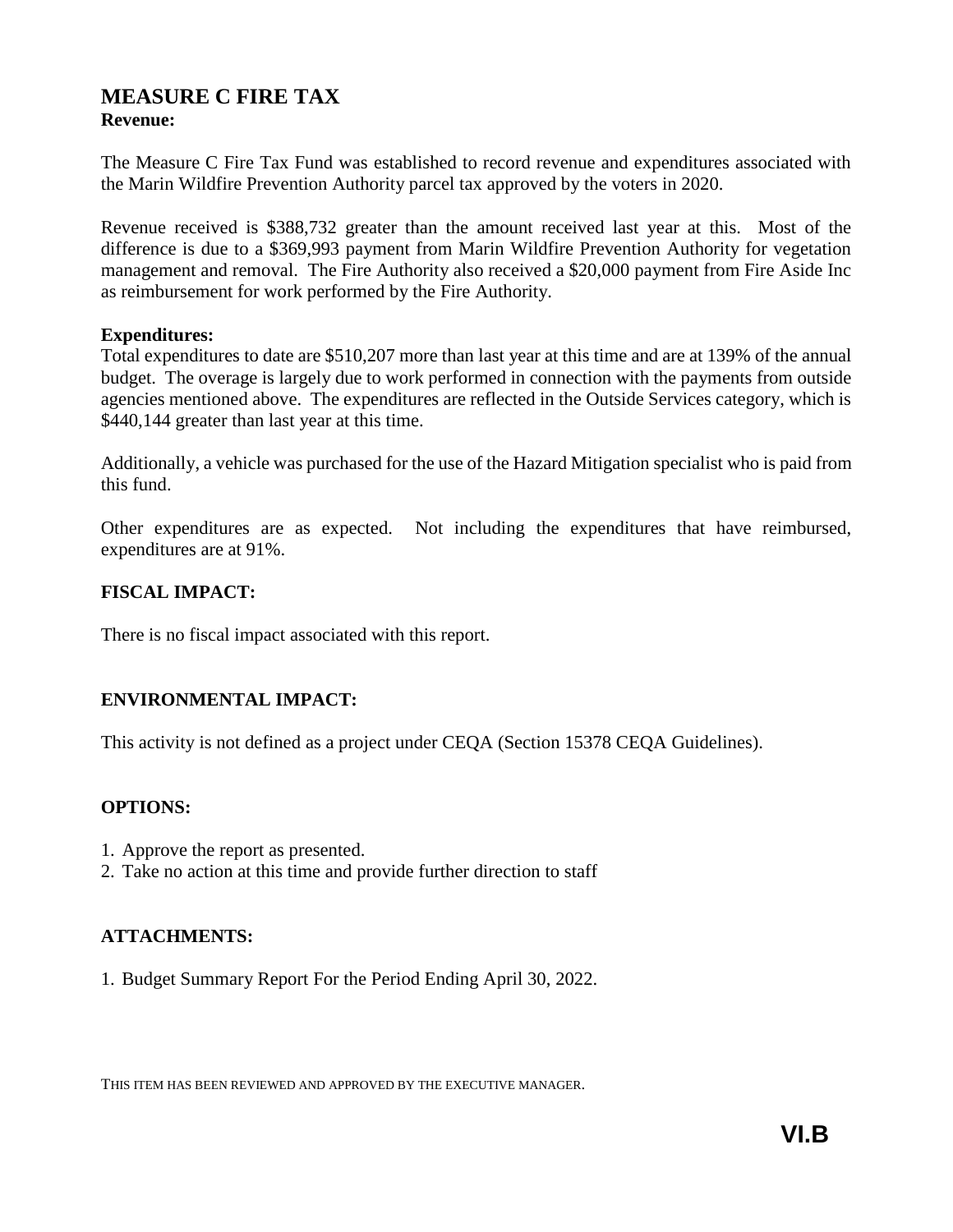## **MEASURE C FIRE TAX Revenue:**

The Measure C Fire Tax Fund was established to record revenue and expenditures associated with the Marin Wildfire Prevention Authority parcel tax approved by the voters in 2020.

Revenue received is \$388,732 greater than the amount received last year at this. Most of the difference is due to a \$369,993 payment from Marin Wildfire Prevention Authority for vegetation management and removal. The Fire Authority also received a \$20,000 payment from Fire Aside Inc as reimbursement for work performed by the Fire Authority.

### **Expenditures:**

Total expenditures to date are \$510,207 more than last year at this time and are at 139% of the annual budget. The overage is largely due to work performed in connection with the payments from outside agencies mentioned above. The expenditures are reflected in the Outside Services category, which is \$440,144 greater than last year at this time.

Additionally, a vehicle was purchased for the use of the Hazard Mitigation specialist who is paid from this fund.

Other expenditures are as expected. Not including the expenditures that have reimbursed, expenditures are at 91%.

## **FISCAL IMPACT:**

There is no fiscal impact associated with this report.

### **ENVIRONMENTAL IMPACT:**

This activity is not defined as a project under CEQA (Section 15378 CEQA Guidelines).

### **OPTIONS:**

- 1. Approve the report as presented.
- 2. Take no action at this time and provide further direction to staff

### **ATTACHMENTS:**

1. Budget Summary Report For the Period Ending April 30, 2022.

THIS ITEM HAS BEEN REVIEWED AND APPROVED BY THE EXECUTIVE MANAGER.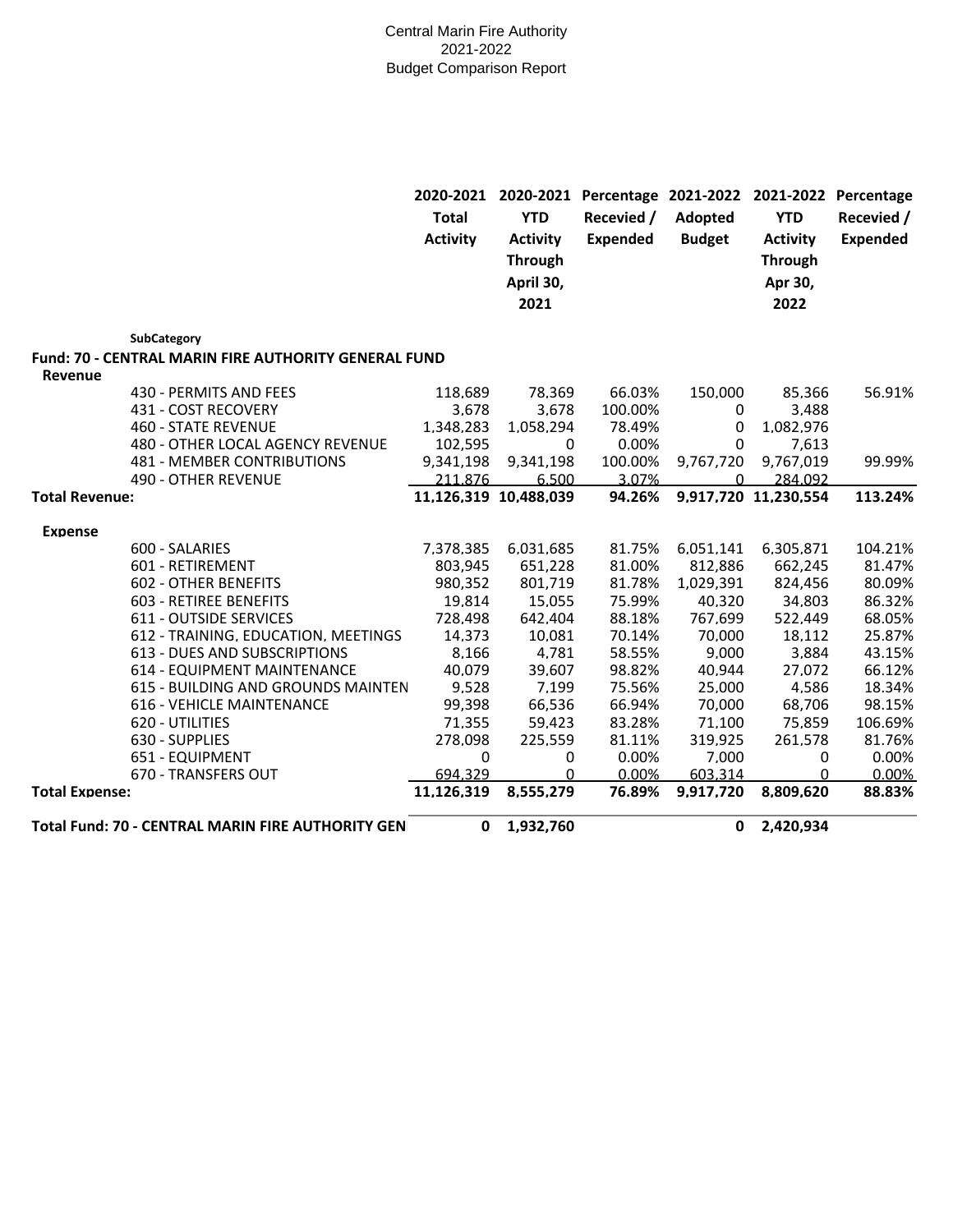#### Central Marin Fire Authority 2021-2022 Budget Comparison Report

|                                                                        | 2020-2021<br><b>Total</b><br><b>Activity</b> | <b>YTD</b><br><b>Activity</b><br><b>Through</b><br>April 30,<br>2021 | 2020-2021 Percentage 2021-2022<br>Recevied /<br><b>Expended</b> | Adopted<br><b>Budget</b> | <b>YTD</b><br><b>Activity</b><br><b>Through</b><br>Apr 30,<br>2022 | 2021-2022 Percentage<br>Recevied /<br><b>Expended</b> |
|------------------------------------------------------------------------|----------------------------------------------|----------------------------------------------------------------------|-----------------------------------------------------------------|--------------------------|--------------------------------------------------------------------|-------------------------------------------------------|
| SubCategory                                                            |                                              |                                                                      |                                                                 |                          |                                                                    |                                                       |
| <b>Fund: 70 - CENTRAL MARIN FIRE AUTHORITY GENERAL FUND</b><br>Revenue |                                              |                                                                      |                                                                 |                          |                                                                    |                                                       |
| 430 - PERMITS AND FEES                                                 | 118,689                                      | 78,369                                                               | 66.03%                                                          | 150,000                  | 85,366                                                             | 56.91%                                                |
| 431 - COST RECOVERY                                                    | 3,678                                        | 3,678                                                                | 100.00%                                                         | $\mathbf{0}$             | 3.488                                                              |                                                       |
| <b>460 - STATE REVENUE</b>                                             | 1.348.283                                    | 1.058.294                                                            | 78.49%                                                          | 0                        | 1.082.976                                                          |                                                       |
| 480 - OTHER LOCAL AGENCY REVENUE                                       | 102,595                                      | 0                                                                    | 0.00%                                                           | 0                        | 7.613                                                              |                                                       |
| 481 - MEMBER CONTRIBUTIONS                                             | 9,341,198                                    | 9,341,198                                                            | 100.00%                                                         | 9,767,720                | 9,767,019                                                          | 99.99%                                                |
| <b>490 - OTHER REVENUE</b>                                             | 211.876                                      | 6.500                                                                | 3.07%                                                           | $\Omega$                 | 284.092                                                            |                                                       |
| <b>Total Revenue:</b>                                                  |                                              | 11.126.319 10.488.039                                                | 94.26%                                                          |                          | 9.917.720 11.230.554                                               | 113.24%                                               |
| <b>Expense</b>                                                         |                                              |                                                                      |                                                                 |                          |                                                                    |                                                       |
| 600 - SALARIES                                                         | 7,378,385                                    | 6.031.685                                                            | 81.75%                                                          | 6.051,141                | 6,305,871                                                          | 104.21%                                               |
| 601 - RETIREMENT                                                       | 803,945                                      | 651,228                                                              | 81.00%                                                          | 812,886                  | 662,245                                                            | 81.47%                                                |
| <b>602 - OTHER BENEFITS</b>                                            | 980,352                                      | 801,719                                                              | 81.78%                                                          | 1,029,391                | 824,456                                                            | 80.09%                                                |
| 603 - RETIREE BENEFITS                                                 | 19,814                                       | 15,055                                                               | 75.99%                                                          | 40,320                   | 34,803                                                             | 86.32%                                                |
| <b>611 - OUTSIDE SERVICES</b>                                          | 728,498                                      | 642,404                                                              | 88.18%                                                          | 767,699                  | 522,449                                                            | 68.05%                                                |
| 612 - TRAINING, EDUCATION, MEETINGS                                    | 14,373                                       | 10.081                                                               | 70.14%                                                          | 70,000                   | 18,112                                                             | 25.87%                                                |
| <b>613 - DUES AND SUBSCRIPTIONS</b>                                    | 8.166                                        | 4.781                                                                | 58.55%                                                          | 9.000                    | 3.884                                                              | 43.15%                                                |
| 614 - EQUIPMENT MAINTENANCE                                            | 40,079                                       | 39,607                                                               | 98.82%                                                          | 40,944                   | 27,072                                                             | 66.12%                                                |
| 615 - BUILDING AND GROUNDS MAINTEN                                     | 9,528                                        | 7,199                                                                | 75.56%                                                          | 25,000                   | 4,586                                                              | 18.34%                                                |
| 616 - VEHICLE MAINTENANCE                                              | 99,398                                       | 66.536                                                               | 66.94%                                                          | 70,000                   | 68,706                                                             | 98.15%                                                |
| 620 - UTILITIES                                                        | 71.355                                       | 59.423                                                               | 83.28%                                                          | 71.100                   | 75.859                                                             | 106.69%                                               |
| 630 - SUPPLIES                                                         | 278,098                                      | 225,559                                                              | 81.11%                                                          | 319,925                  | 261,578                                                            | 81.76%                                                |
| 651 - EQUIPMENT                                                        | 0                                            | 0                                                                    | 0.00%                                                           | 7,000                    | 0                                                                  | 0.00%                                                 |
| 670 - TRANSFERS OUT                                                    | 694.329                                      | $\Omega$                                                             | 0.00%                                                           | 603.314                  | U                                                                  | 0.00%                                                 |
| <b>Total Expense:</b>                                                  | 11.126.319                                   | 8.555.279                                                            | 76.89%                                                          | 9.917.720                | 8.809.620                                                          | 88.83%                                                |
| Total Fund: 70 - CENTRAL MARIN FIRE AUTHORITY GEN                      | 0                                            | 1,932,760                                                            |                                                                 | $\mathbf{0}$             | 2,420,934                                                          |                                                       |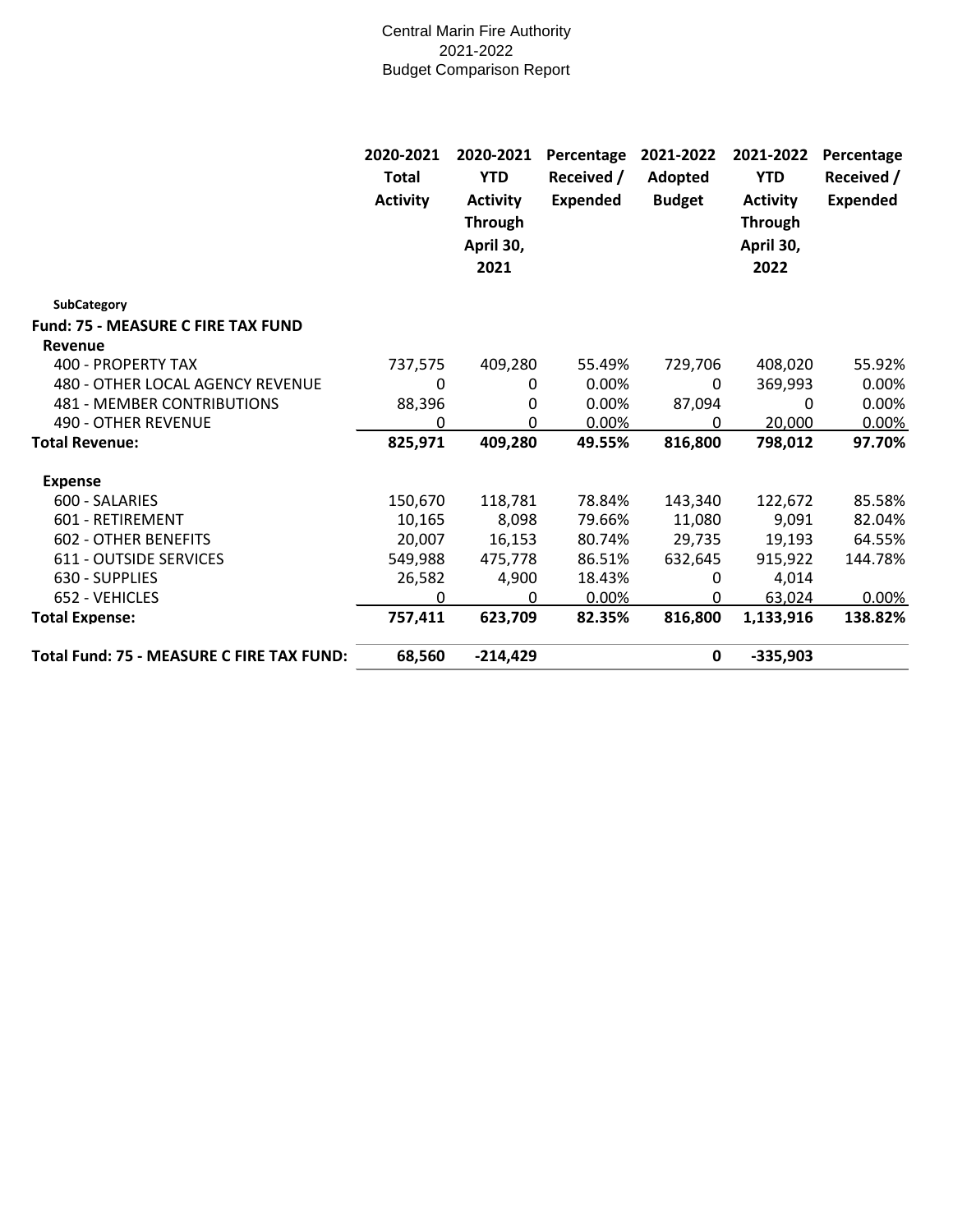#### Central Marin Fire Authority 2021-2022 Budget Comparison Report

|                                                      | 2020-2021<br>Total<br><b>Activity</b> | 2020-2021<br><b>YTD</b><br><b>Activity</b><br><b>Through</b><br>April 30,<br>2021 | Percentage<br>Received /<br><b>Expended</b> | 2021-2022<br>Adopted<br><b>Budget</b> | 2021-2022<br><b>YTD</b><br><b>Activity</b><br><b>Through</b><br>April 30,<br>2022 | Percentage<br>Received /<br><b>Expended</b> |
|------------------------------------------------------|---------------------------------------|-----------------------------------------------------------------------------------|---------------------------------------------|---------------------------------------|-----------------------------------------------------------------------------------|---------------------------------------------|
| <b>SubCategory</b>                                   |                                       |                                                                                   |                                             |                                       |                                                                                   |                                             |
| <b>Fund: 75 - MEASURE C FIRE TAX FUND</b><br>Revenue |                                       |                                                                                   |                                             |                                       |                                                                                   |                                             |
| 400 - PROPERTY TAX                                   | 737,575                               | 409,280                                                                           | 55.49%                                      | 729,706                               | 408,020                                                                           | 55.92%                                      |
| 480 - OTHER LOCAL AGENCY REVENUE                     | 0                                     | 0                                                                                 | 0.00%                                       | 0                                     | 369,993                                                                           | $0.00\%$                                    |
| <b>481 - MEMBER CONTRIBUTIONS</b>                    | 88,396                                | 0                                                                                 | 0.00%                                       | 87,094                                | 0                                                                                 | 0.00%                                       |
| 490 - OTHER REVENUE                                  | 0                                     | 0                                                                                 | 0.00%                                       | 0                                     | 20,000                                                                            | 0.00%                                       |
| <b>Total Revenue:</b>                                | 825,971                               | 409,280                                                                           | 49.55%                                      | 816,800                               | 798,012                                                                           | 97.70%                                      |
| <b>Expense</b>                                       |                                       |                                                                                   |                                             |                                       |                                                                                   |                                             |
| 600 - SALARIES                                       | 150,670                               | 118,781                                                                           | 78.84%                                      | 143,340                               | 122,672                                                                           | 85.58%                                      |
| 601 - RETIREMENT                                     | 10,165                                | 8,098                                                                             | 79.66%                                      | 11,080                                | 9,091                                                                             | 82.04%                                      |
| <b>602 - OTHER BENEFITS</b>                          | 20,007                                | 16,153                                                                            | 80.74%                                      | 29,735                                | 19,193                                                                            | 64.55%                                      |
| <b>611 - OUTSIDE SERVICES</b>                        | 549,988                               | 475,778                                                                           | 86.51%                                      | 632,645                               | 915,922                                                                           | 144.78%                                     |
| 630 - SUPPLIES                                       | 26,582                                | 4,900                                                                             | 18.43%                                      | 0                                     | 4,014                                                                             |                                             |
| 652 - VEHICLES                                       | $\Omega$                              | 0                                                                                 | 0.00%                                       | 0                                     | 63,024                                                                            | 0.00%                                       |
| <b>Total Expense:</b>                                | 757,411                               | 623,709                                                                           | 82.35%                                      | 816,800                               | 1,133,916                                                                         | 138.82%                                     |
| Total Fund: 75 - MEASURE C FIRE TAX FUND:            | 68,560                                | $-214,429$                                                                        |                                             | $\mathbf 0$                           | $-335,903$                                                                        |                                             |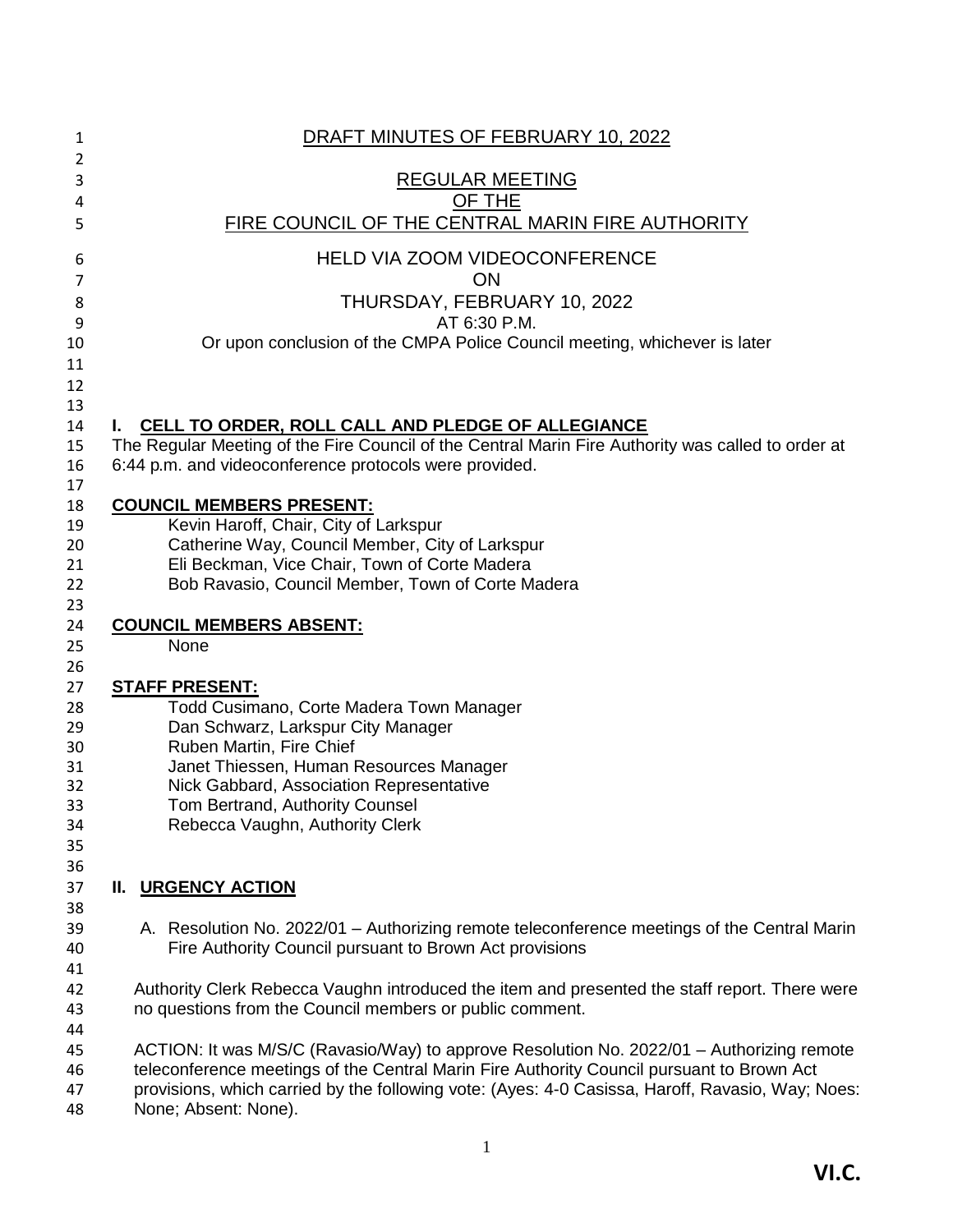<span id="page-25-0"></span>

| 1        | DRAFT MINUTES OF FEBRUARY 10, 2022                                                                 |
|----------|----------------------------------------------------------------------------------------------------|
| 2<br>3   | <b>REGULAR MEETING</b>                                                                             |
| 4        | OF THE                                                                                             |
| 5        | FIRE COUNCIL OF THE CENTRAL MARIN FIRE AUTHORITY                                                   |
| 6        | <b>HELD VIA ZOOM VIDEOCONFERENCE</b>                                                               |
| 7        | ON                                                                                                 |
| 8        | THURSDAY, FEBRUARY 10, 2022                                                                        |
| 9        | AT 6:30 P.M.                                                                                       |
| 10       | Or upon conclusion of the CMPA Police Council meeting, whichever is later                          |
| 11       |                                                                                                    |
| 12       |                                                                                                    |
| 13       |                                                                                                    |
| 14       | CELL TO ORDER, ROLL CALL AND PLEDGE OF ALLEGIANCE<br>L.                                            |
| 15       | The Regular Meeting of the Fire Council of the Central Marin Fire Authority was called to order at |
| 16       | 6:44 p.m. and videoconference protocols were provided.                                             |
| 17<br>18 | <b>COUNCIL MEMBERS PRESENT:</b>                                                                    |
| 19       | Kevin Haroff, Chair, City of Larkspur                                                              |
| 20       | Catherine Way, Council Member, City of Larkspur                                                    |
| 21       | Eli Beckman, Vice Chair, Town of Corte Madera                                                      |
| 22       | Bob Ravasio, Council Member, Town of Corte Madera                                                  |
| 23       |                                                                                                    |
| 24       | <b>COUNCIL MEMBERS ABSENT:</b>                                                                     |
| 25       | None                                                                                               |
| 26       |                                                                                                    |
| 27       | <b>STAFF PRESENT:</b>                                                                              |
| 28       | Todd Cusimano, Corte Madera Town Manager                                                           |
| 29<br>30 | Dan Schwarz, Larkspur City Manager<br>Ruben Martin, Fire Chief                                     |
| 31       | Janet Thiessen, Human Resources Manager                                                            |
| 32       | Nick Gabbard, Association Representative                                                           |
| 33       | Tom Bertrand, Authority Counsel                                                                    |
| 34       | Rebecca Vaughn, Authority Clerk                                                                    |
| 35       |                                                                                                    |
| 36       |                                                                                                    |
| 37       | <b>II. URGENCY ACTION</b>                                                                          |
| 38       |                                                                                                    |
| 39       | A. Resolution No. 2022/01 - Authorizing remote teleconference meetings of the Central Marin        |
| 40       | Fire Authority Council pursuant to Brown Act provisions                                            |
| 41<br>42 | Authority Clerk Rebecca Vaughn introduced the item and presented the staff report. There were      |
| 43       | no questions from the Council members or public comment.                                           |
| 44       |                                                                                                    |
| 45       | ACTION: It was M/S/C (Ravasio/Way) to approve Resolution No. 2022/01 - Authorizing remote          |
| 46       | teleconference meetings of the Central Marin Fire Authority Council pursuant to Brown Act          |
| 47       | provisions, which carried by the following vote: (Ayes: 4-0 Casissa, Haroff, Ravasio, Way; Noes:   |
| 48       | None; Absent: None).                                                                               |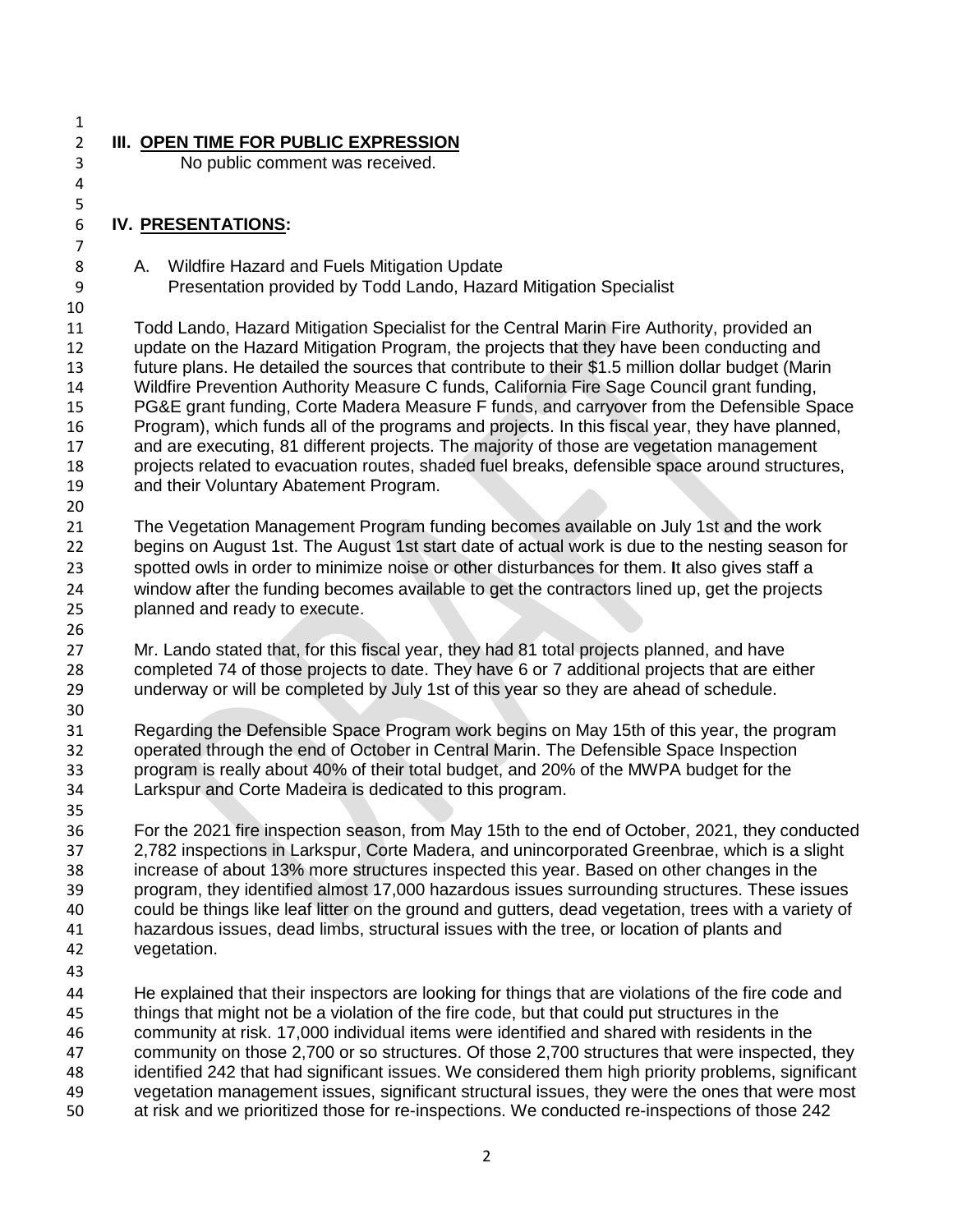- **III. OPEN TIME FOR PUBLIC EXPRESSION** No public comment was received. **IV. PRESENTATIONS:** 8 A. Wildfire Hazard and Fuels Mitigation Update Presentation provided by Todd Lando, Hazard Mitigation Specialist Todd Lando, Hazard Mitigation Specialist for the Central Marin Fire Authority, provided an update on the Hazard Mitigation Program, the projects that they have been conducting and future plans. He detailed the sources that contribute to their \$1.5 million dollar budget (Marin Wildfire Prevention Authority Measure C funds, California Fire Sage Council grant funding, PG&E grant funding, Corte Madera Measure F funds, and carryover from the Defensible Space Program), which funds all of the programs and projects. In this fiscal year, they have planned, and are executing, 81 different projects. The majority of those are vegetation management projects related to evacuation routes, shaded fuel breaks, defensible space around structures, and their Voluntary Abatement Program. The Vegetation Management Program funding becomes available on July 1st and the work begins on August 1st. The August 1st start date of actual work is due to the nesting season for spotted owls in order to minimize noise or other disturbances for them. **I**t also gives staff a window after the funding becomes available to get the contractors lined up, get the projects planned and ready to execute. Mr. Lando stated that, for this fiscal year, they had 81 total projects planned, and have completed 74 of those projects to date. They have 6 or 7 additional projects that are either underway or will be completed by July 1st of this year so they are ahead of schedule. Regarding the Defensible Space Program work begins on May 15th of this year, the program operated through the end of October in Central Marin. The Defensible Space Inspection program is really about 40% of their total budget, and 20% of the MWPA budget for the Larkspur and Corte Madeira is dedicated to this program. For the 2021 fire inspection season, from May 15th to the end of October, 2021, they conducted 2,782 inspections in Larkspur, Corte Madera, and unincorporated Greenbrae, which is a slight increase of about 13% more structures inspected this year. Based on other changes in the program, they identified almost 17,000 hazardous issues surrounding structures. These issues could be things like leaf litter on the ground and gutters, dead vegetation, trees with a variety of hazardous issues, dead limbs, structural issues with the tree, or location of plants and vegetation. He explained that their inspectors are looking for things that are violations of the fire code and things that might not be a violation of the fire code, but that could put structures in the community at risk. 17,000 individual items were identified and shared with residents in the community on those 2,700 or so structures. Of those 2,700 structures that were inspected, they identified 242 that had significant issues. We considered them high priority problems, significant vegetation management issues, significant structural issues, they were the ones that were most
- at risk and we prioritized those for re-inspections. We conducted re-inspections of those 242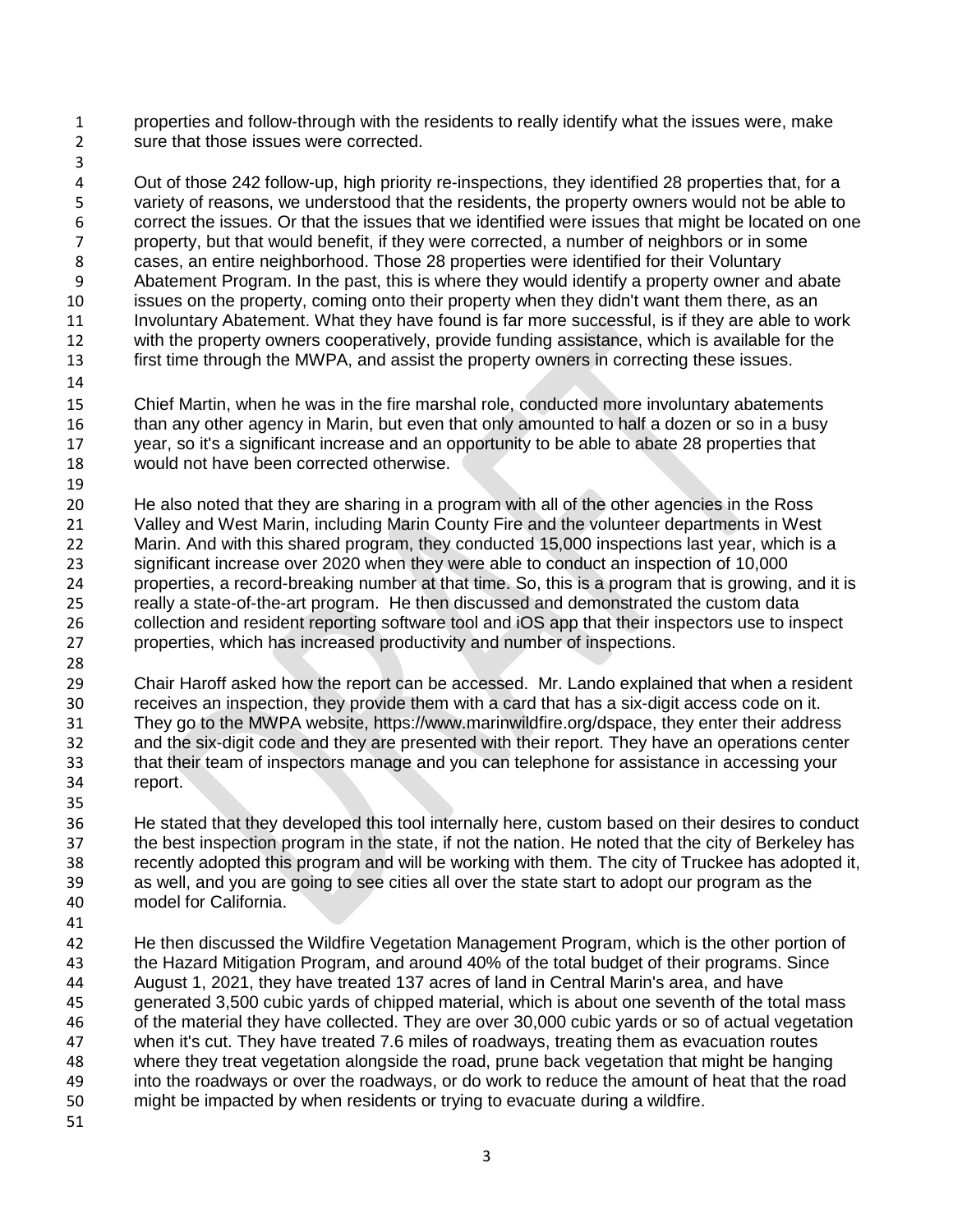properties and follow-through with the residents to really identify what the issues were, make sure that those issues were corrected.

 Out of those 242 follow-up, high priority re-inspections, they identified 28 properties that, for a variety of reasons, we understood that the residents, the property owners would not be able to 6 correct the issues. Or that the issues that we identified were issues that might be located on one<br>6 correct that would benefit. if they were corrected, a number of neighbors or in some property, but that would benefit, if they were corrected, a number of neighbors or in some cases, an entire neighborhood. Those 28 properties were identified for their Voluntary Abatement Program. In the past, this is where they would identify a property owner and abate issues on the property, coming onto their property when they didn't want them there, as an Involuntary Abatement. What they have found is far more successful, is if they are able to work with the property owners cooperatively, provide funding assistance, which is available for the first time through the MWPA, and assist the property owners in correcting these issues.

 Chief Martin, when he was in the fire marshal role, conducted more involuntary abatements than any other agency in Marin, but even that only amounted to half a dozen or so in a busy year, so it's a significant increase and an opportunity to be able to abate 28 properties that would not have been corrected otherwise.

 He also noted that they are sharing in a program with all of the other agencies in the Ross Valley and West Marin, including Marin County Fire and the volunteer departments in West Marin. And with this shared program, they conducted 15,000 inspections last year, which is a significant increase over 2020 when they were able to conduct an inspection of 10,000 properties, a record-breaking number at that time. So, this is a program that is growing, and it is really a state-of-the-art program. He then discussed and demonstrated the custom data collection and resident reporting software tool and iOS app that their inspectors use to inspect properties, which has increased productivity and number of inspections.

 Chair Haroff asked how the report can be accessed. Mr. Lando explained that when a resident receives an inspection, they provide them with a card that has a six-digit access code on it. They go to the MWPA website, https://www.marinwildfire.org/dspace, they enter their address and the six-digit code and they are presented with their report. They have an operations center that their team of inspectors manage and you can telephone for assistance in accessing your report.

 He stated that they developed this tool internally here, custom based on their desires to conduct the best inspection program in the state, if not the nation. He noted that the city of Berkeley has recently adopted this program and will be working with them. The city of Truckee has adopted it, as well, and you are going to see cities all over the state start to adopt our program as the model for California.

 He then discussed the Wildfire Vegetation Management Program, which is the other portion of the Hazard Mitigation Program, and around 40% of the total budget of their programs. Since August 1, 2021, they have treated 137 acres of land in Central Marin's area, and have generated 3,500 cubic yards of chipped material, which is about one seventh of the total mass of the material they have collected. They are over 30,000 cubic yards or so of actual vegetation when it's cut. They have treated 7.6 miles of roadways, treating them as evacuation routes where they treat vegetation alongside the road, prune back vegetation that might be hanging into the roadways or over the roadways, or do work to reduce the amount of heat that the road might be impacted by when residents or trying to evacuate during a wildfire.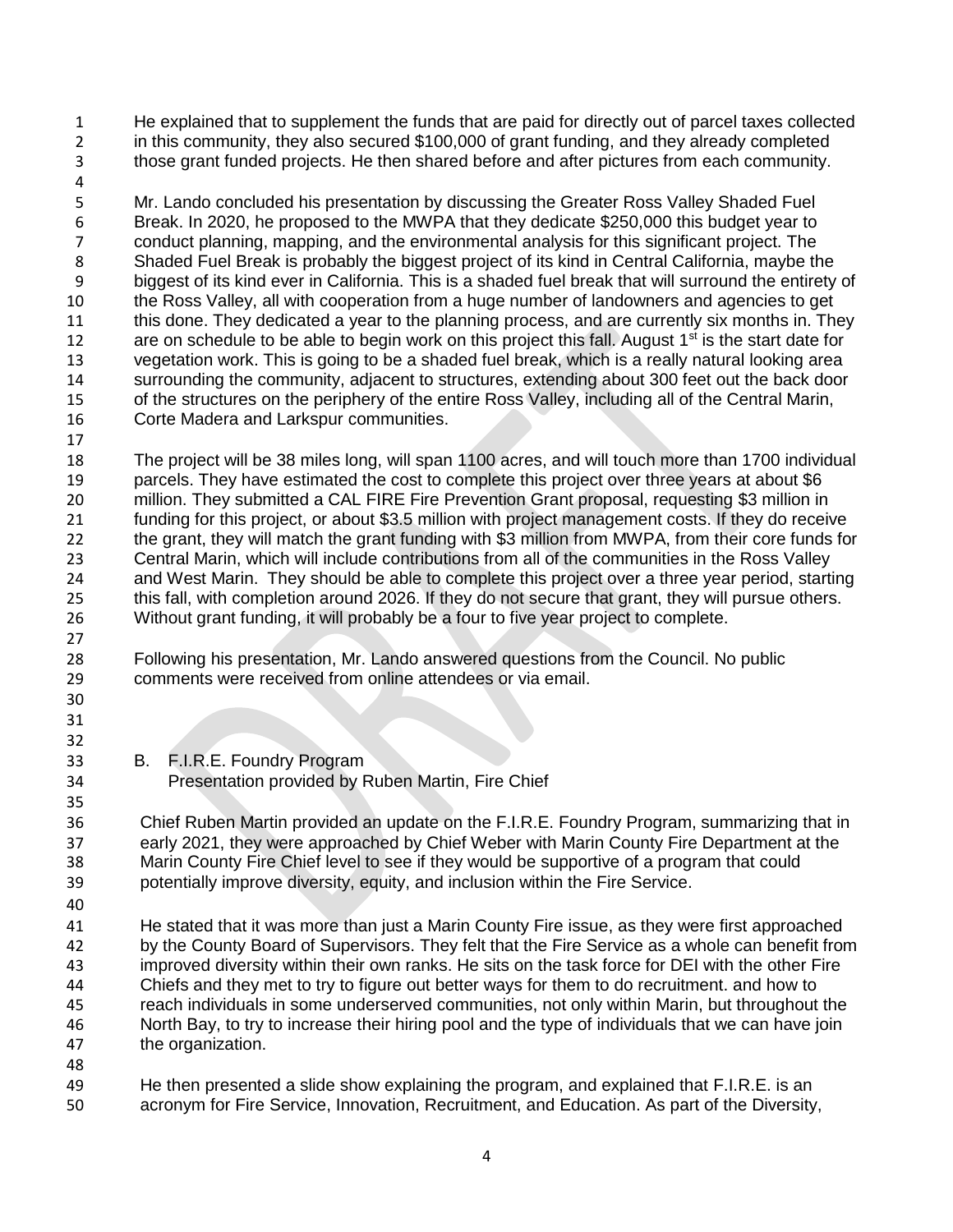He explained that to supplement the funds that are paid for directly out of parcel taxes collected in this community, they also secured \$100,000 of grant funding, and they already completed those grant funded projects. He then shared before and after pictures from each community.

 Mr. Lando concluded his presentation by discussing the Greater Ross Valley Shaded Fuel 6 Break. In 2020, he proposed to the MWPA that they dedicate \$250,000 this budget year to<br>7 conduct planning, mapping, and the environmental analysis for this significant project. The 7 conduct planning, mapping, and the environmental analysis for this significant project. The<br>8 Shaded Fuel Break is probably the biggest project of its kind in Central California, maybe the Shaded Fuel Break is probably the biggest project of its kind in Central California, maybe the biggest of its kind ever in California. This is a shaded fuel break that will surround the entirety of the Ross Valley, all with cooperation from a huge number of landowners and agencies to get 11 this done. They dedicated a year to the planning process, and are currently six months in. They 12 are on schedule to be able to begin work on this project this fall. August  $1<sup>st</sup>$  is the start date for vegetation work. This is going to be a shaded fuel break, which is a really natural looking area surrounding the community, adjacent to structures, extending about 300 feet out the back door of the structures on the periphery of the entire Ross Valley, including all of the Central Marin, Corte Madera and Larkspur communities.

 The project will be 38 miles long, will span 1100 acres, and will touch more than 1700 individual 19 parcels. They have estimated the cost to complete this project over three years at about \$6 million. They submitted a CAL FIRE Fire Prevention Grant proposal, requesting \$3 million in funding for this project, or about \$3.5 million with project management costs. If they do receive the grant, they will match the grant funding with \$3 million from MWPA, from their core funds for Central Marin, which will include contributions from all of the communities in the Ross Valley and West Marin. They should be able to complete this project over a three year period, starting this fall, with completion around 2026. If they do not secure that grant, they will pursue others. Without grant funding, it will probably be a four to five year project to complete.

 Following his presentation, Mr. Lando answered questions from the Council. No public comments were received from online attendees or via email.

 

B. F.I.R.E. Foundry Program

## Presentation provided by Ruben Martin, Fire Chief

 Chief Ruben Martin provided an update on the F.I.R.E. Foundry Program, summarizing that in early 2021, they were approached by Chief Weber with Marin County Fire Department at the Marin County Fire Chief level to see if they would be supportive of a program that could potentially improve diversity, equity, and inclusion within the Fire Service.

 He stated that it was more than just a Marin County Fire issue, as they were first approached by the County Board of Supervisors. They felt that the Fire Service as a whole can benefit from improved diversity within their own ranks. He sits on the task force for DEI with the other Fire Chiefs and they met to try to figure out better ways for them to do recruitment. and how to reach individuals in some underserved communities, not only within Marin, but throughout the North Bay, to try to increase their hiring pool and the type of individuals that we can have join the organization.

 He then presented a slide show explaining the program, and explained that F.I.R.E. is an acronym for Fire Service, Innovation, Recruitment, and Education. As part of the Diversity,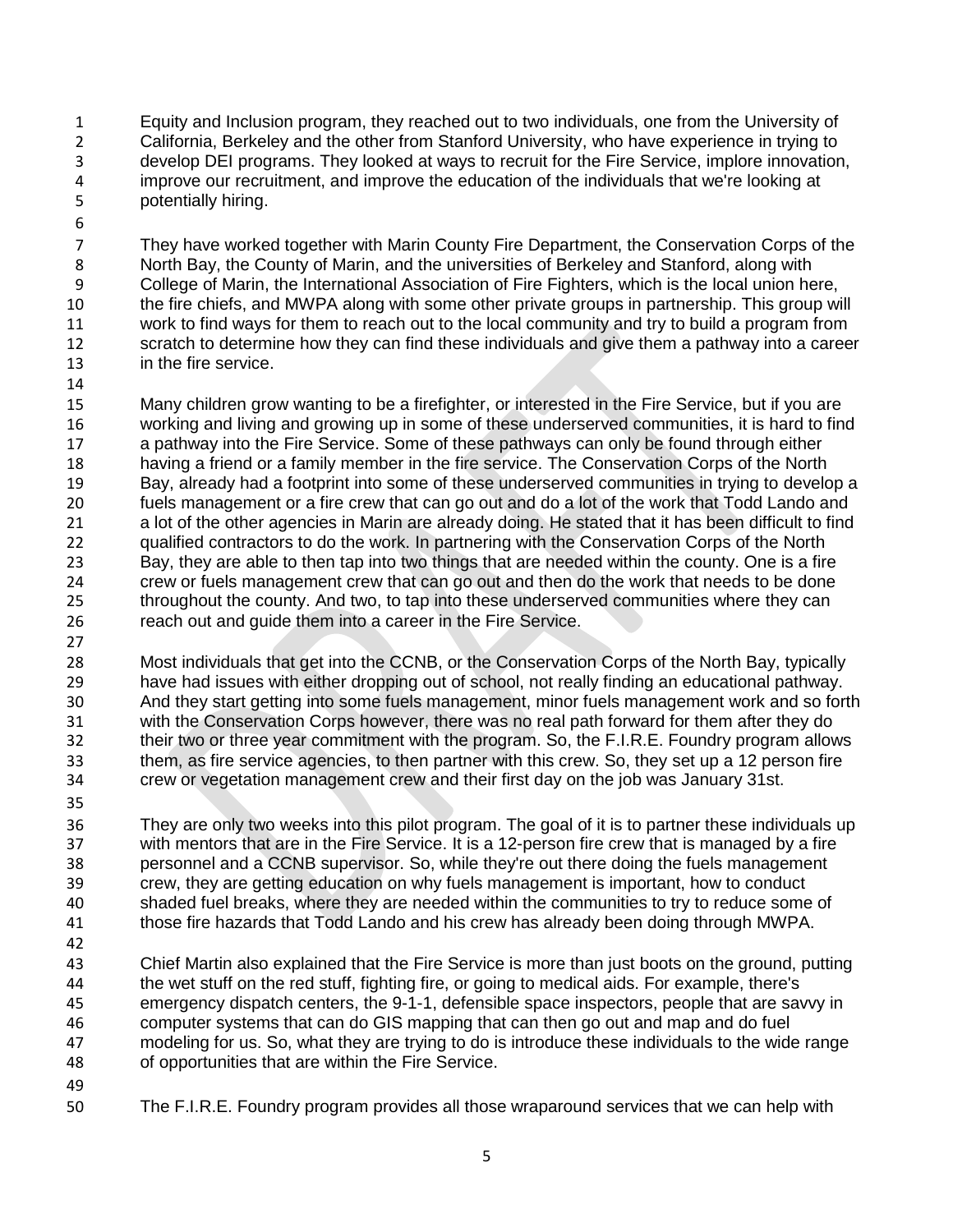- Equity and Inclusion program, they reached out to two individuals, one from the University of California, Berkeley and the other from Stanford University, who have experience in trying to develop DEI programs. They looked at ways to recruit for the Fire Service, implore innovation, improve our recruitment, and improve the education of the individuals that we're looking at potentially hiring.
- 

 They have worked together with Marin County Fire Department, the Conservation Corps of the North Bay, the County of Marin, and the universities of Berkeley and Stanford, along with College of Marin, the International Association of Fire Fighters, which is the local union here, the fire chiefs, and MWPA along with some other private groups in partnership. This group will work to find ways for them to reach out to the local community and try to build a program from 12 scratch to determine how they can find these individuals and give them a pathway into a career in the fire service.

15 Many children grow wanting to be a firefighter, or interested in the Fire Service, but if you are working and living and growing up in some of these underserved communities, it is hard to find a pathway into the Fire Service. Some of these pathways can only be found through either having a friend or a family member in the fire service. The Conservation Corps of the North Bay, already had a footprint into some of these underserved communities in trying to develop a fuels management or a fire crew that can go out and do a lot of the work that Todd Lando and a lot of the other agencies in Marin are already doing. He stated that it has been difficult to find qualified contractors to do the work. In partnering with the Conservation Corps of the North 23 Bay, they are able to then tap into two things that are needed within the county. One is a fire<br>24 crew or fuels management crew that can go out and then do the work that needs to be done crew or fuels management crew that can go out and then do the work that needs to be done throughout the county. And two, to tap into these underserved communities where they can reach out and guide them into a career in the Fire Service.

 Most individuals that get into the CCNB, or the Conservation Corps of the North Bay, typically 29 have had issues with either dropping out of school, not really finding an educational pathway.<br>20 And they start getting into some fuels management, minor fuels management work and so for And they start getting into some fuels management, minor fuels management work and so forth with the Conservation Corps however, there was no real path forward for them after they do their two or three year commitment with the program. So, the F.I.R.E. Foundry program allows them, as fire service agencies, to then partner with this crew. So, they set up a 12 person fire crew or vegetation management crew and their first day on the job was January 31st.

 They are only two weeks into this pilot program. The goal of it is to partner these individuals up with mentors that are in the Fire Service. It is a 12-person fire crew that is managed by a fire personnel and a CCNB supervisor. So, while they're out there doing the fuels management crew, they are getting education on why fuels management is important, how to conduct shaded fuel breaks, where they are needed within the communities to try to reduce some of those fire hazards that Todd Lando and his crew has already been doing through MWPA.

 Chief Martin also explained that the Fire Service is more than just boots on the ground, putting the wet stuff on the red stuff, fighting fire, or going to medical aids. For example, there's emergency dispatch centers, the 9-1-1, defensible space inspectors, people that are savvy in computer systems that can do GIS mapping that can then go out and map and do fuel modeling for us. So, what they are trying to do is introduce these individuals to the wide range of opportunities that are within the Fire Service.

- 
- The F.I.R.E. Foundry program provides all those wraparound services that we can help with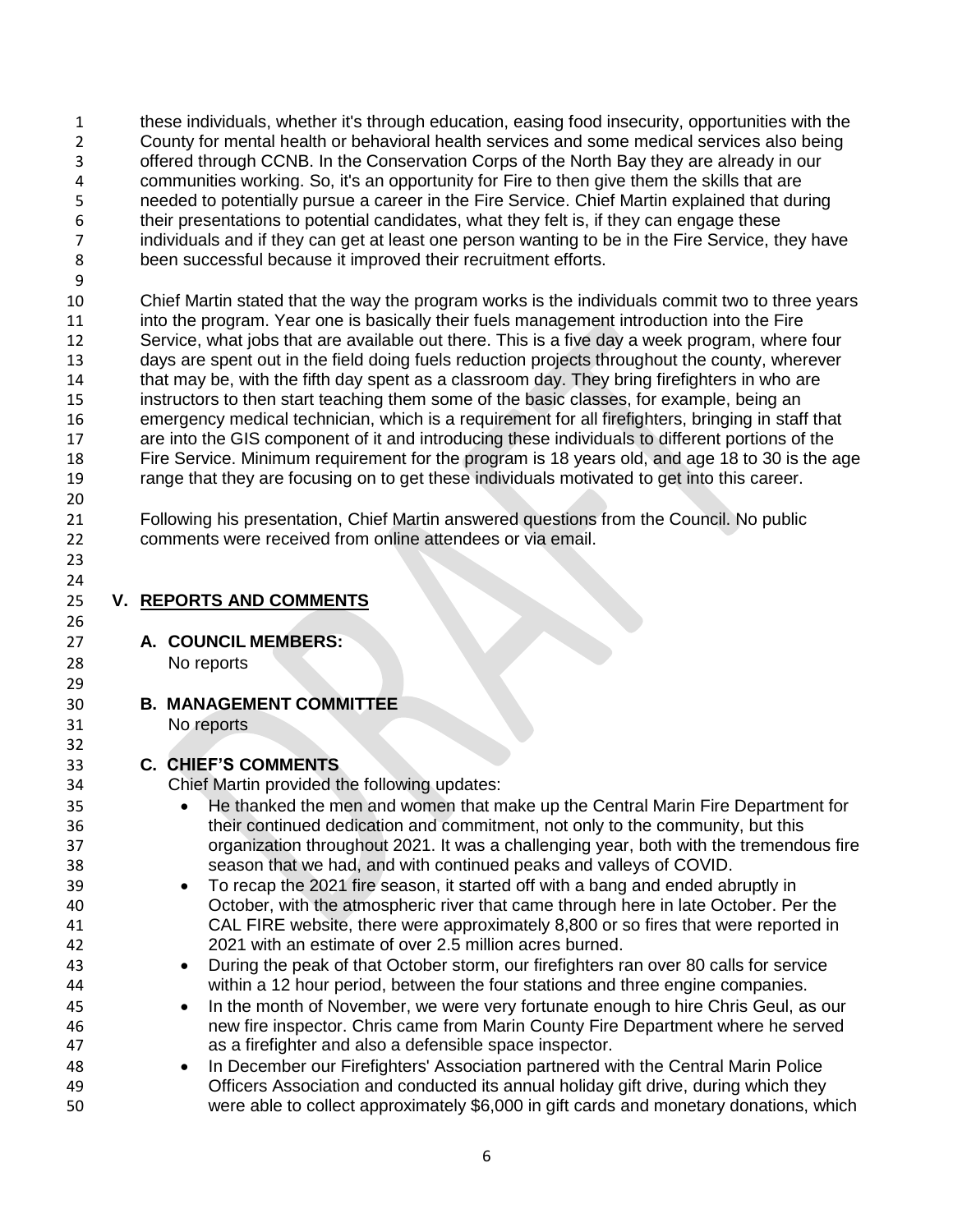these individuals, whether it's through education, easing food insecurity, opportunities with the County for mental health or behavioral health services and some medical services also being offered through CCNB. In the Conservation Corps of the North Bay they are already in our communities working. So, it's an opportunity for Fire to then give them the skills that are needed to potentially pursue a career in the Fire Service. Chief Martin explained that during their presentations to potential candidates, what they felt is, if they can engage these individuals and if they can get at least one person wanting to be in the Fire Service, they have been successful because it improved their recruitment efforts.

 Chief Martin stated that the way the program works is the individuals commit two to three years into the program. Year one is basically their fuels management introduction into the Fire Service, what jobs that are available out there. This is a five day a week program, where four days are spent out in the field doing fuels reduction projects throughout the county, wherever that may be, with the fifth day spent as a classroom day. They bring firefighters in who are instructors to then start teaching them some of the basic classes, for example, being an emergency medical technician, which is a requirement for all firefighters, bringing in staff that are into the GIS component of it and introducing these individuals to different portions of the Fire Service. Minimum requirement for the program is 18 years old, and age 18 to 30 is the age range that they are focusing on to get these individuals motivated to get into this career. 

 Following his presentation, Chief Martin answered questions from the Council. No public comments were received from online attendees or via email.

 

**V. REPORTS AND COMMENTS**

**A. COUNCIL MEMBERS:** 

No reports

**B. MANAGEMENT COMMITTEE**

No reports

## **C. CHIEF'S COMMENTS**

Chief Martin provided the following updates:

**He thanked the men and women that make up the Central Marin Fire Department for**  their continued dedication and commitment, not only to the community, but this organization throughout 2021. It was a challenging year, both with the tremendous fire season that we had, and with continued peaks and valleys of COVID. To recap the 2021 fire season, it started off with a bang and ended abruptly in October, with the atmospheric river that came through here in late October. Per the CAL FIRE website, there were approximately 8,800 or so fires that were reported in 2021 with an estimate of over 2.5 million acres burned. During the peak of that October storm, our firefighters ran over 80 calls for service within a 12 hour period, between the four stations and three engine companies. In the month of November, we were very fortunate enough to hire Chris Geul, as our new fire inspector. Chris came from Marin County Fire Department where he served as a firefighter and also a defensible space inspector. **In December our Firefighters' Association partnered with the Central Marin Police**  Officers Association and conducted its annual holiday gift drive, during which they were able to collect approximately \$6,000 in gift cards and monetary donations, which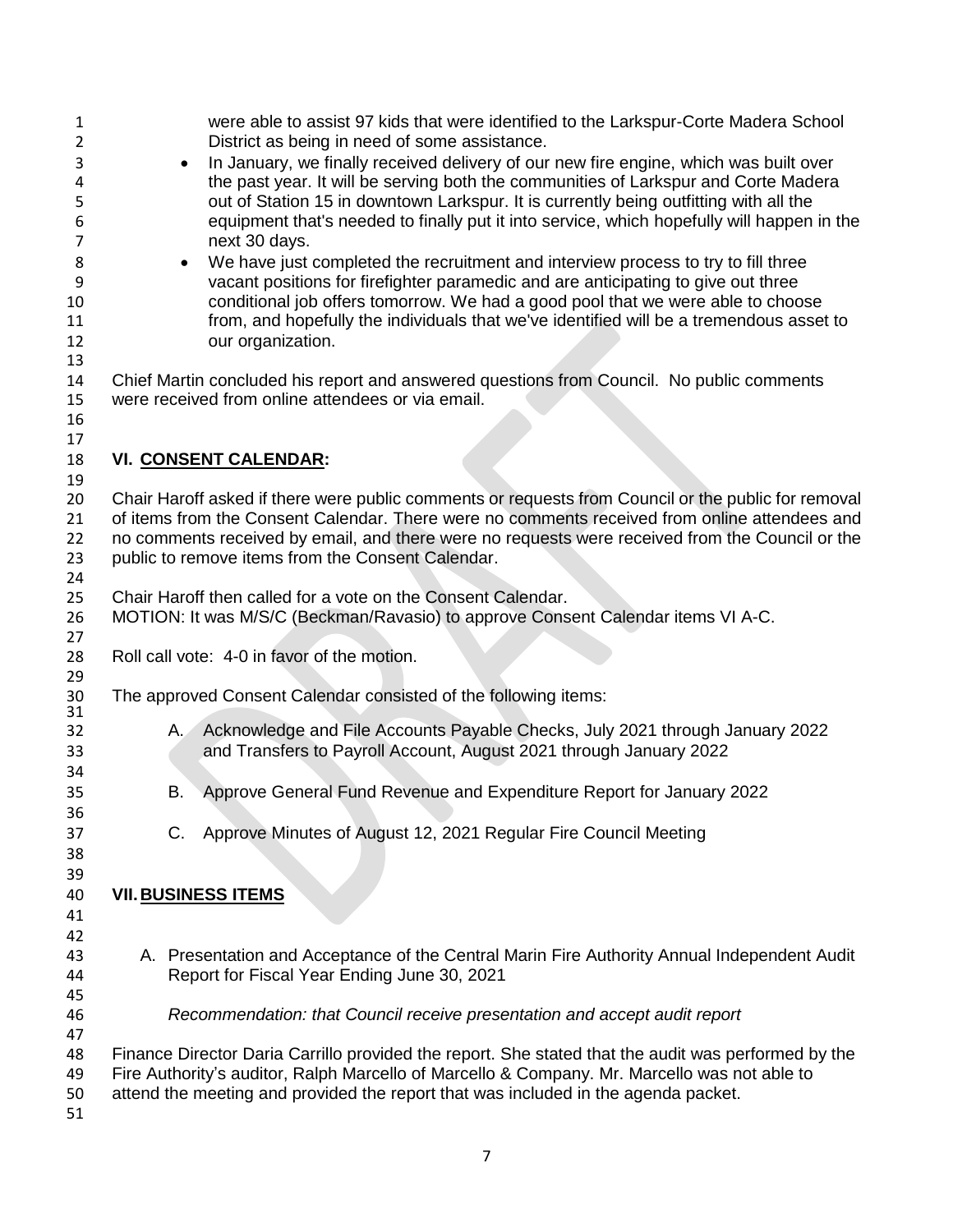| 1              | were able to assist 97 kids that were identified to the Larkspur-Corte Madera School                                                                |
|----------------|-----------------------------------------------------------------------------------------------------------------------------------------------------|
| 2<br>3         | District as being in need of some assistance.<br>In January, we finally received delivery of our new fire engine, which was built over<br>$\bullet$ |
| 4              | the past year. It will be serving both the communities of Larkspur and Corte Madera                                                                 |
| 5              | out of Station 15 in downtown Larkspur. It is currently being outfitting with all the                                                               |
| 6              | equipment that's needed to finally put it into service, which hopefully will happen in the                                                          |
| $\overline{7}$ | next 30 days.                                                                                                                                       |
| 8              | We have just completed the recruitment and interview process to try to fill three                                                                   |
| 9              | vacant positions for firefighter paramedic and are anticipating to give out three                                                                   |
| 10             | conditional job offers tomorrow. We had a good pool that we were able to choose                                                                     |
| 11             | from, and hopefully the individuals that we've identified will be a tremendous asset to                                                             |
| 12             | our organization.                                                                                                                                   |
| 13             |                                                                                                                                                     |
| 14             | Chief Martin concluded his report and answered questions from Council. No public comments                                                           |
| 15             | were received from online attendees or via email.                                                                                                   |
| 16             |                                                                                                                                                     |
| 17<br>18       |                                                                                                                                                     |
| 19             | <b>VI. CONSENT CALENDAR:</b>                                                                                                                        |
| 20             | Chair Haroff asked if there were public comments or requests from Council or the public for removal                                                 |
| 21             | of items from the Consent Calendar. There were no comments received from online attendees and                                                       |
| 22             | no comments received by email, and there were no requests were received from the Council or the                                                     |
| 23             | public to remove items from the Consent Calendar.                                                                                                   |
| 24             |                                                                                                                                                     |
| 25             | Chair Haroff then called for a vote on the Consent Calendar.                                                                                        |
| 26             | MOTION: It was M/S/C (Beckman/Ravasio) to approve Consent Calendar items VI A-C.                                                                    |
| 27             |                                                                                                                                                     |
| 28             | Roll call vote: 4-0 in favor of the motion.                                                                                                         |
| 29             |                                                                                                                                                     |
| 30<br>31       | The approved Consent Calendar consisted of the following items:                                                                                     |
| 32             | Acknowledge and File Accounts Payable Checks, July 2021 through January 2022<br>$A_{\cdot}$                                                         |
| 33             | and Transfers to Payroll Account, August 2021 through January 2022                                                                                  |
| 34             |                                                                                                                                                     |
| 35             | Approve General Fund Revenue and Expenditure Report for January 2022<br>В.                                                                          |
| 36             |                                                                                                                                                     |
| 37             | Approve Minutes of August 12, 2021 Regular Fire Council Meeting<br>C.                                                                               |
| 38             |                                                                                                                                                     |
| 39             |                                                                                                                                                     |
| 40             | <b>VII. BUSINESS ITEMS</b>                                                                                                                          |
| 41             |                                                                                                                                                     |
| 42             |                                                                                                                                                     |
| 43             | A. Presentation and Acceptance of the Central Marin Fire Authority Annual Independent Audit                                                         |
| 44             | Report for Fiscal Year Ending June 30, 2021                                                                                                         |
| 45             |                                                                                                                                                     |
| 46<br>47       | Recommendation: that Council receive presentation and accept audit report                                                                           |
| 48             | Finance Director Daria Carrillo provided the report. She stated that the audit was performed by the                                                 |
| 49             | Fire Authority's auditor, Ralph Marcello of Marcello & Company. Mr. Marcello was not able to                                                        |
| 50             | attend the meeting and provided the report that was included in the agenda packet.                                                                  |
| 51             |                                                                                                                                                     |
|                |                                                                                                                                                     |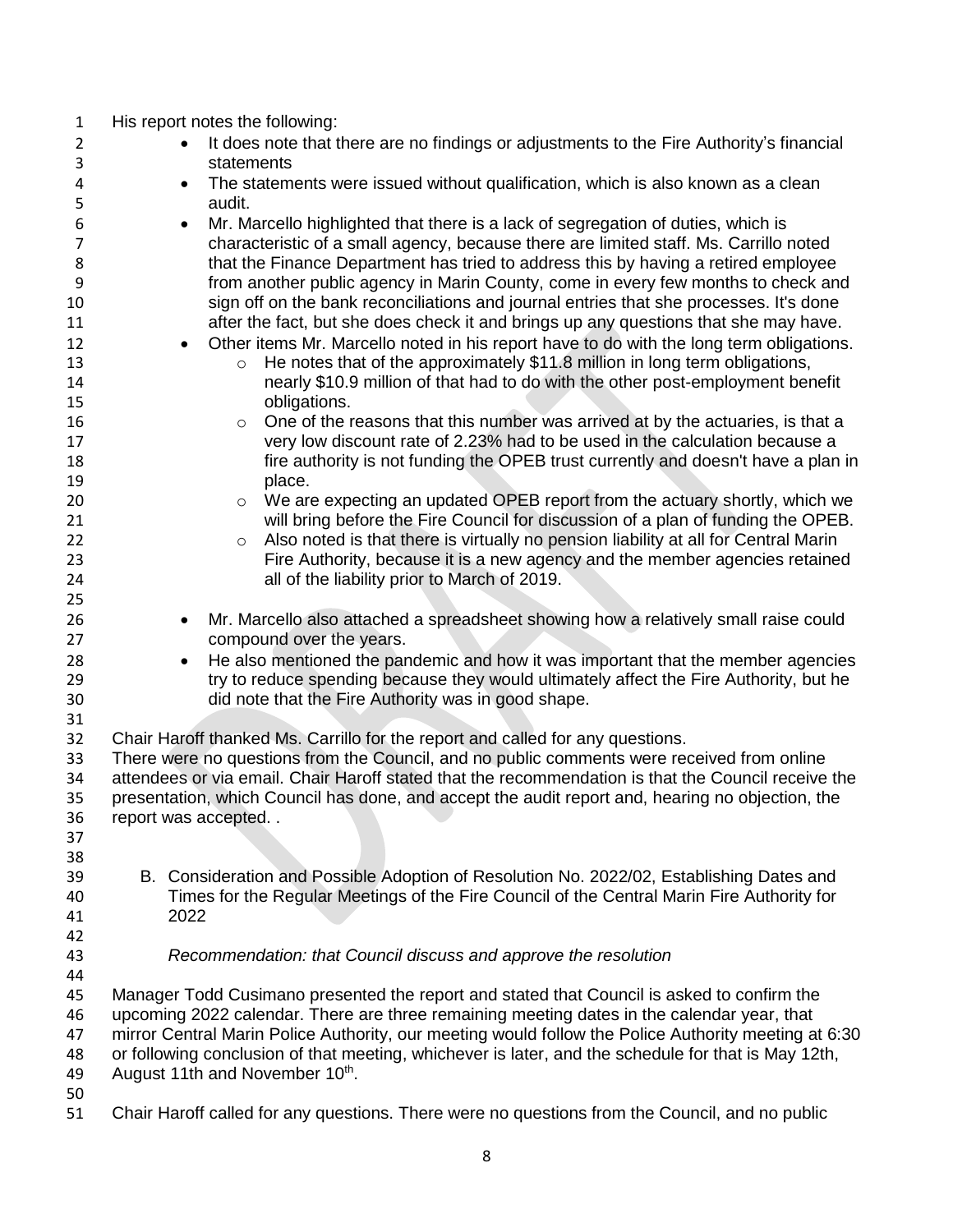| $\mathbf 1$         | His report notes the following:                                                                        |
|---------------------|--------------------------------------------------------------------------------------------------------|
| $\overline{2}$<br>3 | It does note that there are no findings or adjustments to the Fire Authority's financial<br>statements |
| 4                   | The statements were issued without qualification, which is also known as a clean<br>$\bullet$          |
| 5                   | audit.                                                                                                 |
| 6                   | Mr. Marcello highlighted that there is a lack of segregation of duties, which is<br>$\bullet$          |
| 7                   | characteristic of a small agency, because there are limited staff. Ms. Carrillo noted                  |
| 8                   | that the Finance Department has tried to address this by having a retired employee                     |
| 9                   | from another public agency in Marin County, come in every few months to check and                      |
| 10                  | sign off on the bank reconciliations and journal entries that she processes. It's done                 |
| 11                  | after the fact, but she does check it and brings up any questions that she may have.                   |
| 12                  | Other items Mr. Marcello noted in his report have to do with the long term obligations.                |
| 13                  | He notes that of the approximately \$11.8 million in long term obligations,<br>$\circ$                 |
| 14                  | nearly \$10.9 million of that had to do with the other post-employment benefit                         |
| 15                  | obligations.                                                                                           |
| 16                  | One of the reasons that this number was arrived at by the actuaries, is that a<br>$\circ$              |
| 17                  | very low discount rate of 2.23% had to be used in the calculation because a                            |
| 18                  | fire authority is not funding the OPEB trust currently and doesn't have a plan in                      |
| 19                  | place.                                                                                                 |
| 20                  | We are expecting an updated OPEB report from the actuary shortly, which we<br>$\circ$                  |
| 21                  | will bring before the Fire Council for discussion of a plan of funding the OPEB.                       |
| 22                  | Also noted is that there is virtually no pension liability at all for Central Marin<br>$\circ$         |
| 23                  | Fire Authority, because it is a new agency and the member agencies retained                            |
| 24                  | all of the liability prior to March of 2019.                                                           |
| 25                  |                                                                                                        |
| 26                  | Mr. Marcello also attached a spreadsheet showing how a relatively small raise could<br>٠               |
| 27                  | compound over the years.                                                                               |
| 28                  | He also mentioned the pandemic and how it was important that the member agencies<br>$\bullet$          |
| 29                  | try to reduce spending because they would ultimately affect the Fire Authority, but he                 |
| 30                  | did note that the Fire Authority was in good shape.                                                    |
| 31                  |                                                                                                        |
| 32                  | Chair Haroff thanked Ms. Carrillo for the report and called for any questions.                         |
| 33                  | There were no questions from the Council, and no public comments were received from online             |
| 34                  | attendees or via email. Chair Haroff stated that the recommendation is that the Council receive the    |
| 35                  | presentation, which Council has done, and accept the audit report and, hearing no objection, the       |
| 36                  | report was accepted                                                                                    |
| 37                  |                                                                                                        |
| 38                  |                                                                                                        |
| 39                  | B. Consideration and Possible Adoption of Resolution No. 2022/02, Establishing Dates and               |
| 40                  | Times for the Regular Meetings of the Fire Council of the Central Marin Fire Authority for             |
| 41                  | 2022                                                                                                   |
| 42                  |                                                                                                        |
| 43                  | Recommendation: that Council discuss and approve the resolution                                        |
| 44<br>45            | Manager Todd Cusimano presented the report and stated that Council is asked to confirm the             |
| 46                  | upcoming 2022 calendar. There are three remaining meeting dates in the calendar year, that             |
| 47                  | mirror Central Marin Police Authority, our meeting would follow the Police Authority meeting at 6:30   |
| 48                  | or following conclusion of that meeting, whichever is later, and the schedule for that is May 12th,    |
| 49                  | August 11th and November 10th.                                                                         |
| 50                  |                                                                                                        |
| 51                  | Chair Haroff called for any questions. There were no questions from the Council, and no public         |
|                     |                                                                                                        |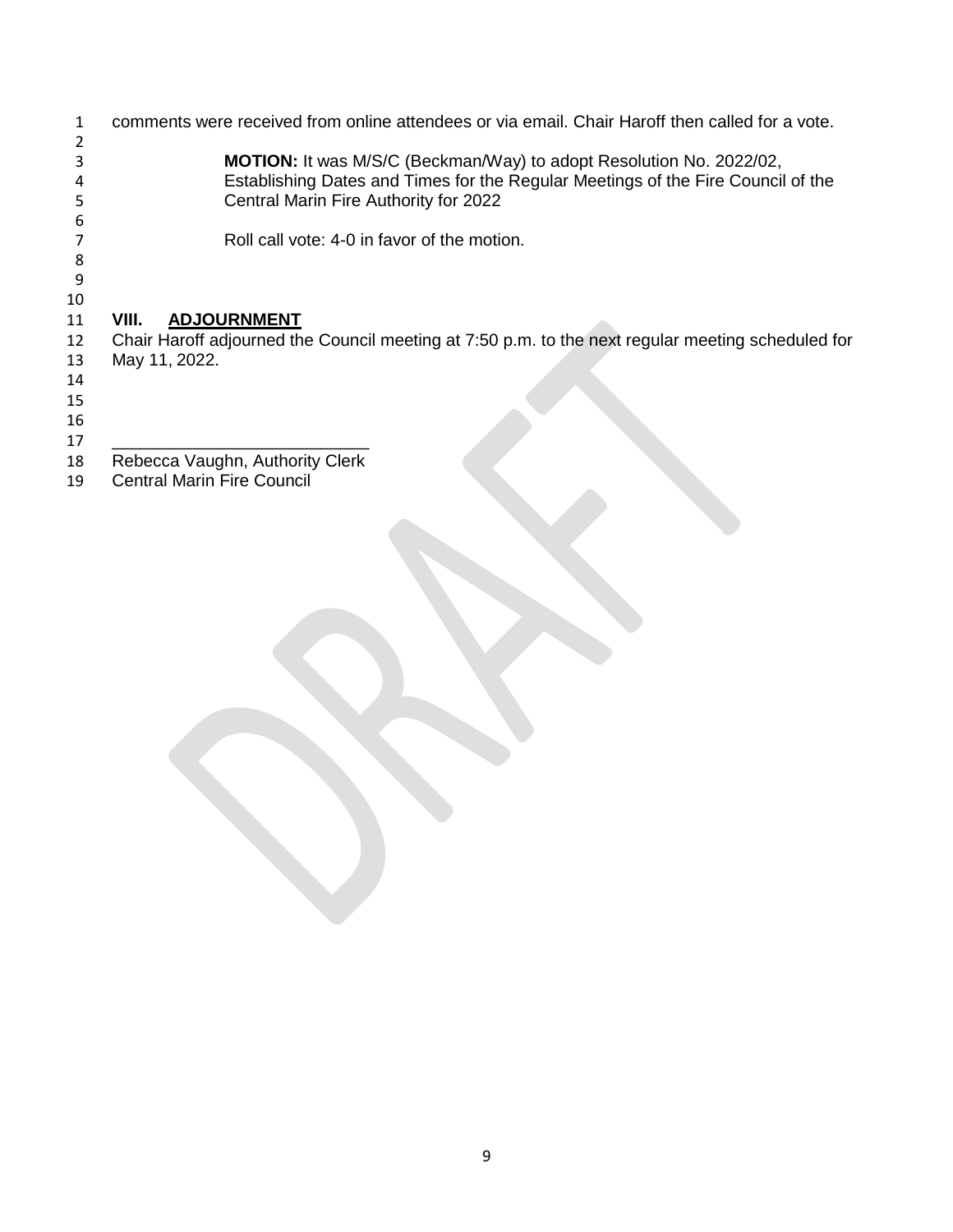comments were received from online attendees or via email. Chair Haroff then called for a vote. **MOTION:** It was M/S/C (Beckman/Way) to adopt Resolution No. 2022/02, 4 Establishing Dates and Times for the Regular Meetings of the Fire Council of the<br>5 Central Marin Fire Authority for 2022 Central Marin Fire Authority for 2022 6<br>7 Roll call vote: 4-0 in favor of the motion. **VIII. ADJOURNMENT** 12 Chair Haroff adjourned the Council meeting at 7:50 p.m. to the next regular meeting scheduled for<br>13 May 11, 2022. May 11, 2022. \_\_\_\_\_\_\_\_\_\_\_\_\_\_\_\_\_\_\_\_\_\_\_\_\_\_\_ 18 Rebecca Vaughn, Authority Clerk<br>19 Central Marin Fire Council Central Marin Fire Council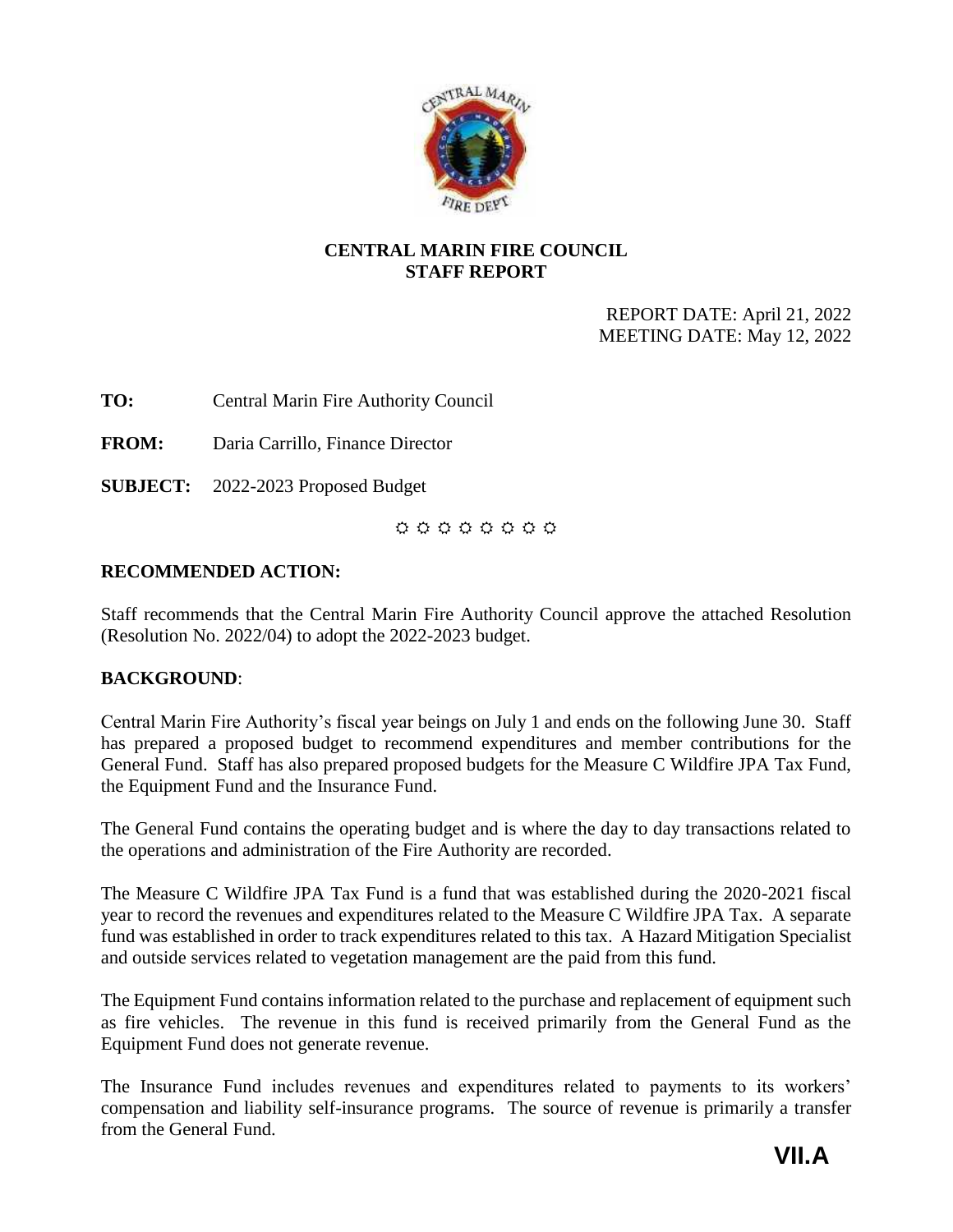

## <span id="page-34-0"></span>**CENTRAL MARIN FIRE COUNCIL STAFF REPORT**

REPORT DATE: April 21, 2022 MEETING DATE: May 12, 2022

**TO:** Central Marin Fire Authority Council

**FROM:** Daria Carrillo, Finance Director

**SUBJECT:** 2022-2023 Proposed Budget

 $0.0.0.0.0.0.0.0$ 

## **RECOMMENDED ACTION:**

Staff recommends that the Central Marin Fire Authority Council approve the attached Resolution (Resolution No. 2022/04) to adopt the 2022-2023 budget.

## **BACKGROUND**:

Central Marin Fire Authority's fiscal year beings on July 1 and ends on the following June 30. Staff has prepared a proposed budget to recommend expenditures and member contributions for the General Fund. Staff has also prepared proposed budgets for the Measure C Wildfire JPA Tax Fund, the Equipment Fund and the Insurance Fund.

The General Fund contains the operating budget and is where the day to day transactions related to the operations and administration of the Fire Authority are recorded.

The Measure C Wildfire JPA Tax Fund is a fund that was established during the 2020-2021 fiscal year to record the revenues and expenditures related to the Measure C Wildfire JPA Tax. A separate fund was established in order to track expenditures related to this tax. A Hazard Mitigation Specialist and outside services related to vegetation management are the paid from this fund.

The Equipment Fund contains information related to the purchase and replacement of equipment such as fire vehicles. The revenue in this fund is received primarily from the General Fund as the Equipment Fund does not generate revenue.

The Insurance Fund includes revenues and expenditures related to payments to its workers' compensation and liability self-insurance programs. The source of revenue is primarily a transfer from the General Fund.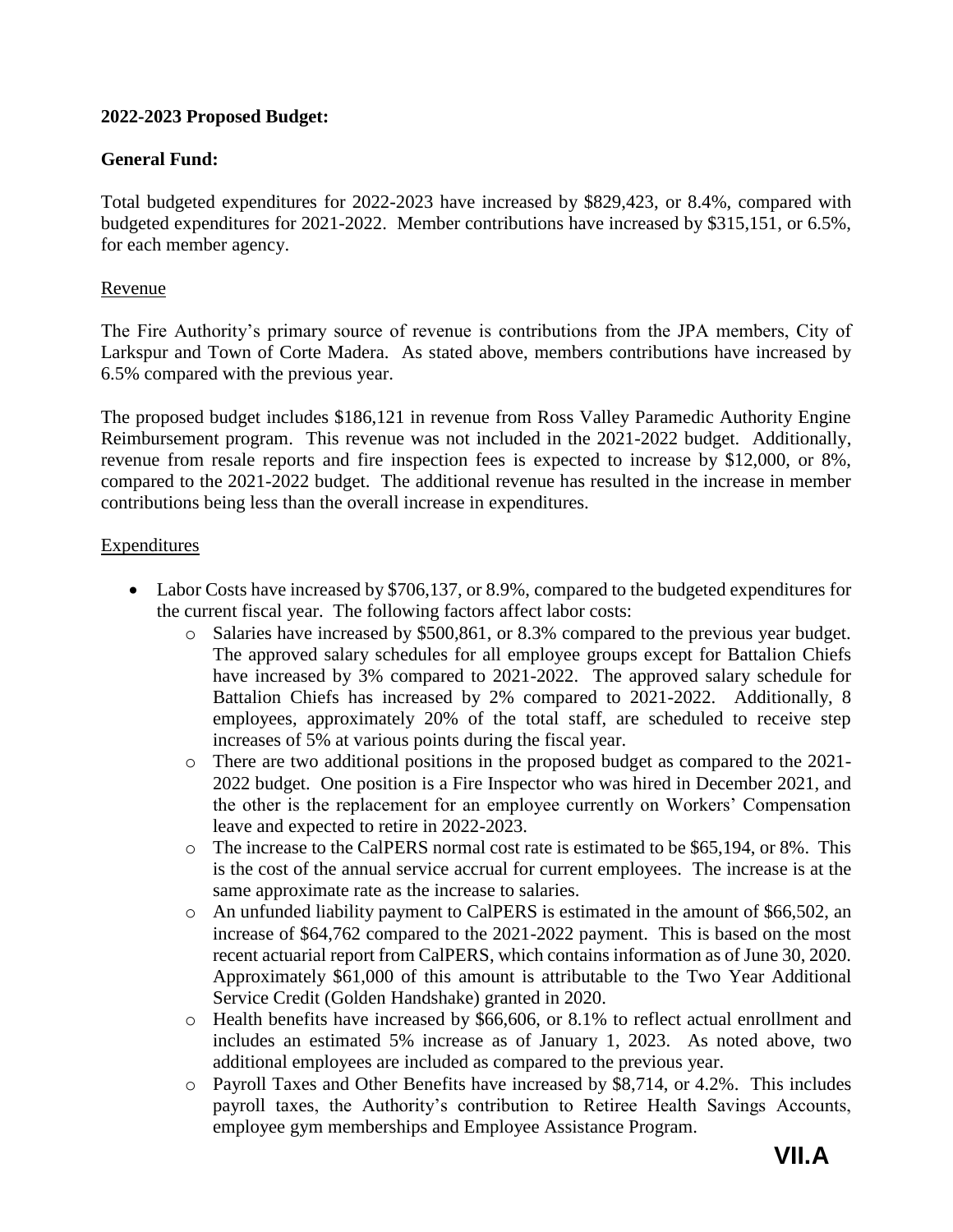## **2022-2023 Proposed Budget:**

## **General Fund:**

Total budgeted expenditures for 2022-2023 have increased by \$829,423, or 8.4%, compared with budgeted expenditures for 2021-2022. Member contributions have increased by \$315,151, or 6.5%, for each member agency.

## Revenue

The Fire Authority's primary source of revenue is contributions from the JPA members, City of Larkspur and Town of Corte Madera. As stated above, members contributions have increased by 6.5% compared with the previous year.

The proposed budget includes \$186,121 in revenue from Ross Valley Paramedic Authority Engine Reimbursement program. This revenue was not included in the 2021-2022 budget. Additionally, revenue from resale reports and fire inspection fees is expected to increase by \$12,000, or 8%, compared to the 2021-2022 budget. The additional revenue has resulted in the increase in member contributions being less than the overall increase in expenditures.

### **Expenditures**

- Labor Costs have increased by \$706,137, or 8.9%, compared to the budgeted expenditures for the current fiscal year. The following factors affect labor costs:
	- o Salaries have increased by \$500,861, or 8.3% compared to the previous year budget. The approved salary schedules for all employee groups except for Battalion Chiefs have increased by 3% compared to 2021-2022. The approved salary schedule for Battalion Chiefs has increased by 2% compared to 2021-2022. Additionally, 8 employees, approximately 20% of the total staff, are scheduled to receive step increases of 5% at various points during the fiscal year.
	- o There are two additional positions in the proposed budget as compared to the 2021- 2022 budget. One position is a Fire Inspector who was hired in December 2021, and the other is the replacement for an employee currently on Workers' Compensation leave and expected to retire in 2022-2023.
	- o The increase to the CalPERS normal cost rate is estimated to be \$65,194, or 8%. This is the cost of the annual service accrual for current employees. The increase is at the same approximate rate as the increase to salaries.
	- o An unfunded liability payment to CalPERS is estimated in the amount of \$66,502, an increase of \$64,762 compared to the 2021-2022 payment. This is based on the most recent actuarial report from CalPERS, which contains information as of June 30, 2020. Approximately \$61,000 of this amount is attributable to the Two Year Additional Service Credit (Golden Handshake) granted in 2020.
	- o Health benefits have increased by \$66,606, or 8.1% to reflect actual enrollment and includes an estimated 5% increase as of January 1, 2023. As noted above, two additional employees are included as compared to the previous year.
	- o Payroll Taxes and Other Benefits have increased by \$8,714, or 4.2%. This includes payroll taxes, the Authority's contribution to Retiree Health Savings Accounts, employee gym memberships and Employee Assistance Program.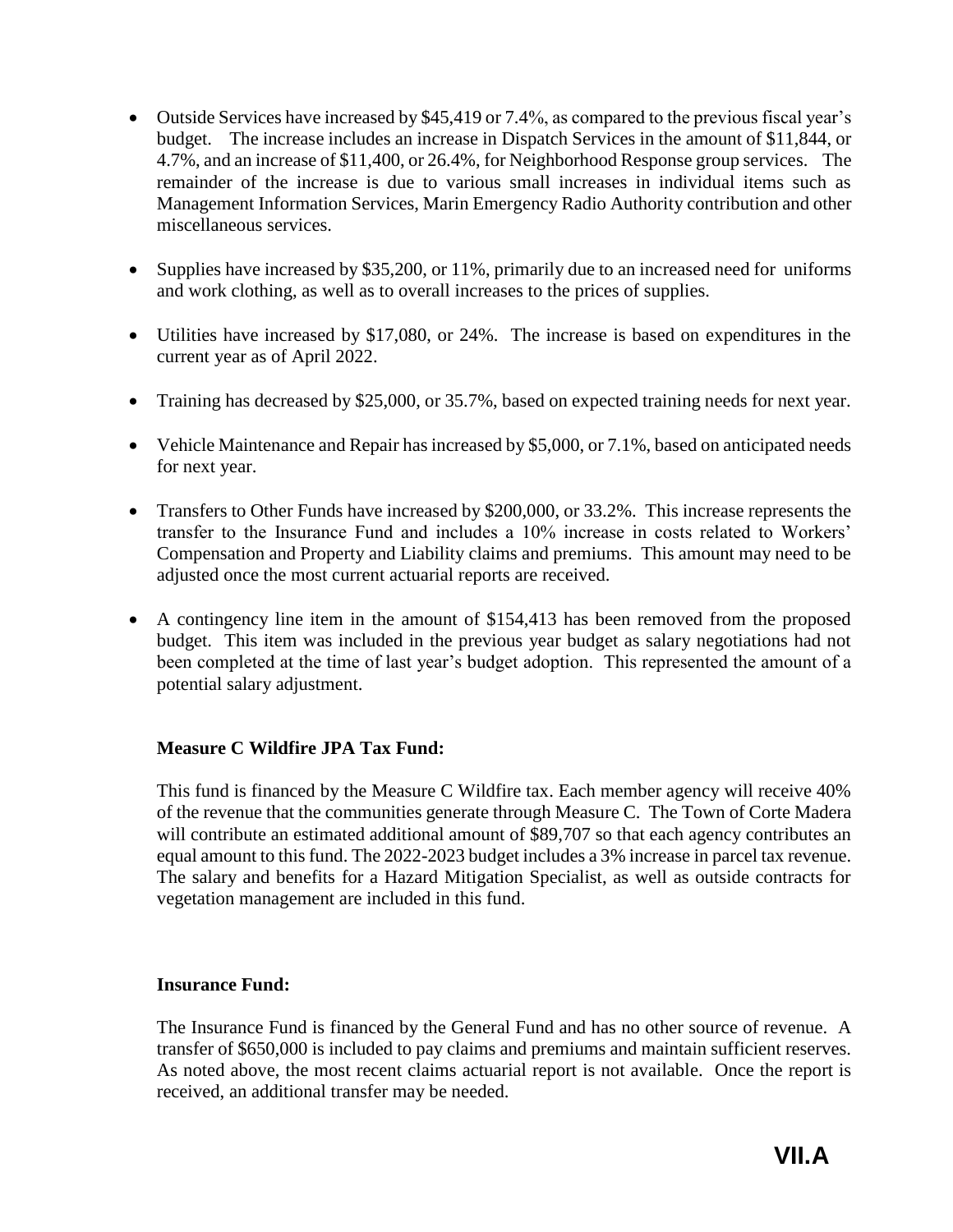- Outside Services have increased by \$45,419 or 7.4%, as compared to the previous fiscal year's budget. The increase includes an increase in Dispatch Services in the amount of \$11,844, or 4.7%, and an increase of \$11,400, or 26.4%, for Neighborhood Response group services. The remainder of the increase is due to various small increases in individual items such as Management Information Services, Marin Emergency Radio Authority contribution and other miscellaneous services.
- Supplies have increased by \$35,200, or 11%, primarily due to an increased need for uniforms and work clothing, as well as to overall increases to the prices of supplies.
- Utilities have increased by \$17,080, or 24%. The increase is based on expenditures in the current year as of April 2022.
- Training has decreased by \$25,000, or 35.7%, based on expected training needs for next year.
- Vehicle Maintenance and Repair has increased by \$5,000, or 7.1%, based on anticipated needs for next year.
- Transfers to Other Funds have increased by \$200,000, or 33.2%. This increase represents the transfer to the Insurance Fund and includes a 10% increase in costs related to Workers' Compensation and Property and Liability claims and premiums. This amount may need to be adjusted once the most current actuarial reports are received.
- A contingency line item in the amount of \$154,413 has been removed from the proposed budget. This item was included in the previous year budget as salary negotiations had not been completed at the time of last year's budget adoption. This represented the amount of a potential salary adjustment.

## **Measure C Wildfire JPA Tax Fund:**

This fund is financed by the Measure C Wildfire tax. Each member agency will receive 40% of the revenue that the communities generate through Measure C. The Town of Corte Madera will contribute an estimated additional amount of \$89,707 so that each agency contributes an equal amount to this fund. The 2022-2023 budget includes a 3% increase in parcel tax revenue. The salary and benefits for a Hazard Mitigation Specialist, as well as outside contracts for vegetation management are included in this fund.

## **Insurance Fund:**

The Insurance Fund is financed by the General Fund and has no other source of revenue. A transfer of \$650,000 is included to pay claims and premiums and maintain sufficient reserves. As noted above, the most recent claims actuarial report is not available. Once the report is received, an additional transfer may be needed.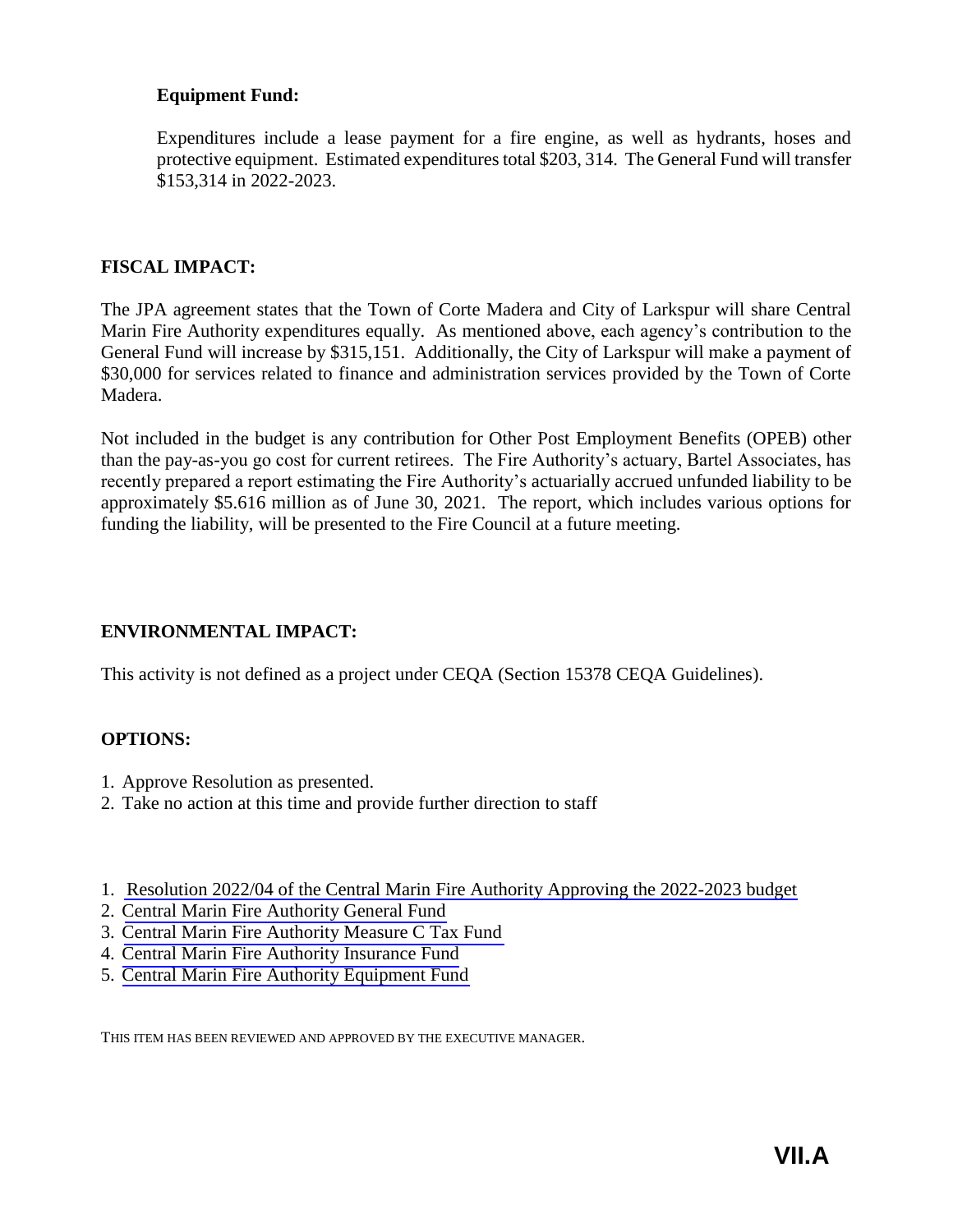## **Equipment Fund:**

Expenditures include a lease payment for a fire engine, as well as hydrants, hoses and protective equipment. Estimated expenditures total \$203, 314. The General Fund will transfer \$153,314 in 2022-2023.

### **FISCAL IMPACT:**

The JPA agreement states that the Town of Corte Madera and City of Larkspur will share Central Marin Fire Authority expenditures equally. As mentioned above, each agency's contribution to the General Fund will increase by \$315,151. Additionally, the City of Larkspur will make a payment of \$30,000 for services related to finance and administration services provided by the Town of Corte Madera.

Not included in the budget is any contribution for Other Post Employment Benefits (OPEB) other than the pay-as-you go cost for current retirees. The Fire Authority's actuary, Bartel Associates, has recently prepared a report estimating the Fire Authority's actuarially accrued unfunded liability to be approximately \$5.616 million as of June 30, 2021. The report, which includes various options for funding the liability, will be presented to the Fire Council at a future meeting.

## **ENVIRONMENTAL IMPACT:**

This activity is not defined as a project under CEQA (Section 15378 CEQA Guidelines).

## **OPTIONS:**

- 1. Approve Resolution as presented.
- 2. Take no action at this time and provide further direction to staff
- 1. [Resolution 2022/04 of the Central Marin Fire Authority Approving the 2022-2023](#page-38-0) budget
- 2. Central Marin [Fire Authority General Fund](#page-39-0)
- 3. [Central Marin Fire Authority Measure C Tax Fund](#page-41-0)
- 4. [Central Marin Fire Authority Insurance Fund](#page-43-0)
- 5. [Central Marin Fire Authority Equipment Fund](#page-45-0)

THIS ITEM HAS BEEN REVIEWED AND APPROVED BY THE EXECUTIVE MANAGER.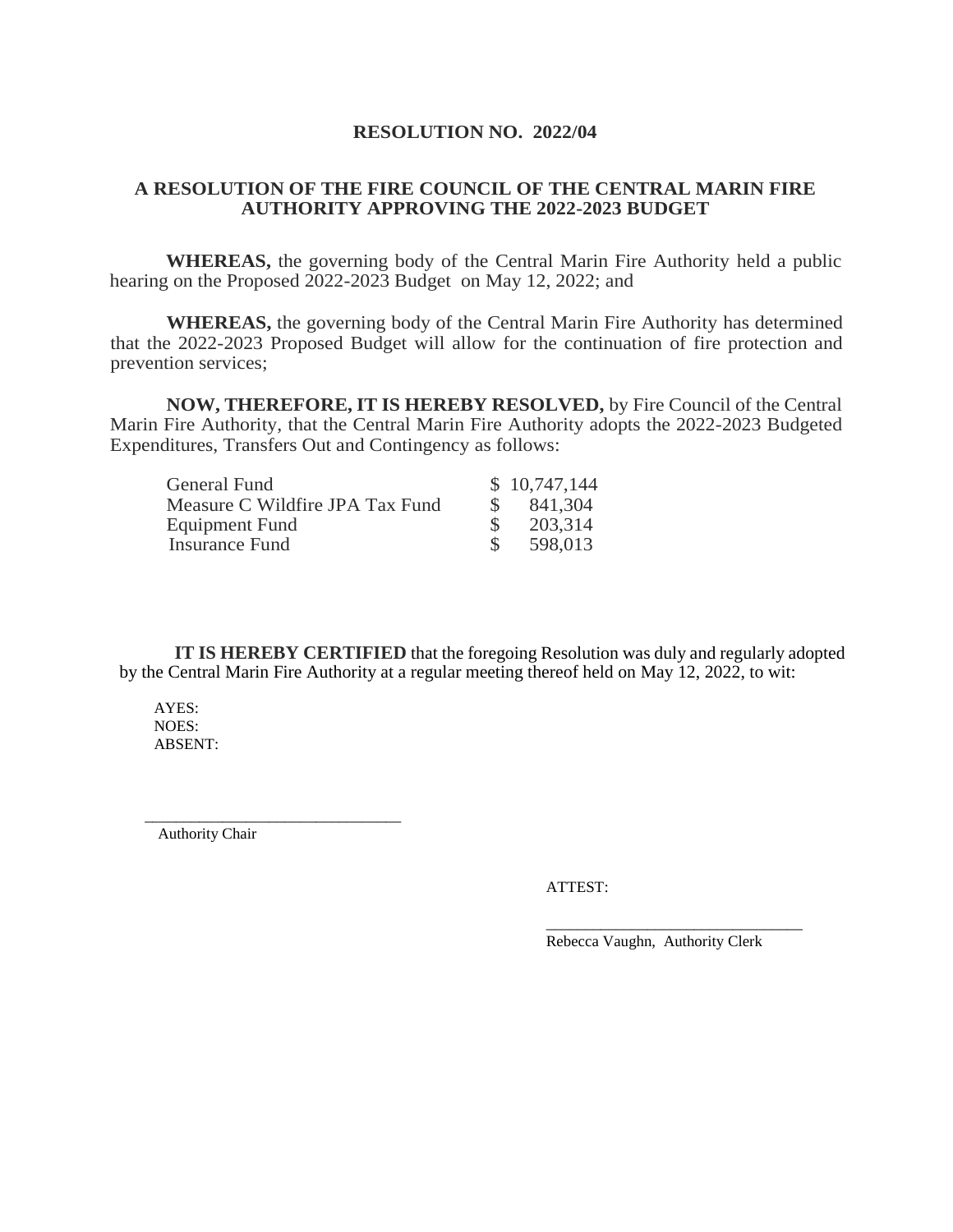#### **RESOLUTION NO. 2022/04**

#### <span id="page-38-0"></span>**A RESOLUTION OF THE FIRE COUNCIL OF THE CENTRAL MARIN FIRE AUTHORITY APPROVING THE 2022-2023 BUDGET**

**WHEREAS,** the governing body of the Central Marin Fire Authority held a public hearing on the Proposed 2022-2023 Budget on May 12, 2022; and

**WHEREAS,** the governing body of the Central Marin Fire Authority has determined that the 2022-2023 Proposed Budget will allow for the continuation of fire protection and prevention services;

**NOW, THEREFORE, IT IS HEREBY RESOLVED,** by Fire Council of the Central Marin Fire Authority, that the Central Marin Fire Authority adopts the 2022-2023 Budgeted Expenditures, Transfers Out and Contingency as follows:

| General Fund                    | \$10,747,144 |
|---------------------------------|--------------|
| Measure C Wildfire JPA Tax Fund | 841,304      |
| Equipment Fund                  | 203,314      |
| Insurance Fund                  | 598,013      |

**IT IS HEREBY CERTIFIED** that the foregoing Resolution was duly and regularly adopted by the Central Marin Fire Authority at a regular meeting thereof held on May 12, 2022, to wit:

AYES: NOES: ABSENT:

Authority Chair

\_\_\_\_\_\_\_\_\_\_\_\_\_\_\_\_\_\_\_\_\_\_\_\_\_\_\_\_\_\_\_\_\_

ATTEST:

Rebecca Vaughn, Authority Clerk

\_\_\_\_\_\_\_\_\_\_\_\_\_\_\_\_\_\_\_\_\_\_\_\_\_\_\_\_\_\_\_\_\_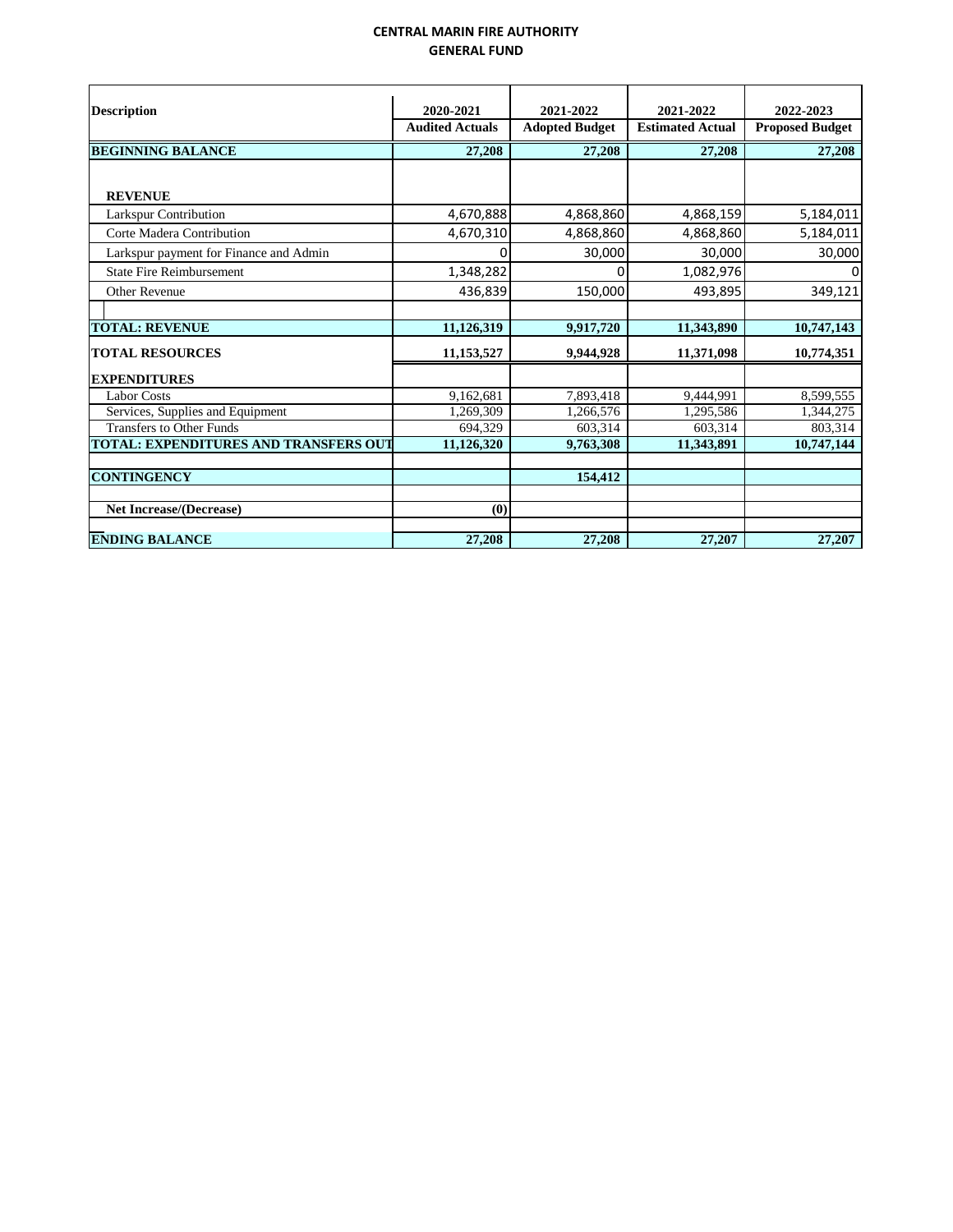#### **CENTRAL MARIN FIRE AUTHORITY GENERAL FUND**

<span id="page-39-0"></span>

| <b>Description</b>                           | 2020-2021              | 2021-2022             | 2021-2022               | 2022-2023              |
|----------------------------------------------|------------------------|-----------------------|-------------------------|------------------------|
|                                              | <b>Audited Actuals</b> | <b>Adopted Budget</b> | <b>Estimated Actual</b> | <b>Proposed Budget</b> |
| <b>BEGINNING BALANCE</b>                     | 27,208                 | 27,208                | 27,208                  | 27,208                 |
|                                              |                        |                       |                         |                        |
| <b>REVENUE</b>                               |                        |                       |                         |                        |
| Larkspur Contribution                        | 4,670,888              | 4,868,860             | 4,868,159               | 5,184,011              |
| Corte Madera Contribution                    | 4,670,310              | 4,868,860             | 4,868,860               | 5,184,011              |
| Larkspur payment for Finance and Admin       | ი                      | 30,000                | 30,000                  | 30,000                 |
| <b>State Fire Reimbursement</b>              | 1,348,282              | 0                     | 1,082,976               | 0                      |
| Other Revenue                                | 436,839                | 150,000               | 493,895                 | 349,121                |
|                                              |                        |                       |                         |                        |
| <b>TOTAL: REVENUE</b>                        | 11,126,319             | 9,917,720             | 11,343,890              | 10,747,143             |
| <b>TOTAL RESOURCES</b>                       | 11,153,527             | 9,944,928             | 11,371,098              | 10,774,351             |
| <b>EXPENDITURES</b>                          |                        |                       |                         |                        |
| <b>Labor Costs</b>                           | 9,162,681              | 7,893,418             | 9,444,991               | 8,599,555              |
| Services, Supplies and Equipment             | 1,269,309              | 1,266,576             | 1,295,586               | 1,344,275              |
| <b>Transfers to Other Funds</b>              | 694.329                | 603,314               | 603.314                 | 803,314                |
| <b>TOTAL: EXPENDITURES AND TRANSFERS OUT</b> | 11,126,320             | 9,763,308             | 11,343,891              | 10,747,144             |
| <b>CONTINGENCY</b>                           |                        | 154,412               |                         |                        |
| <b>Net Increase/(Decrease)</b>               | (0)                    |                       |                         |                        |
| <b>ENDING BALANCE</b>                        | 27,208                 | 27,208                | 27,207                  | 27,207                 |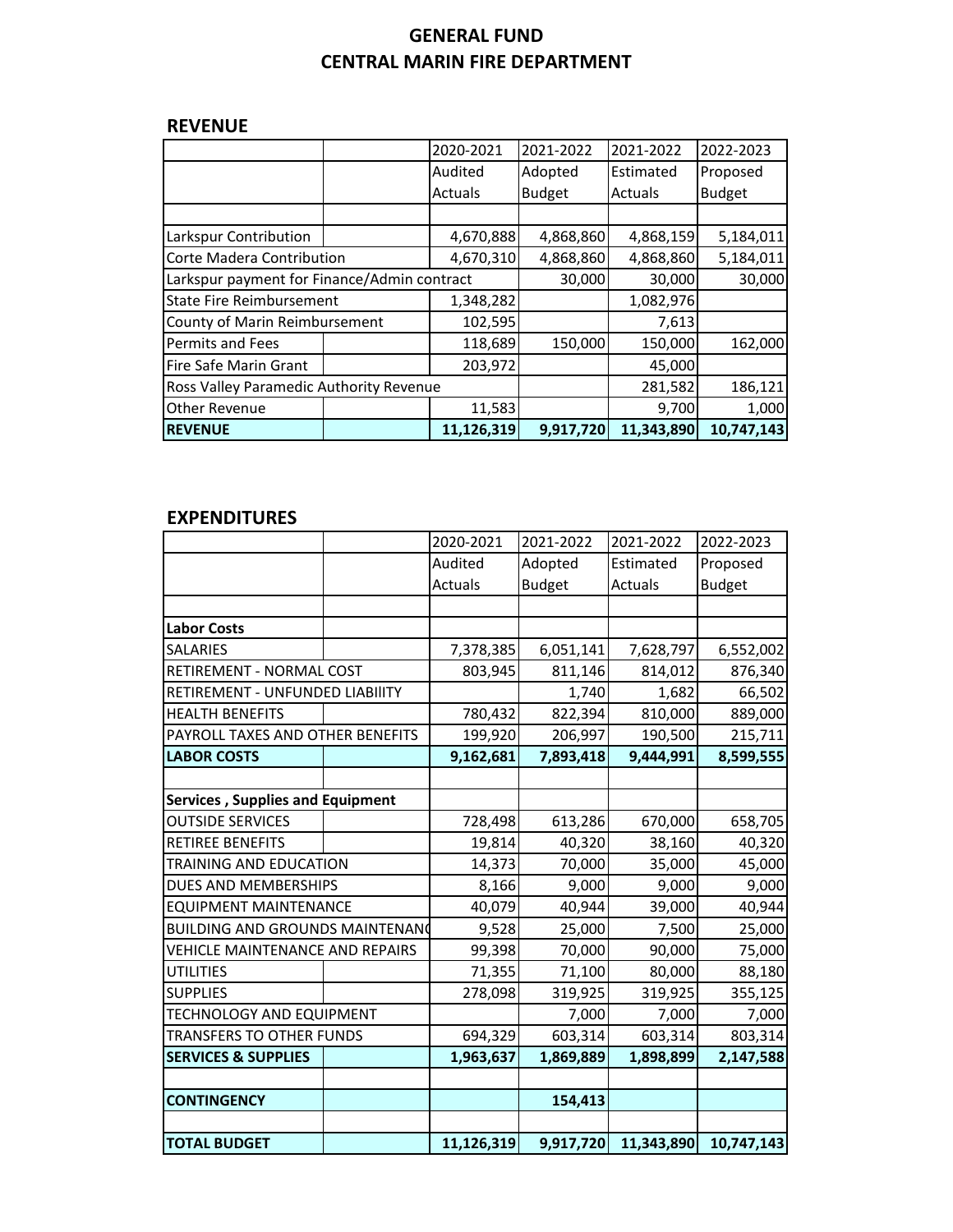# **GENERAL FUND CENTRAL MARIN FIRE DEPARTMENT**

## **REVENUE**

|                                             |  | 2020-2021  | 2021-2022     | 2021-2022      | 2022-2023     |
|---------------------------------------------|--|------------|---------------|----------------|---------------|
|                                             |  | Audited    | Adopted       | Estimated      | Proposed      |
|                                             |  | Actuals    | <b>Budget</b> | <b>Actuals</b> | <b>Budget</b> |
|                                             |  |            |               |                |               |
| Larkspur Contribution                       |  | 4,670,888  | 4,868,860     | 4,868,159      | 5,184,011     |
| Corte Madera Contribution                   |  | 4,670,310  | 4,868,860     | 4,868,860      | 5,184,011     |
| Larkspur payment for Finance/Admin contract |  |            | 30,000        | 30,000         | 30,000        |
| <b>State Fire Reimbursement</b>             |  | 1,348,282  |               | 1,082,976      |               |
| County of Marin Reimbursement               |  | 102,595    |               | 7,613          |               |
| Permits and Fees                            |  | 118,689    | 150,000       | 150,000        | 162,000       |
| Fire Safe Marin Grant                       |  | 203,972    |               | 45,000         |               |
| Ross Valley Paramedic Authority Revenue     |  |            |               | 281,582        | 186,121       |
| <b>Other Revenue</b>                        |  | 11,583     |               | 9,700          | 1,000         |
| <b>REVENUE</b>                              |  | 11,126,319 | 9,917,720     | 11,343,890     | 10,747,143    |

## **EXPENDITURES**

|                                         | 2020-2021  | 2021-2022     | 2021-2022      | 2022-2023     |
|-----------------------------------------|------------|---------------|----------------|---------------|
|                                         | Audited    | Adopted       | Estimated      | Proposed      |
|                                         | Actuals    | <b>Budget</b> | <b>Actuals</b> | <b>Budget</b> |
|                                         |            |               |                |               |
| <b>Labor Costs</b>                      |            |               |                |               |
| <b>SALARIES</b>                         | 7,378,385  | 6,051,141     | 7,628,797      | 6,552,002     |
| RETIREMENT - NORMAL COST                | 803,945    | 811,146       | 814,012        | 876,340       |
| RETIREMENT - UNFUNDED LIABIlITY         |            | 1,740         | 1,682          | 66,502        |
| <b>HEALTH BENEFITS</b>                  | 780,432    | 822,394       | 810,000        | 889,000       |
| PAYROLL TAXES AND OTHER BENEFITS        | 199,920    | 206,997       | 190,500        | 215,711       |
| <b>LABOR COSTS</b>                      | 9,162,681  | 7,893,418     | 9,444,991      | 8,599,555     |
|                                         |            |               |                |               |
| <b>Services, Supplies and Equipment</b> |            |               |                |               |
| <b>OUTSIDE SERVICES</b>                 | 728,498    | 613,286       | 670,000        | 658,705       |
| <b>RETIREE BENEFITS</b>                 | 19,814     | 40,320        | 38,160         | 40,320        |
| TRAINING AND EDUCATION                  | 14,373     | 70,000        | 35,000         | 45,000        |
| DUES AND MEMBERSHIPS                    | 8,166      | 9,000         | 9,000          | 9,000         |
| <b>EQUIPMENT MAINTENANCE</b>            | 40,079     | 40,944        | 39,000         | 40,944        |
| <b>BUILDING AND GROUNDS MAINTENANG</b>  | 9,528      | 25,000        | 7,500          | 25,000        |
| VEHICLE MAINTENANCE AND REPAIRS         | 99,398     | 70,000        | 90,000         | 75,000        |
| <b>UTILITIES</b>                        | 71,355     | 71,100        | 80,000         | 88,180        |
| <b>SUPPLIES</b>                         | 278,098    | 319,925       | 319,925        | 355,125       |
| TECHNOLOGY AND EQUIPMENT                |            | 7,000         | 7,000          | 7,000         |
| <b>TRANSFERS TO OTHER FUNDS</b>         | 694,329    | 603,314       | 603,314        | 803,314       |
| <b>SERVICES &amp; SUPPLIES</b>          | 1,963,637  | 1,869,889     | 1,898,899      | 2,147,588     |
|                                         |            |               |                |               |
| <b>CONTINGENCY</b>                      |            | 154,413       |                |               |
|                                         |            |               |                |               |
| <b>TOTAL BUDGET</b>                     | 11,126,319 | 9,917,720     | 11,343,890     | 10,747,143    |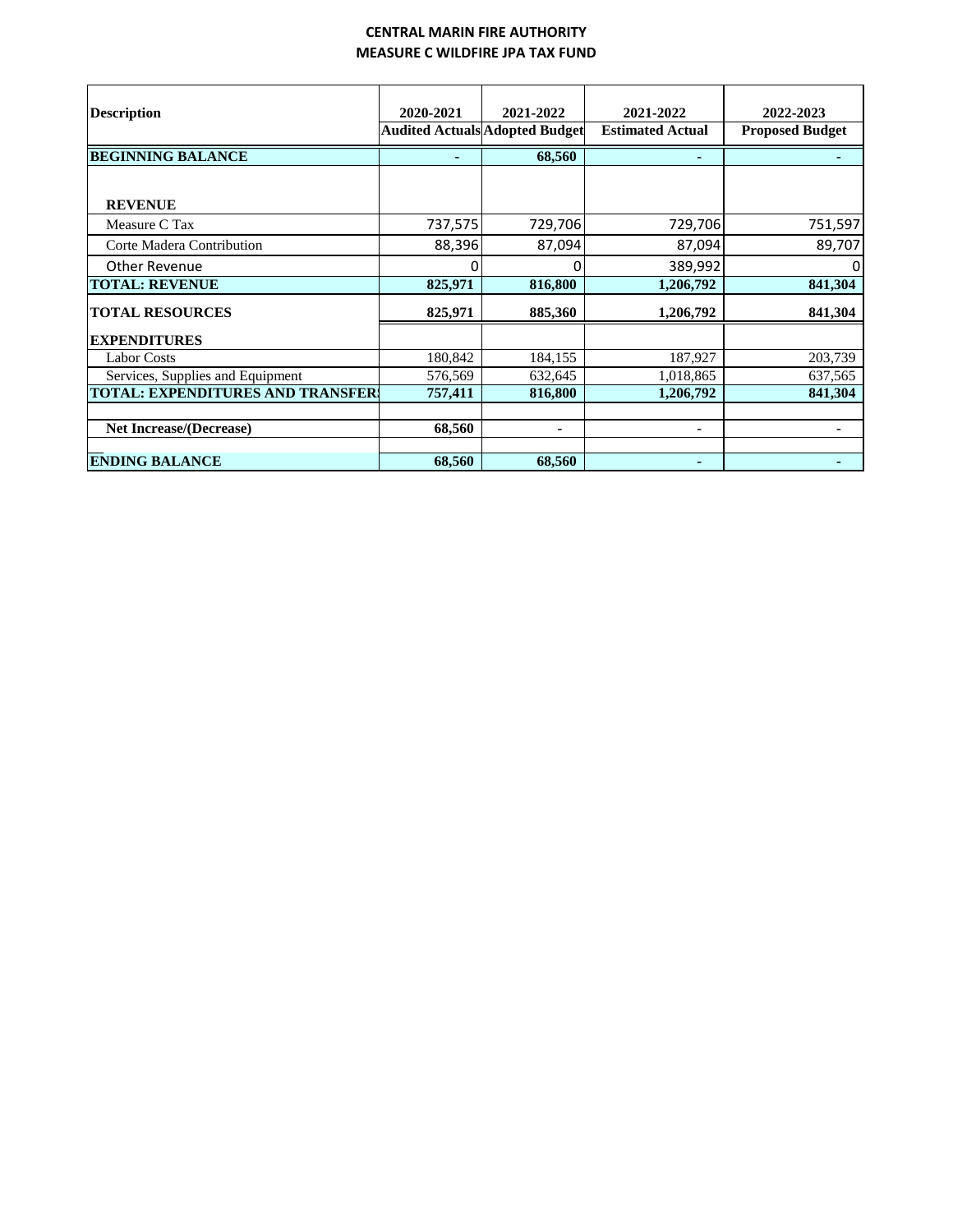#### **CENTRAL MARIN FIRE AUTHORITY MEASURE C WILDFIRE JPA TAX FUND**

<span id="page-41-0"></span>

|                                         | 2020-2021 | 2021-2022                             | 2021-2022               | 2022-2023              |
|-----------------------------------------|-----------|---------------------------------------|-------------------------|------------------------|
| <b>Description</b>                      |           | <b>Audited Actuals Adopted Budget</b> | <b>Estimated Actual</b> | <b>Proposed Budget</b> |
| <b>BEGINNING BALANCE</b>                |           | 68,560                                |                         |                        |
|                                         |           |                                       |                         |                        |
| <b>REVENUE</b>                          |           |                                       |                         |                        |
| Measure C Tax                           | 737,575   | 729,706                               | 729,706                 | 751,597                |
| Corte Madera Contribution               | 88,396    | 87,094                                | 87,094                  | 89,707                 |
| Other Revenue                           |           |                                       | 389,992                 | ŋ                      |
| <b>TOTAL: REVENUE</b>                   | 825,971   | 816,800                               | 1,206,792               | 841,304                |
| <b>TOTAL RESOURCES</b>                  | 825,971   | 885,360                               | 1,206,792               | 841,304                |
| <b>EXPENDITURES</b>                     |           |                                       |                         |                        |
| <b>Labor Costs</b>                      | 180,842   | 184,155                               | 187,927                 | 203,739                |
| Services, Supplies and Equipment        | 576,569   | 632,645                               | 1,018,865               | 637,565                |
| <b>TOTAL: EXPENDITURES AND TRANSFER</b> | 757,411   | 816,800                               | 1,206,792               | 841,304                |
|                                         |           |                                       |                         |                        |
| <b>Net Increase/(Decrease)</b>          | 68,560    |                                       |                         |                        |
| <b>ENDING BALANCE</b>                   | 68,560    | 68,560                                |                         |                        |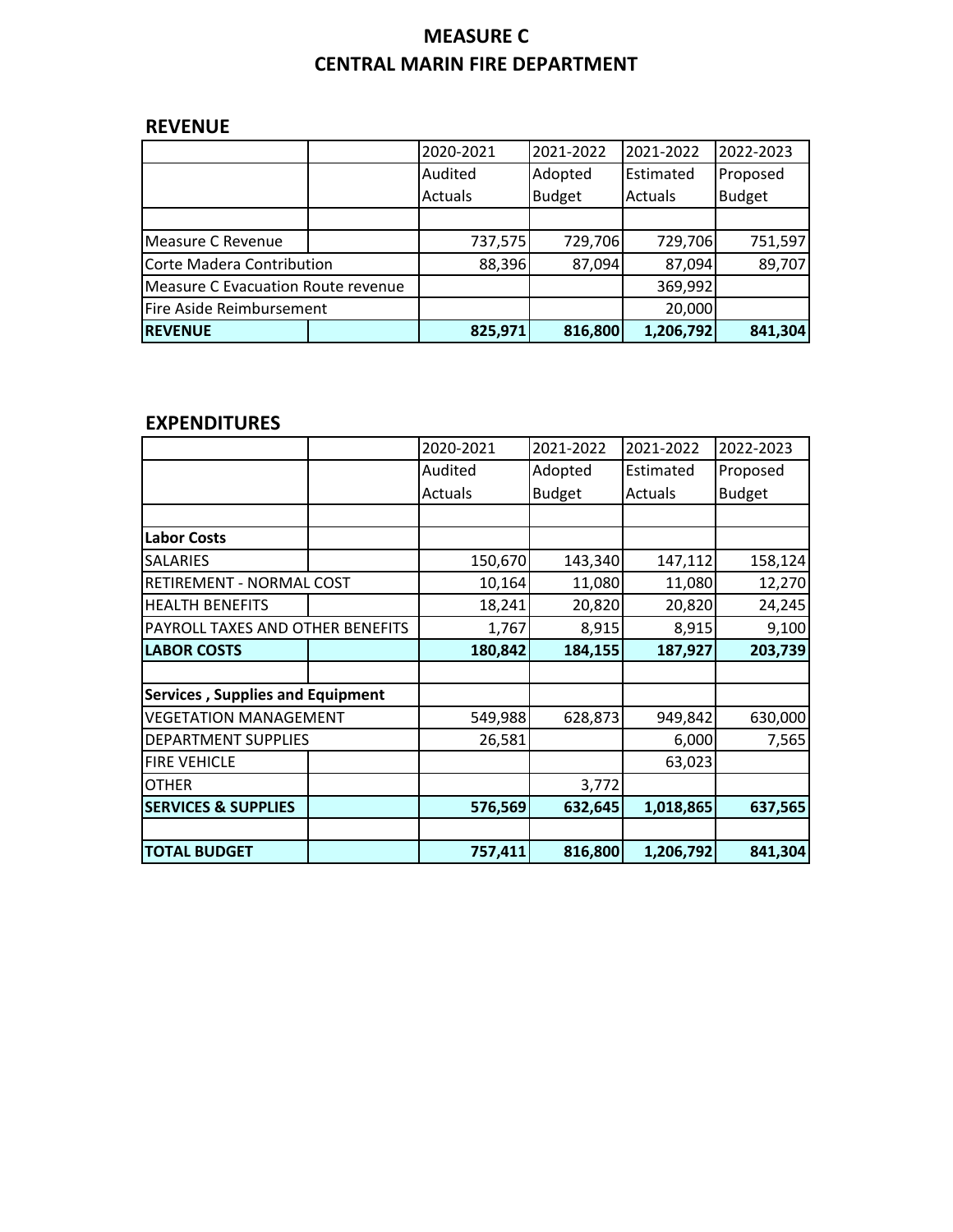# **MEASURE C CENTRAL MARIN FIRE DEPARTMENT**

# **REVENUE**

|                                    | 2020-2021 | 2021-2022     | 2021-2022 | 2022-2023     |
|------------------------------------|-----------|---------------|-----------|---------------|
|                                    | Audited   | Adopted       | Estimated | Proposed      |
|                                    | Actuals   | <b>Budget</b> | Actuals   | <b>Budget</b> |
|                                    |           |               |           |               |
| Measure C Revenue                  | 737,575   | 729,706       | 729,706   | 751,597       |
| Corte Madera Contribution          | 88,396    | 87,094        | 87,094    | 89,707        |
| Measure C Evacuation Route revenue |           |               | 369,992   |               |
| Fire Aside Reimbursement           |           |               | 20,000    |               |
| <b>REVENUE</b>                     | 825,971   | 816,800       | 1,206,792 | 841,304       |

# **EXPENDITURES**

|                                         | 2020-2021 | 2021-2022     | 2021-2022 | 2022-2023     |
|-----------------------------------------|-----------|---------------|-----------|---------------|
|                                         | Audited   | Adopted       | Estimated | Proposed      |
|                                         | Actuals   | <b>Budget</b> | Actuals   | <b>Budget</b> |
|                                         |           |               |           |               |
| <b>Labor Costs</b>                      |           |               |           |               |
| <b>SALARIES</b>                         | 150,670   | 143,340       | 147,112   | 158,124       |
| RETIREMENT - NORMAL COST                | 10,164    | 11,080        | 11,080    | 12,270        |
| <b>HEALTH BENEFITS</b>                  | 18,241    | 20,820        | 20,820    | 24,245        |
| PAYROLL TAXES AND OTHER BENEFITS        | 1,767     | 8,915         | 8,915     | 9,100         |
| <b>LABOR COSTS</b>                      | 180,842   | 184,155       | 187,927   | 203,739       |
|                                         |           |               |           |               |
| <b>Services, Supplies and Equipment</b> |           |               |           |               |
| <b>VEGETATION MANAGEMENT</b>            | 549,988   | 628,873       | 949,842   | 630,000       |
| <b>DEPARTMENT SUPPLIES</b>              | 26,581    |               | 6,000     | 7,565         |
| <b>FIRE VEHICLE</b>                     |           |               | 63,023    |               |
| <b>OTHER</b>                            |           | 3,772         |           |               |
| <b>SERVICES &amp; SUPPLIES</b>          | 576,569   | 632,645       | 1,018,865 | 637,565       |
|                                         |           |               |           |               |
| <b>TOTAL BUDGET</b>                     | 757,411   | 816,800       | 1,206,792 | 841,304       |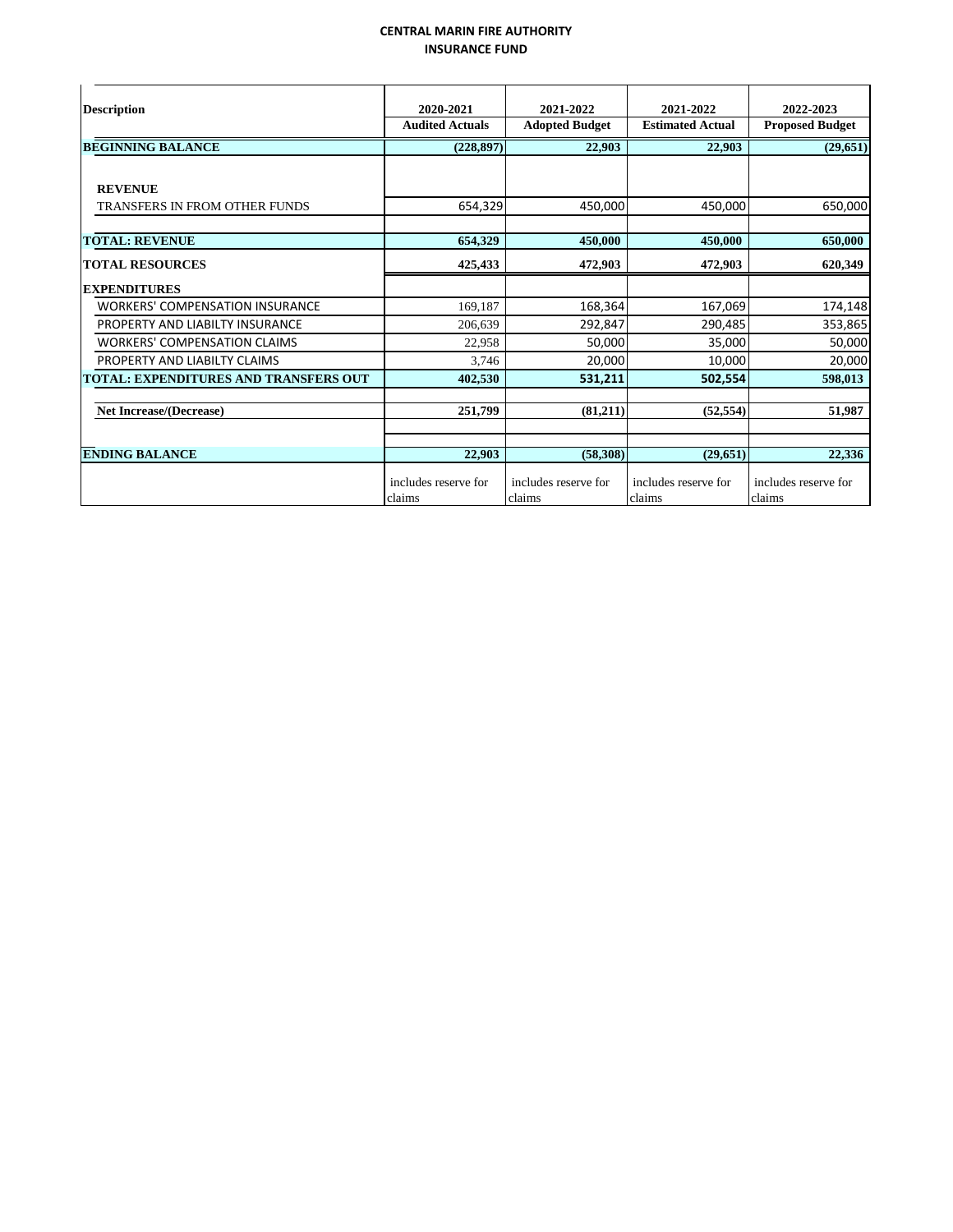#### **CENTRAL MARIN FIRE AUTHORITY INSURANCE FUND**

<span id="page-43-0"></span>

| <b>Description</b>                           | 2020-2021<br><b>Audited Actuals</b> | 2021-2022             | 2021-2022<br><b>Estimated Actual</b> | 2022-2023              |
|----------------------------------------------|-------------------------------------|-----------------------|--------------------------------------|------------------------|
|                                              |                                     | <b>Adopted Budget</b> |                                      | <b>Proposed Budget</b> |
| <b>BEGINNING BALANCE</b>                     | (228.897)                           | 22.903                | 22,903                               | (29.651)               |
|                                              |                                     |                       |                                      |                        |
| <b>REVENUE</b>                               |                                     |                       |                                      |                        |
| <b>TRANSFERS IN FROM OTHER FUNDS</b>         | 654,329                             | 450,000               | 450,000                              | 650,000                |
|                                              |                                     |                       |                                      |                        |
| <b>TOTAL: REVENUE</b>                        | 654,329                             | 450,000               | 450,000                              | 650,000                |
| <b>TOTAL RESOURCES</b>                       | 425,433                             | 472,903               | 472,903                              | 620,349                |
| <b>EXPENDITURES</b>                          |                                     |                       |                                      |                        |
| <b>WORKERS' COMPENSATION INSURANCE</b>       | 169,187                             | 168,364               | 167,069                              | 174,148                |
| PROPERTY AND LIABILTY INSURANCE              | 206,639                             | 292,847               | 290,485                              | 353,865                |
| <b>WORKERS' COMPENSATION CLAIMS</b>          | 22,958                              | 50,000                | 35,000                               | 50,000                 |
| PROPERTY AND LIABILTY CLAIMS                 | 3,746                               | 20,000                | 10,000                               | 20,000                 |
| <b>TOTAL: EXPENDITURES AND TRANSFERS OUT</b> | 402,530                             | 531,211               | 502,554                              | 598,013                |
|                                              |                                     |                       |                                      |                        |
| <b>Net Increase/(Decrease)</b>               | 251,799                             | (81,211)              | (52, 554)                            | 51,987                 |
|                                              |                                     |                       |                                      |                        |
|                                              |                                     |                       |                                      |                        |
| <b>ENDING BALANCE</b>                        | 22,903                              | (58,308)              | (29, 651)                            | 22,336                 |
|                                              | includes reserve for                | includes reserve for  | includes reserve for                 | includes reserve for   |
|                                              | claims                              | claims                | claims                               | claims                 |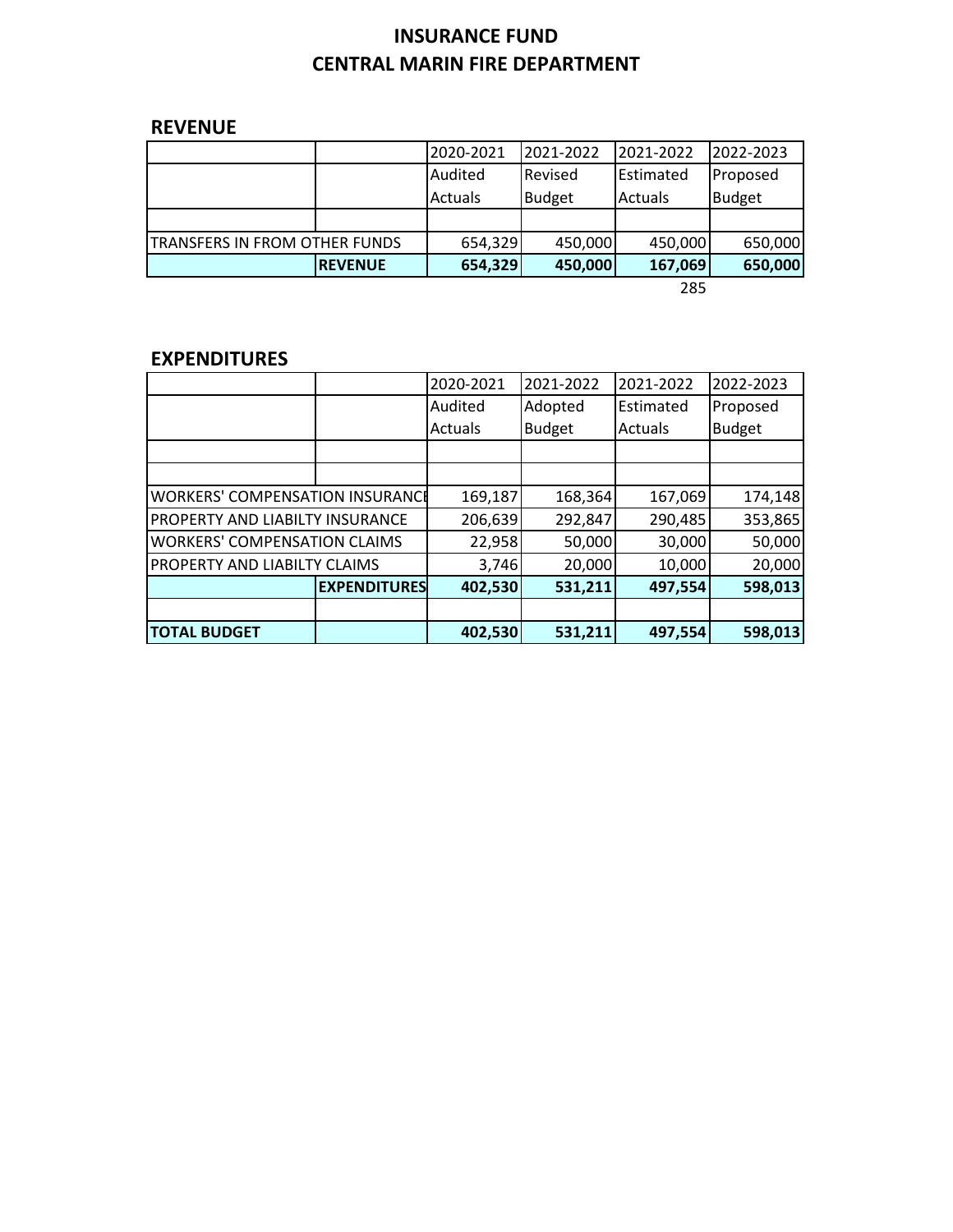# **INSURANCE FUND CENTRAL MARIN FIRE DEPARTMENT**

# **REVENUE**

|                               |                | 2020-2021      | 2021-2022      | 2021-2022 | 2022-2023     |
|-------------------------------|----------------|----------------|----------------|-----------|---------------|
|                               |                | Audited        | <b>Revised</b> | Estimated | Proposed      |
|                               |                | <b>Actuals</b> | <b>Budget</b>  | Actuals   | <b>Budget</b> |
|                               |                |                |                |           |               |
| TRANSFERS IN FROM OTHER FUNDS |                | 654,329        | 450,000        | 450,000   | 650,000       |
|                               | <b>REVENUE</b> | 654,329        | 450,000        | 167,069   | 650,000       |
|                               |                |                |                | ---       |               |

285

# **EXPENDITURES**

|                                        |                     | 2020-2021 | 2021-2022     | 2021-2022 | 2022-2023     |
|----------------------------------------|---------------------|-----------|---------------|-----------|---------------|
|                                        |                     | Audited   | Adopted       | Estimated | Proposed      |
|                                        |                     | Actuals   | <b>Budget</b> | Actuals   | <b>Budget</b> |
|                                        |                     |           |               |           |               |
|                                        |                     |           |               |           |               |
| <b>WORKERS' COMPENSATION INSURANCE</b> |                     | 169,187   | 168,364       | 167,069   | 174,148       |
| PROPERTY AND LIABILTY INSURANCE        |                     | 206,639   | 292,847       | 290,485   | 353,865       |
| <b>WORKERS' COMPENSATION CLAIMS</b>    |                     | 22,958    | 50,000        | 30,000    | 50,000        |
| PROPERTY AND LIABILTY CLAIMS           |                     | 3,746     | 20,000        | 10,000    | 20,000        |
|                                        | <b>EXPENDITURES</b> | 402,530   | 531,211       | 497,554   | 598,013       |
|                                        |                     |           |               |           |               |
| <b>TOTAL BUDGET</b>                    |                     | 402,530   | 531,211       | 497,554   | 598,013       |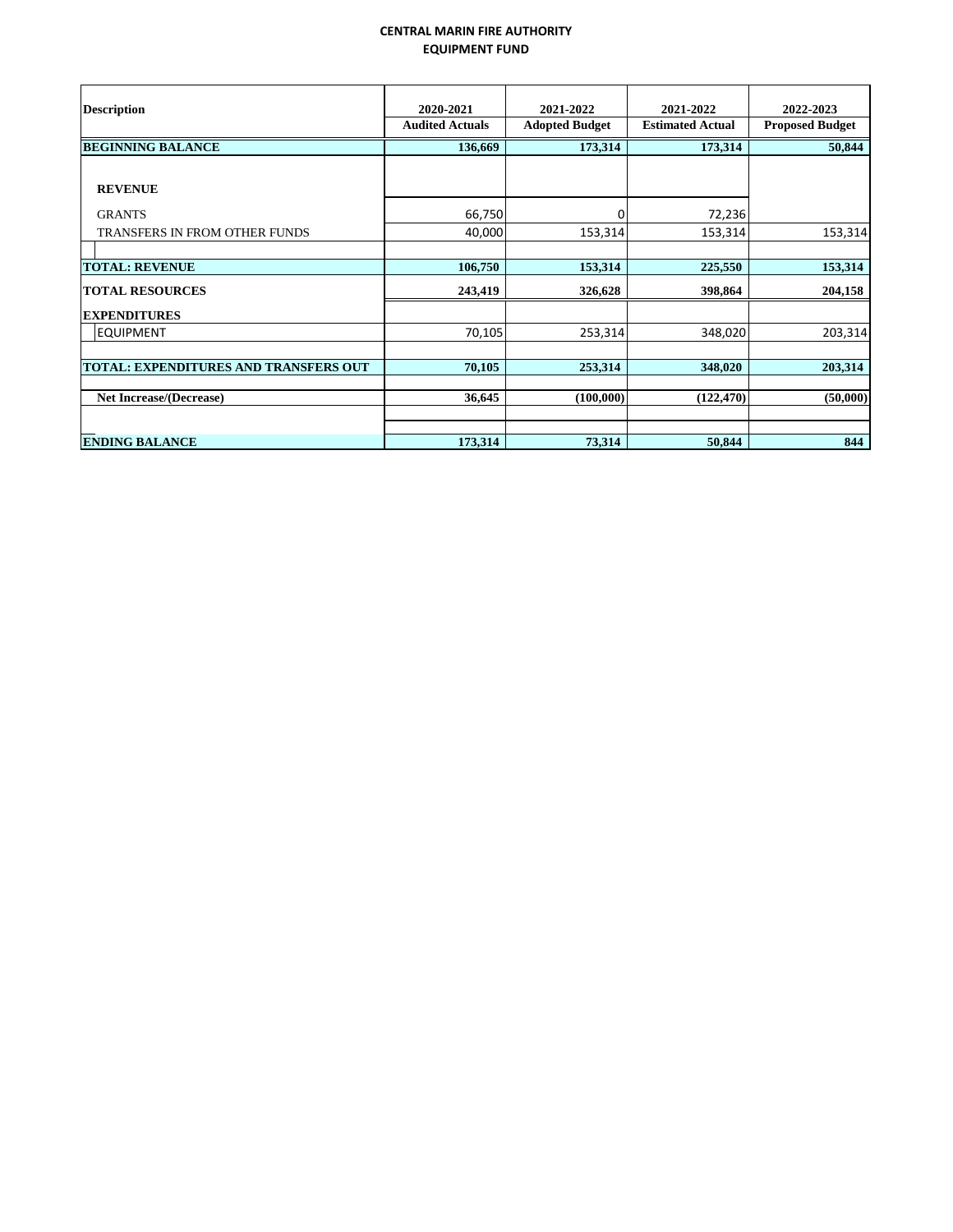#### **CENTRAL MARIN FIRE AUTHORITY EQUIPMENT FUND**

<span id="page-45-0"></span>

| <b>Description</b>                           | 2020-2021<br><b>Audited Actuals</b> | 2021-2022<br><b>Adopted Budget</b> | 2021-2022<br><b>Estimated Actual</b> | 2022-2023<br><b>Proposed Budget</b> |
|----------------------------------------------|-------------------------------------|------------------------------------|--------------------------------------|-------------------------------------|
| <b>BEGINNING BALANCE</b>                     | 136,669                             | 173,314                            | 173,314                              | 50,844                              |
| <b>REVENUE</b>                               |                                     |                                    |                                      |                                     |
| <b>GRANTS</b>                                | 66,750                              | 0                                  | 72,236                               |                                     |
| TRANSFERS IN FROM OTHER FUNDS                | 40,000                              | 153,314                            | 153,314                              | 153,314                             |
|                                              |                                     |                                    |                                      |                                     |
| <b>TOTAL: REVENUE</b>                        | 106,750                             | 153,314                            | 225,550                              | 153,314                             |
| <b>TOTAL RESOURCES</b>                       | 243,419                             | 326,628                            | 398,864                              | 204,158                             |
| <b>EXPENDITURES</b>                          |                                     |                                    |                                      |                                     |
| <b>EQUIPMENT</b>                             | 70,105                              | 253,314                            | 348,020                              | 203,314                             |
|                                              |                                     |                                    |                                      |                                     |
| <b>TOTAL: EXPENDITURES AND TRANSFERS OUT</b> | 70,105                              | 253,314                            | 348,020                              | 203,314                             |
|                                              |                                     |                                    |                                      |                                     |
| <b>Net Increase/(Decrease)</b>               | 36,645                              | (100,000)                          | (122, 470)                           | (50,000)                            |
|                                              |                                     |                                    |                                      |                                     |
| <b>ENDING BALANCE</b>                        | 173,314                             | 73,314                             | 50,844                               | 844                                 |